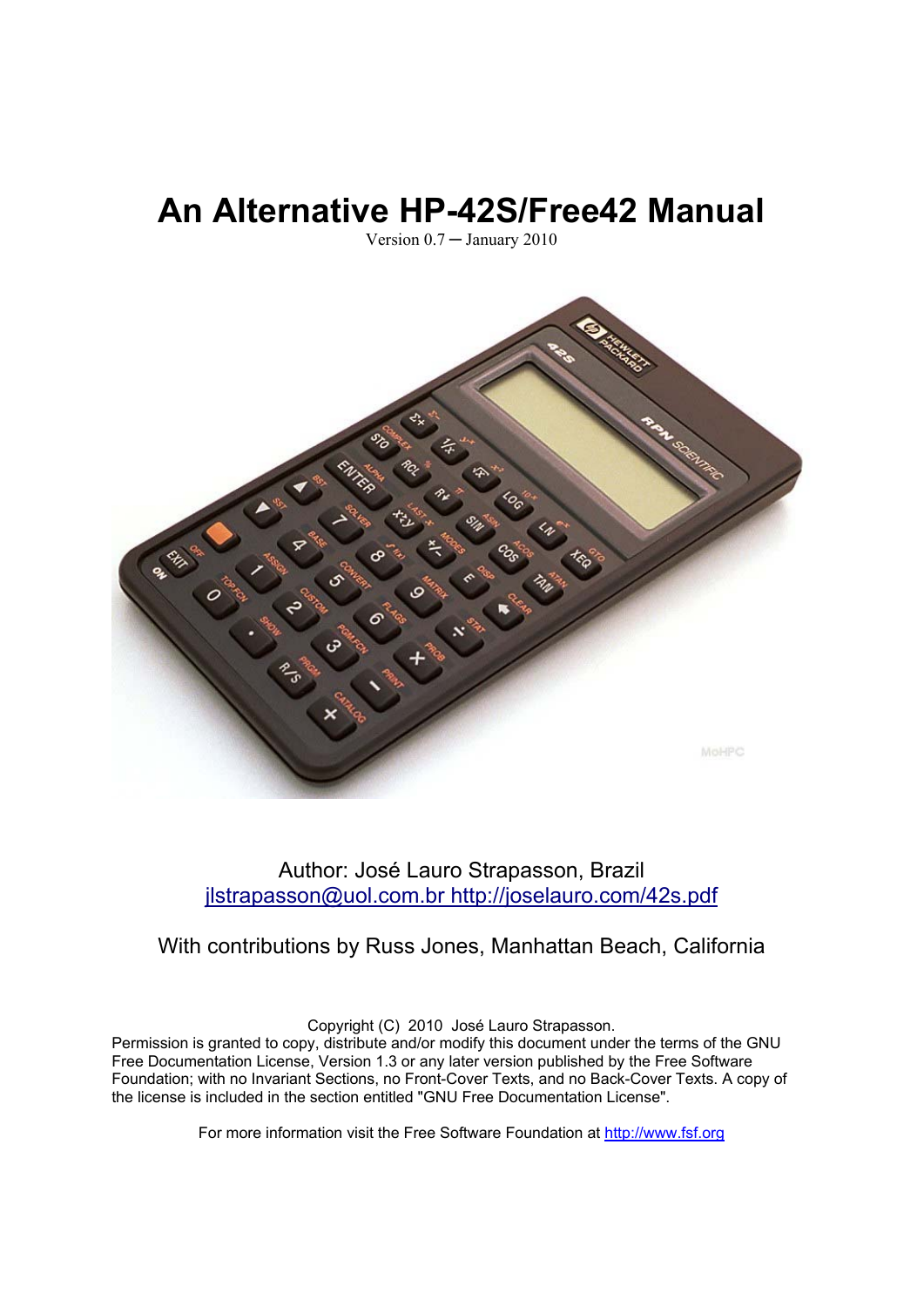# **An Alternative HP-42S/Free42 Manual**

Version 0.7 ─ January 2010



### Author: José Lauro Strapasson, Brazil jlstrapasson@uol.com.br http://joselauro.com/42s.pdf

## With contributions by Russ Jones, Manhattan Beach, California

Copyright (C) 2010 José Lauro Strapasson.

Permission is granted to copy, distribute and/or modify this document under the terms of the GNU Free Documentation License, Version 1.3 or any later version published by the Free Software Foundation; with no Invariant Sections, no Front-Cover Texts, and no Back-Cover Texts. A copy of the license is included in the section entitled "GNU Free Documentation License".

For more information visit the Free Software Foundation at [http://www.fsf.org](http://www.fsf.org/)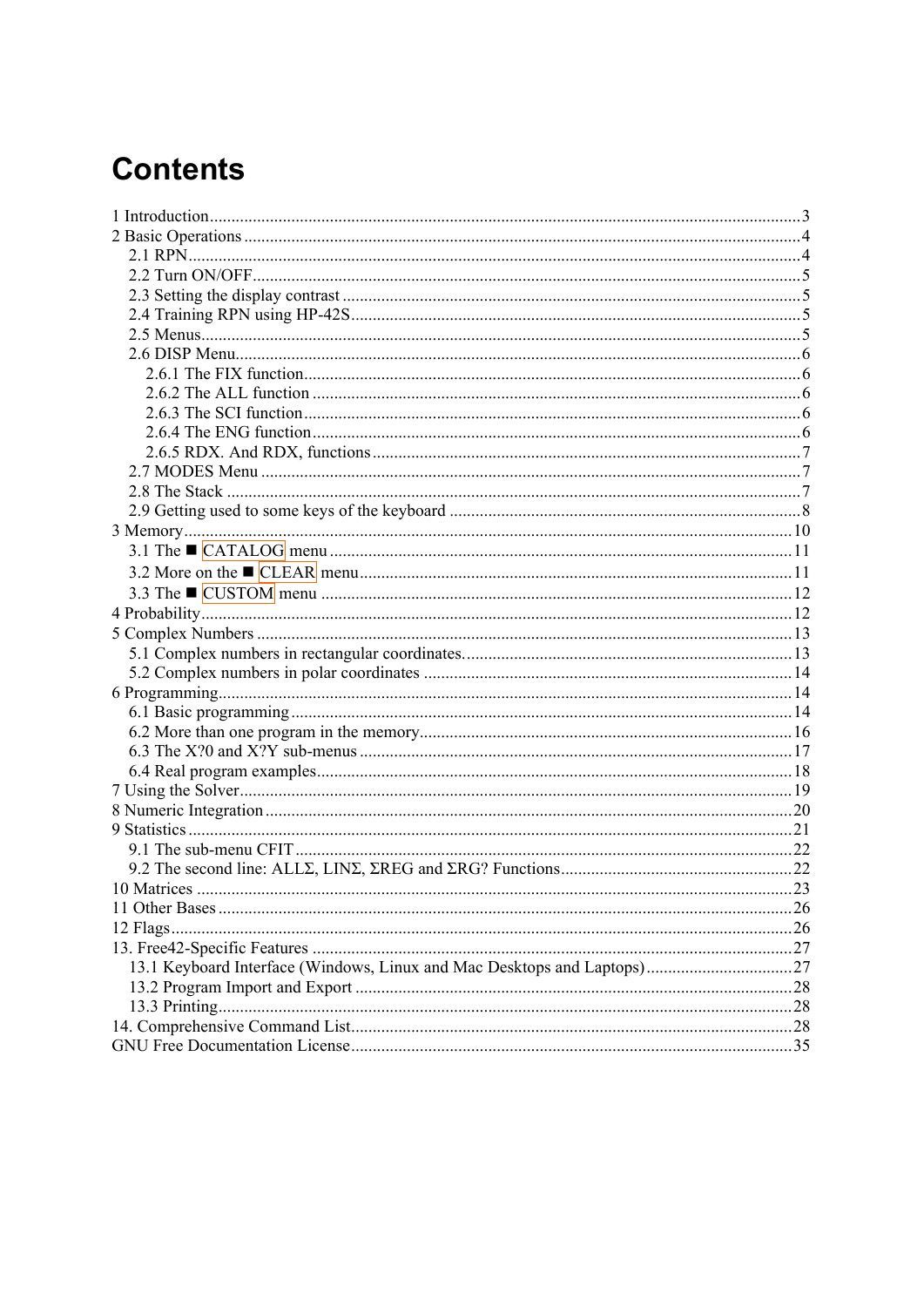# **Contents**

| $12$ Flags. |  |
|-------------|--|
|             |  |
|             |  |
|             |  |
|             |  |
|             |  |
|             |  |
|             |  |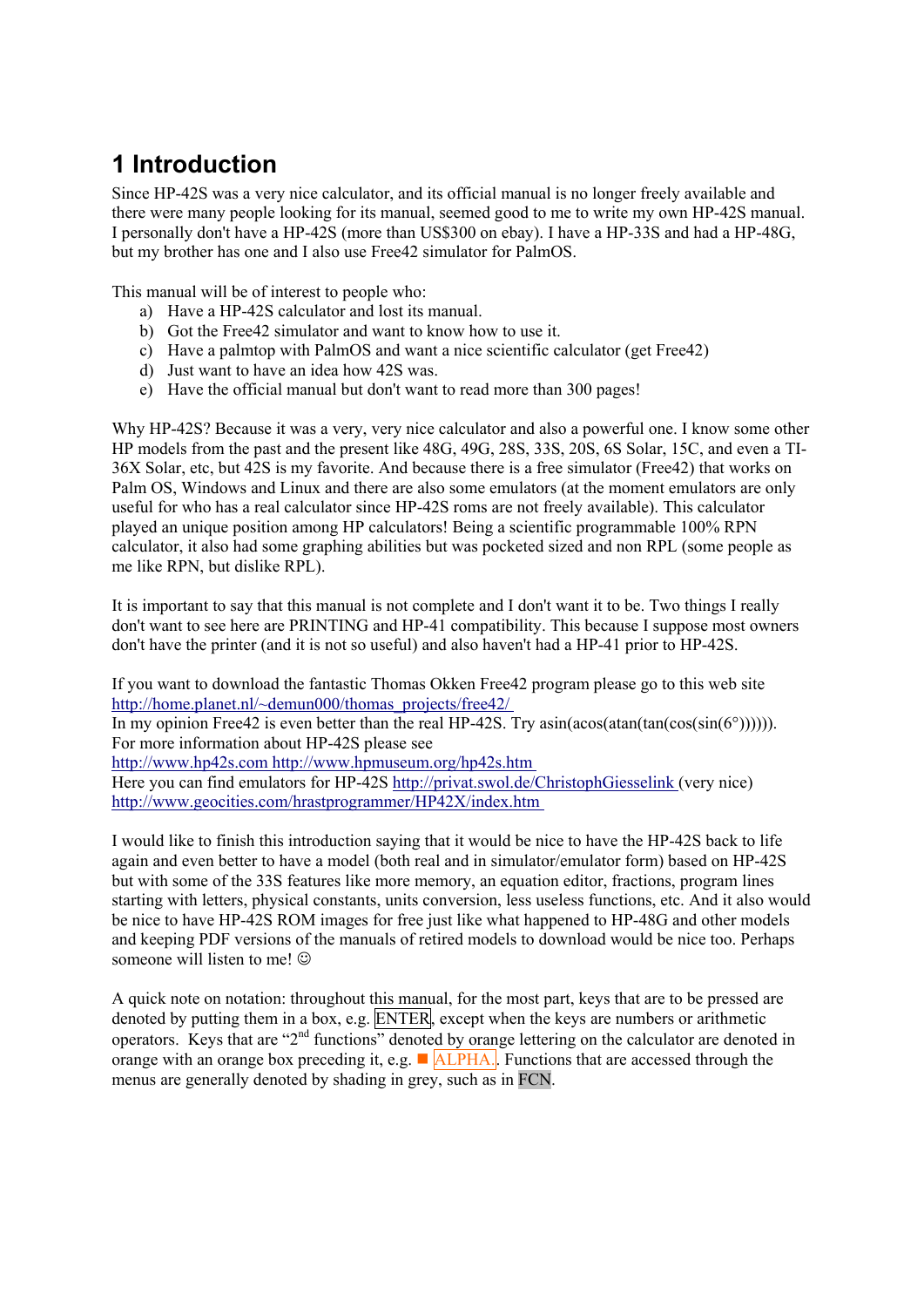# <span id="page-2-0"></span>**1 Introduction**

Since HP-42S was a very nice calculator, and its official manual is no longer freely available and there were many people looking for its manual, seemed good to me to write my own HP-42S manual. I personally don't have a HP-42S (more than US\$300 on ebay). I have a HP-33S and had a HP-48G, but my brother has one and I also use Free42 simulator for PalmOS.

This manual will be of interest to people who:

- a) Have a HP-42S calculator and lost its manual.
- b) Got the Free42 simulator and want to know how to use it.
- c) Have a palmtop with PalmOS and want a nice scientific calculator (get Free42)
- d) Just want to have an idea how 42S was.
- e) Have the official manual but don't want to read more than 300 pages!

Why HP-42S? Because it was a very, very nice calculator and also a powerful one. I know some other HP models from the past and the present like 48G, 49G, 28S, 33S, 20S, 6S Solar, 15C, and even a TI-36X Solar, etc, but 42S is my favorite. And because there is a free simulator (Free42) that works on Palm OS, Windows and Linux and there are also some emulators (at the moment emulators are only useful for who has a real calculator since HP-42S roms are not freely available). This calculator played an unique position among HP calculators! Being a scientific programmable 100% RPN calculator, it also had some graphing abilities but was pocketed sized and non RPL (some people as me like RPN, but dislike RPL).

It is important to say that this manual is not complete and I don't want it to be. Two things I really don't want to see here are PRINTING and HP-41 compatibility. This because I suppose most owners don't have the printer (and it is not so useful) and also haven't had a HP-41 prior to HP-42S.

If you want to download the fantastic Thomas Okken Free42 program please go to this web site http://home.planet.nl/~demun000/thomas\_projects/free42/

In my opinion Free42 is even better than the real HP-42S. Try asin(acos(atan(tan(cos(sin(6°)))))). For more information about HP-42S please see

http://www.hp42s.com http://www.hpmuseum.org/hp42s.htm

Here you can find emulators for HP-42S http://privat.swol.de/ChristophGiesselink (very nice) http://www.geocities.com/hrastprogrammer/HP42X/index.htm

I would like to finish this introduction saying that it would be nice to have the HP-42S back to life again and even better to have a model (both real and in simulator/emulator form) based on HP-42S but with some of the 33S features like more memory, an equation editor, fractions, program lines starting with letters, physical constants, units conversion, less useless functions, etc. And it also would be nice to have HP-42S ROM images for free just like what happened to HP-48G and other models and keeping PDF versions of the manuals of retired models to download would be nice too. Perhaps someone will listen to me!  $\odot$ 

A quick note on notation: throughout this manual, for the most part, keys that are to be pressed are denoted by putting them in a box, e.g. ENTER, except when the keys are numbers or arithmetic operators. Keys that are "2<sup>nd</sup> functions" denoted by orange lettering on the calculator are denoted in orange with an orange box preceding it, e.g.  $\blacksquare$  ALPHA. Functions that are accessed through the menus are generally denoted by shading in grey, such as in FCN.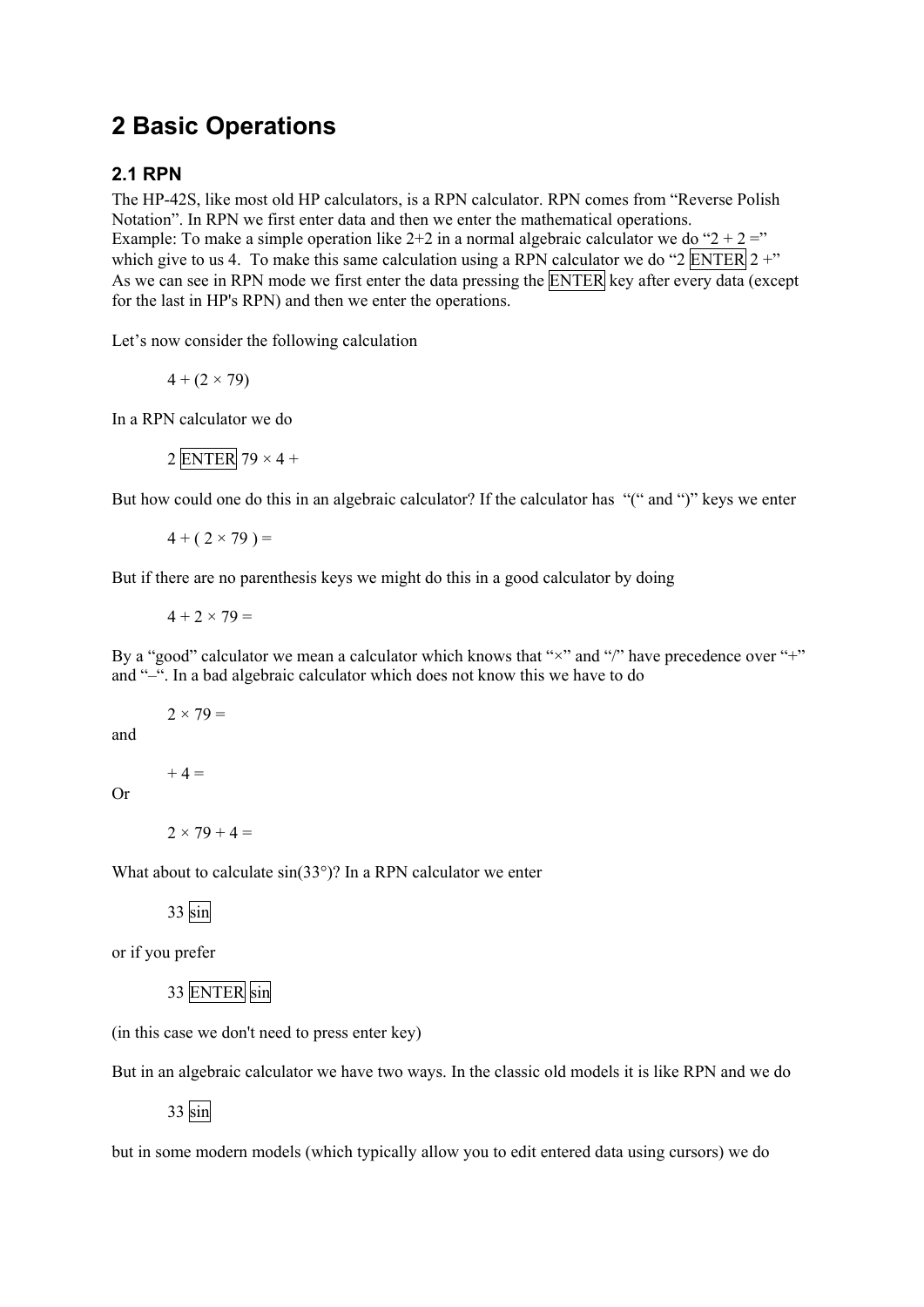# <span id="page-3-0"></span>**2 Basic Operations**

### **2.1 RPN**

The HP-42S, like most old HP calculators, is a RPN calculator. RPN comes from "Reverse Polish Notation". In RPN we first enter data and then we enter the mathematical operations. Example: To make a simple operation like  $2+2$  in a normal algebraic calculator we do " $2 + 2 =$ " which give to us 4. To make this same calculation using a RPN calculator we do "2 ENTER  $2 +$ " As we can see in RPN mode we first enter the data pressing the ENTER key after every data (except for the last in HP's RPN) and then we enter the operations.

Let's now consider the following calculation

$$
4 + (2 \times 79)
$$

In a RPN calculator we do

$$
2\overline{\text{ENTER}}
$$
 79 × 4 +

But how could one do this in an algebraic calculator? If the calculator has "(" and ")" keys we enter

 $4 + (2 \times 79) =$ 

But if there are no parenthesis keys we might do this in a good calculator by doing

 $4 + 2 \times 79 =$ 

By a "good" calculator we mean a calculator which knows that " $\times$ " and "/" have precedence over "+" and "–". In a bad algebraic calculator which does not know this we have to do

 $2 \times 79 =$ 

and

 $+ 4 =$ 

Or

 $2 \times 79 + 4 =$ 

What about to calculate  $sin(33^\circ)$ ? In a RPN calculator we enter

33 sin

or if you prefer

```
 33 ENTER sin
```
(in this case we don't need to press enter key)

But in an algebraic calculator we have two ways. In the classic old models it is like RPN and we do

33 sin

but in some modern models (which typically allow you to edit entered data using cursors) we do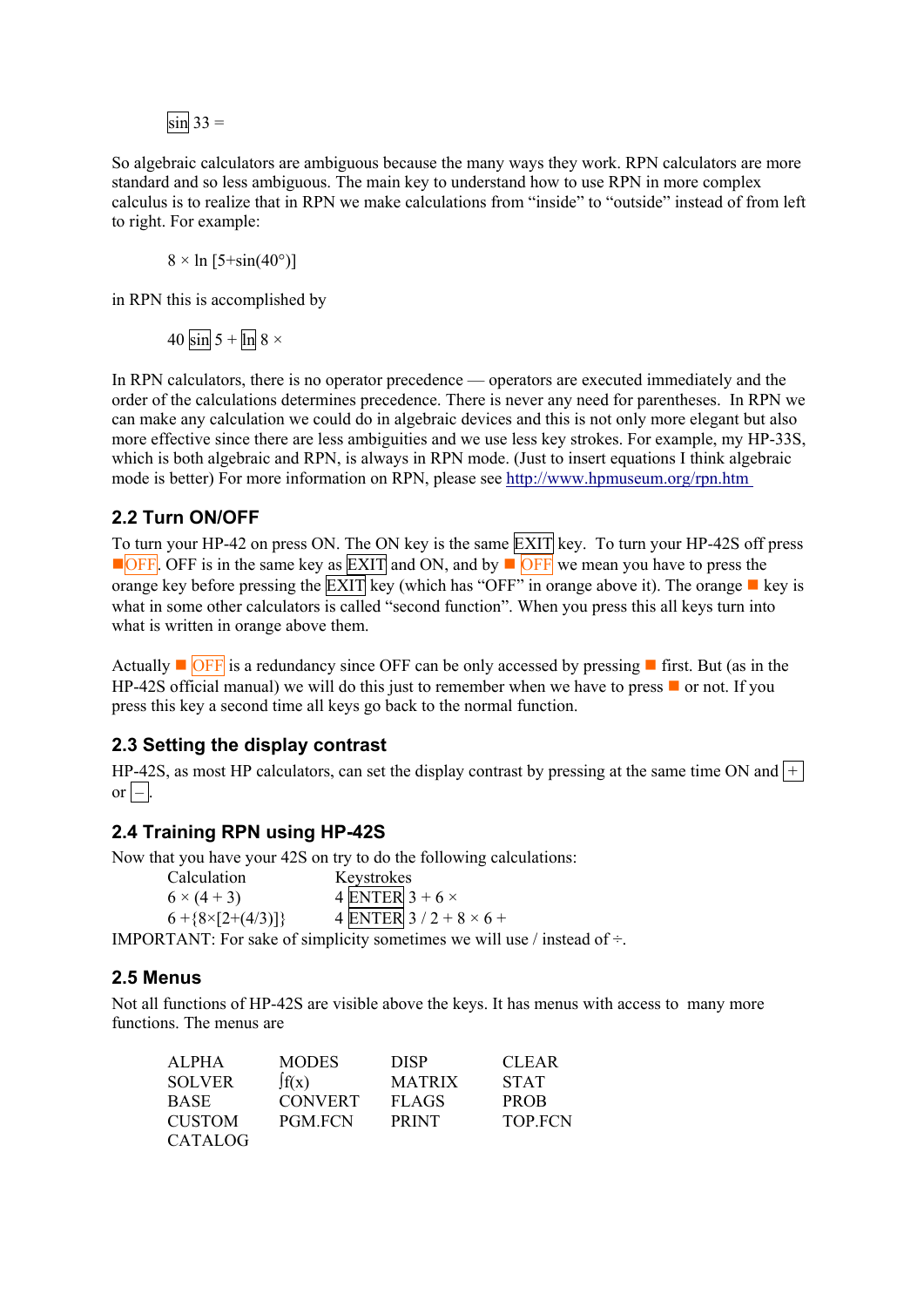$\sin 33 =$ 

<span id="page-4-0"></span>So algebraic calculators are ambiguous because the many ways they work. RPN calculators are more standard and so less ambiguous. The main key to understand how to use RPN in more complex calculus is to realize that in RPN we make calculations from "inside" to "outside" instead of from left to right. For example:

 $8 \times \ln [5 + \sin(40^\circ)]$ 

in RPN this is accomplished by

40 sin 5 +  $\ln 8 \times$ 

In RPN calculators, there is no operator precedence — operators are executed immediately and the order of the calculations determines precedence. There is never any need for parentheses. In RPN we can make any calculation we could do in algebraic devices and this is not only more elegant but also more effective since there are less ambiguities and we use less key strokes. For example, my HP-33S, which is both algebraic and RPN, is always in RPN mode. (Just to insert equations I think algebraic mode is better) For more information on RPN, please see http://www.hpmuseum.org/rpn.htm

### **2.2 Turn ON/OFF**

To turn your HP-42 on press ON. The ON key is the same **EXIT** key. To turn your HP-42S off press **OFF.** OFF is in the same key as  $\overline{EXIT}$  and ON, and by  $\blacksquare$  OFF we mean you have to press the orange key before pressing the  $\overline{EXIT}$  key (which has "OFF" in orange above it). The orange  $\blacksquare$  key is what in some other calculators is called "second function". When you press this all keys turn into what is written in orange above them.

Actually  $\blacksquare$  OFF is a redundancy since OFF can be only accessed by pressing  $\blacksquare$  first. But (as in the HP-42S official manual) we will do this just to remember when we have to press  $\blacksquare$  or not. If you press this key a second time all keys go back to the normal function.

### **2.3 Setting the display contrast**

HP-42S, as most HP calculators, can set the display contrast by pressing at the same time ON and  $\pm$  $\sigma$  –  $\vert$ 

#### **2.4 Training RPN using HP-42S**

Now that you have your 42S on try to do the following calculations:

 Calculation Keystrokes  $6 \times (4+3)$  4 ENTER  $3+6 \times$  $6 + {8 \times [2+(4/3)]}$  4 ENTER  $3 / 2 + 8 \times 6 +$ 

IMPORTANT: For sake of simplicity sometimes we will use  $/$  instead of  $\div$ .

#### **2.5 Menus**

Not all functions of HP-42S are visible above the keys. It has menus with access to many more functions. The menus are

| ALPHA          | <b>MODES</b>   | <b>DISP</b>   | <b>CLEAR</b>   |
|----------------|----------------|---------------|----------------|
| <b>SOLVER</b>  | $\int f(x)$    | <b>MATRIX</b> | <b>STAT</b>    |
| <b>BASE</b>    | <b>CONVERT</b> | <b>FLAGS</b>  | <b>PROB</b>    |
| <b>CUSTOM</b>  | <b>PGM FCN</b> | <b>PRINT</b>  | <b>TOP FCN</b> |
| <b>CATALOG</b> |                |               |                |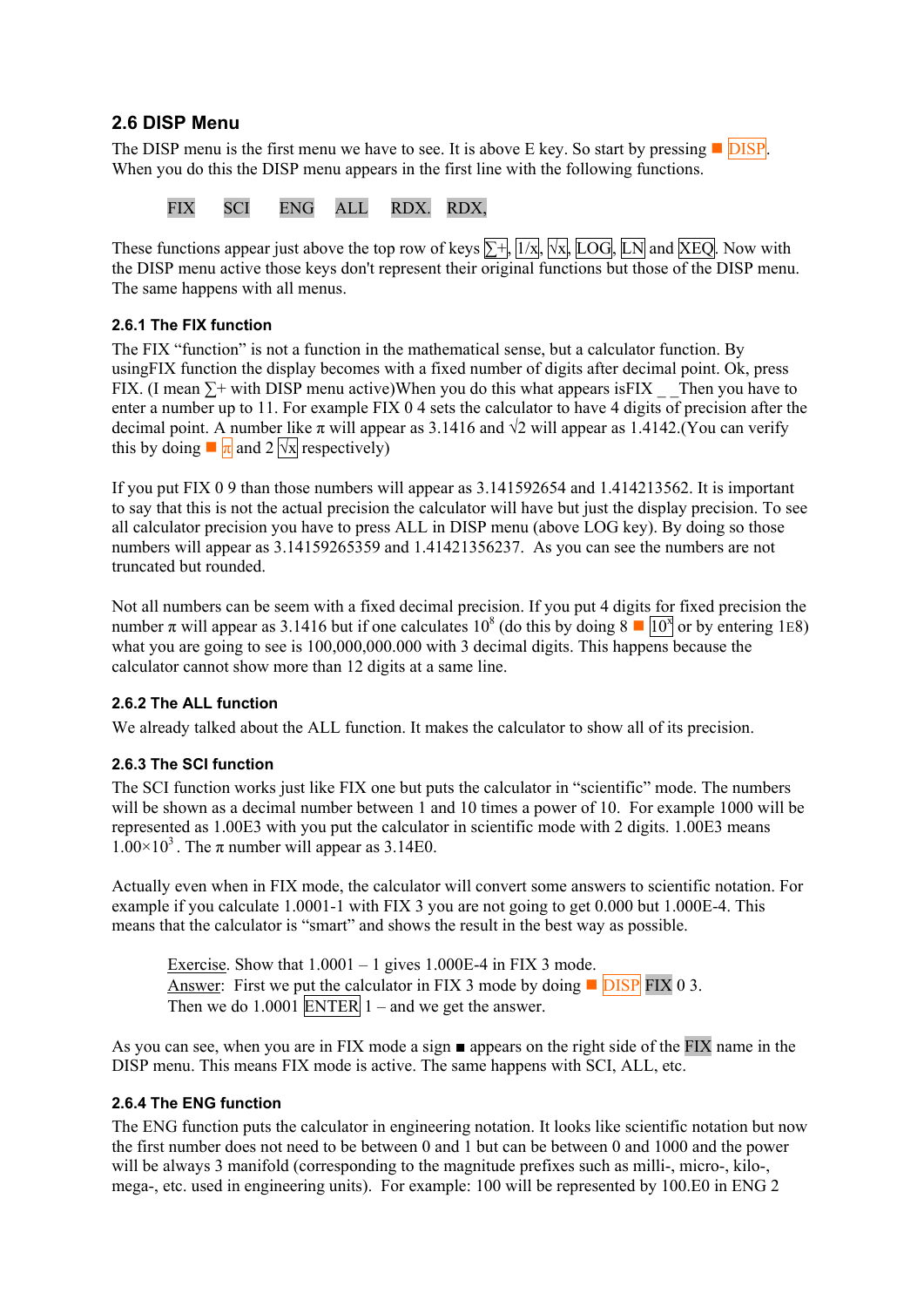### <span id="page-5-0"></span>**2.6 DISP Menu**

The DISP menu is the first menu we have to see. It is above E key. So start by pressing  $\Box$  DISP. When you do this the DISP menu appears in the first line with the following functions.

FIX SCI ENG ALL RDX. RDX,

These functions appear just above the top row of keys  $\Sigma +$ ,  $\frac{1}{x}$ ,  $\frac{1}{x}$ ,  $\frac{1}{x}$ ,  $\frac{1}{x}$ ,  $\frac{1}{x}$ ,  $\frac{1}{x}$ ,  $\frac{1}{x}$ ,  $\frac{1}{x}$ ,  $\frac{1}{x}$ ,  $\frac{1}{x}$ ,  $\frac{1}{x}$ ,  $\frac{1}{x}$ ,  $\frac{1}{x}$ ,  $\frac{1}{x}$ ,  $\frac{1}{$ the DISP menu active those keys don't represent their original functions but those of the DISP menu. The same happens with all menus.

#### **2.6.1 The FIX function**

The FIX "function" is not a function in the mathematical sense, but a calculator function. By usingFIX function the display becomes with a fixed number of digits after decimal point. Ok, press FIX. (I mean  $\Sigma$ + with DISP menu active)When you do this what appears isFIX Then you have to enter a number up to 11. For example FIX 0 4 sets the calculator to have 4 digits of precision after the decimal point. A number like  $\pi$  will appear as 3.1416 and  $\sqrt{2}$  will appear as 1.4142.(You can verify this by doing  $\blacksquare \pi$  and 2  $\sqrt{x}$  respectively)

If you put FIX 0 9 than those numbers will appear as 3.141592654 and 1.414213562. It is important to say that this is not the actual precision the calculator will have but just the display precision. To see all calculator precision you have to press ALL in DISP menu (above LOG key). By doing so those numbers will appear as 3.14159265359 and 1.41421356237. As you can see the numbers are not truncated but rounded.

Not all numbers can be seem with a fixed decimal precision. If you put 4 digits for fixed precision the number π will appear as 3.1416 but if one calculates  $10^8$  (do this by doing  $8 \blacksquare \overline{10^8}$  or by entering 1E8) what you are going to see is 100,000,000.000 with 3 decimal digits. This happens because the calculator cannot show more than 12 digits at a same line.

#### **2.6.2 The ALL function**

We already talked about the ALL function. It makes the calculator to show all of its precision.

#### **2.6.3 The SCI function**

The SCI function works just like FIX one but puts the calculator in "scientific" mode. The numbers will be shown as a decimal number between 1 and 10 times a power of 10. For example 1000 will be represented as 1.00E3 with you put the calculator in scientific mode with 2 digits. 1.00E3 means  $1.00\times10^{3}$ . The  $\pi$  number will appear as 3.14E0.

Actually even when in FIX mode, the calculator will convert some answers to scientific notation. For example if you calculate 1.0001-1 with FIX 3 you are not going to get 0.000 but 1.000E-4. This means that the calculator is "smart" and shows the result in the best way as possible.

Exercise. Show that  $1.0001 - 1$  gives  $1.000E-4$  in FIX 3 mode. Answer: First we put the calculator in FIX 3 mode by doing  $\Box$  DISP FIX 0 3. Then we do  $1.0001$  ENTER  $1$  – and we get the answer.

As you can see, when you are in FIX mode a sign ■ appears on the right side of the FIX name in the DISP menu. This means FIX mode is active. The same happens with SCI, ALL, etc.

#### **2.6.4 The ENG function**

The ENG function puts the calculator in engineering notation. It looks like scientific notation but now the first number does not need to be between 0 and 1 but can be between 0 and 1000 and the power will be always 3 manifold (corresponding to the magnitude prefixes such as milli-, micro-, kilo-, mega-, etc. used in engineering units). For example: 100 will be represented by 100.E0 in ENG 2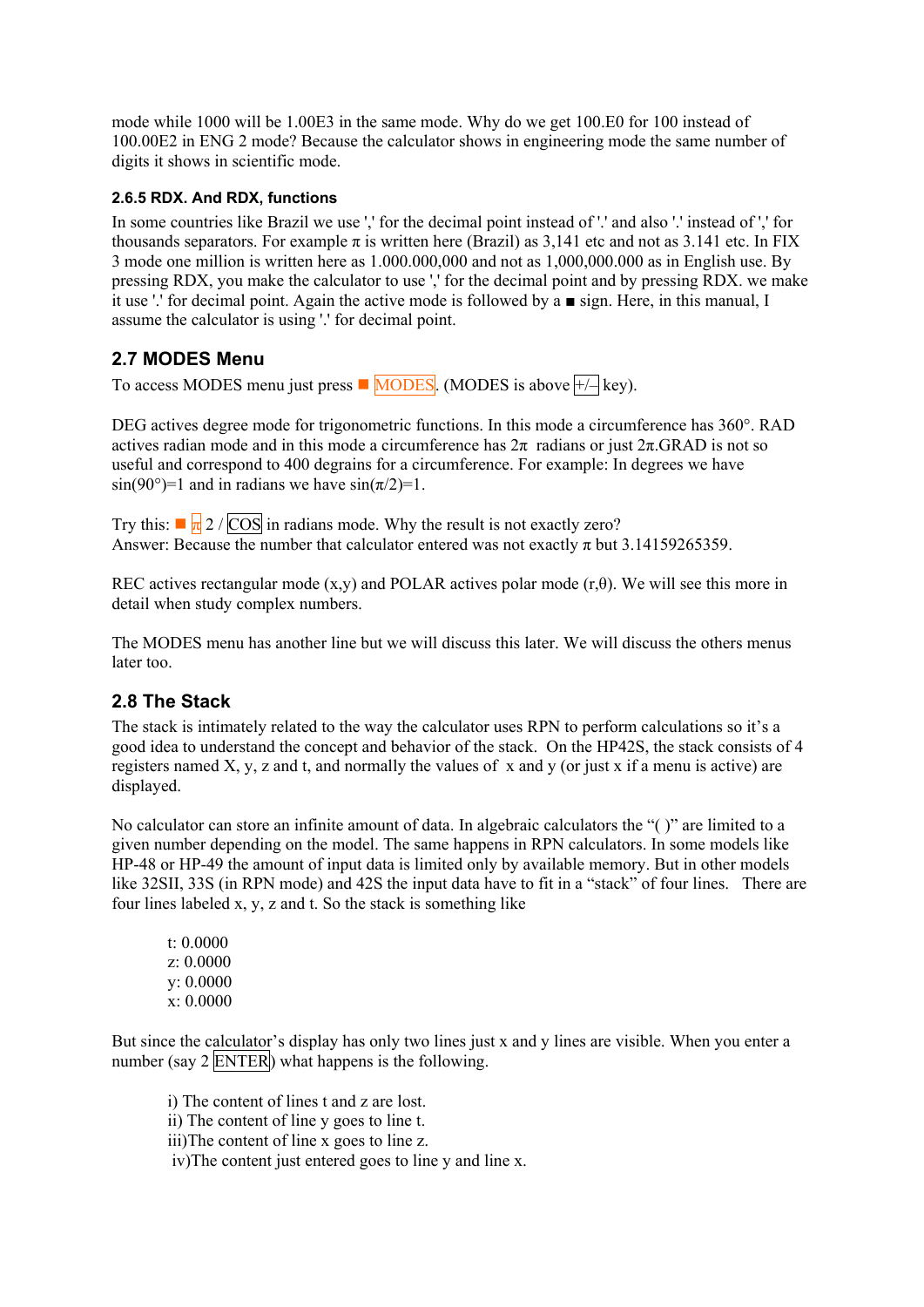<span id="page-6-0"></span>mode while 1000 will be 1.00E3 in the same mode. Why do we get 100.E0 for 100 instead of 100.00E2 in ENG 2 mode? Because the calculator shows in engineering mode the same number of digits it shows in scientific mode.

#### **2.6.5 RDX. And RDX, functions**

In some countries like Brazil we use ',' for the decimal point instead of '.' and also '.' instead of ',' for thousands separators. For example  $\pi$  is written here (Brazil) as 3,141 etc and not as 3.141 etc. In FIX 3 mode one million is written here as 1.000.000,000 and not as 1,000,000.000 as in English use. By pressing RDX, you make the calculator to use ',' for the decimal point and by pressing RDX. we make it use '.' for decimal point. Again the active mode is followed by a ■ sign. Here, in this manual, I assume the calculator is using '.' for decimal point.

### **2.7 MODES Menu**

To access MODES menu just press  $\blacksquare$  MODES. (MODES is above  $\lnot \vdash \neg$  key).

DEG actives degree mode for trigonometric functions. In this mode a circumference has 360°. RAD actives radian mode and in this mode a circumference has  $2\pi$  radians or just  $2\pi$ .GRAD is not so useful and correspond to 400 degrains for a circumference. For example: In degrees we have  $\sin(90^\circ) = 1$  and in radians we have  $\sin(\pi/2) = 1$ .

Try this:  $\sqrt{\frac{1}{2}}$  /  $\overline{\cos}$  in radians mode. Why the result is not exactly zero? Answer: Because the number that calculator entered was not exactly  $\pi$  but 3.14159265359.

REC actives rectangular mode (x,y) and POLAR actives polar mode (r, $\theta$ ). We will see this more in detail when study complex numbers.

The MODES menu has another line but we will discuss this later. We will discuss the others menus later too.

### **2.8 The Stack**

The stack is intimately related to the way the calculator uses RPN to perform calculations so it's a good idea to understand the concept and behavior of the stack. On the HP42S, the stack consists of 4 registers named X, y, z and t, and normally the values of x and y (or just x if a menu is active) are displayed.

No calculator can store an infinite amount of data. In algebraic calculators the "( )" are limited to a given number depending on the model. The same happens in RPN calculators. In some models like HP-48 or HP-49 the amount of input data is limited only by available memory. But in other models like 32SII, 33S (in RPN mode) and 42S the input data have to fit in a "stack" of four lines. There are four lines labeled x, y, z and t. So the stack is something like

 t: 0.0000 z: 0.0000 y: 0.0000 x: 0.0000

But since the calculator's display has only two lines just x and y lines are visible. When you enter a number (say 2 ENTER) what happens is the following.

i) The content of lines t and z are lost.

ii) The content of line y goes to line t.

iii)The content of line x goes to line z.

iv)The content just entered goes to line y and line x.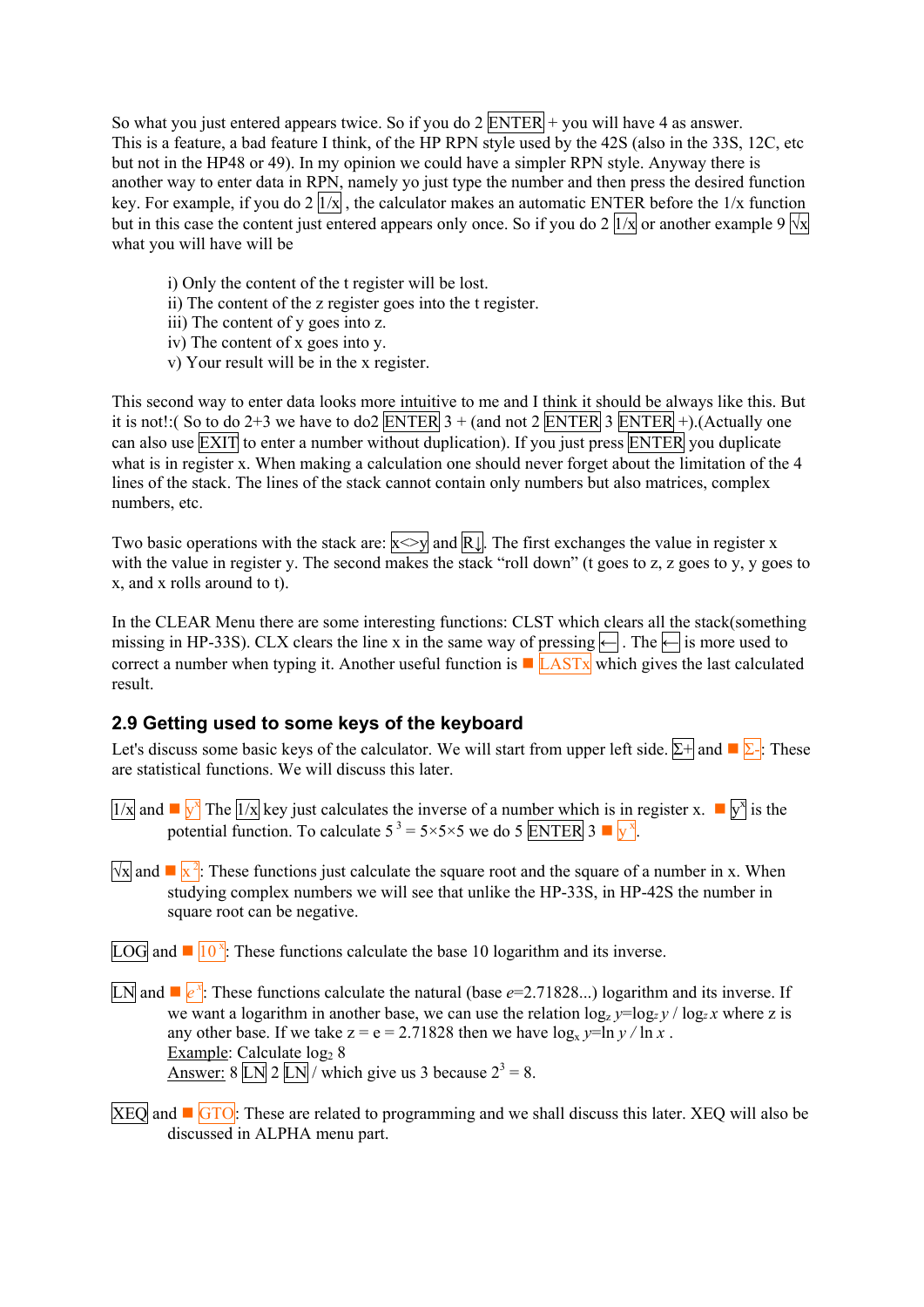<span id="page-7-0"></span>So what you just entered appears twice. So if you do  $2$  ENTER + you will have 4 as answer. This is a feature, a bad feature I think, of the HP RPN style used by the 42S (also in the 33S, 12C, etc but not in the HP48 or 49). In my opinion we could have a simpler RPN style. Anyway there is another way to enter data in RPN, namely yo just type the number and then press the desired function key. For example, if you do  $2 \overline{|1/x|}$ , the calculator makes an automatic ENTER before the  $1/x$  function but in this case the content just entered appears only once. So if you do 2  $\sqrt{1/x}$  or another example 9  $\sqrt{1/x}$ what you will have will be

- i) Only the content of the t register will be lost.
- ii) The content of the z register goes into the t register.
- iii) The content of y goes into z.
- iv) The content of x goes into y.
- v) Your result will be in the x register.

This second way to enter data looks more intuitive to me and I think it should be always like this. But it is not!:( So to do 2+3 we have to do2 ENTER  $3 + ($ and not  $2$  ENTER  $3$  ENTER  $+$ ).(Actually one can also use **EXIT** to enter a number without duplication). If you just press **ENTER** you duplicate what is in register x. When making a calculation one should never forget about the limitation of the 4 lines of the stack. The lines of the stack cannot contain only numbers but also matrices, complex numbers, etc.

Two basic operations with the stack are:  $x \leq y$  and  $\overline{R} \downarrow$ . The first exchanges the value in register x with the value in register y. The second makes the stack "roll down" (t goes to z, z goes to y, y goes to x, and x rolls around to t).

In the CLEAR Menu there are some interesting functions: CLST which clears all the stack(something missing in HP-33S). CLX clears the line x in the same way of pressing  $\leftarrow$  . The  $\leftarrow$  is more used to correct a number when typing it. Another useful function is  $\blacksquare$  LASTx which gives the last calculated result.

### **2.9 Getting used to some keys of the keyboard**

Let's discuss some basic keys of the calculator. We will start from upper left side.  $\Sigma^+$  and  $\square \Sigma^+$ : These are statistical functions. We will discuss this later.

- $\frac{1}{x}$  and  $\frac{1}{y^x}$  The  $\frac{1}{x}$  key just calculates the inverse of a number which is in register x.  $\blacksquare$   $\boxed{y^x}$  is the potential function. To calculate  $5^3 = 5 \times 5 \times 5$  we do 5 ENTER 3  $\sqrt{x}$ .
- $\sqrt{x}$  and  $\sqrt{x^2}$ . These functions just calculate the square root and the square of a number in x. When studying complex numbers we will see that unlike the HP-33S, in HP-42S the number in square root can be negative.

 $LOG$  and  $\blacksquare$   $10^{\nu}$ : These functions calculate the base 10 logarithm and its inverse.

- LN and  $\mathbb{F}_{e}^{\mathbf{x}}$ : These functions calculate the natural (base *e*=2.71828...) logarithm and its inverse. If we want a logarithm in another base, we can use the relation  $\log_2 y = \log_2 y / \log_2 x$  where z is any other base. If we take  $z = e = 2.71828$  then we have  $\log_{x} y = \ln y / \ln x$ . Example: Calculate  $log<sub>2</sub> 8$ <u>Answer:</u> 8  $LN \sim 2 LN$  which give us 3 because  $2^3 = 8$ .
- $XEO$  and  $\Box$   $GTO$ : These are related to programming and we shall discuss this later. XEQ will also be discussed in ALPHA menu part.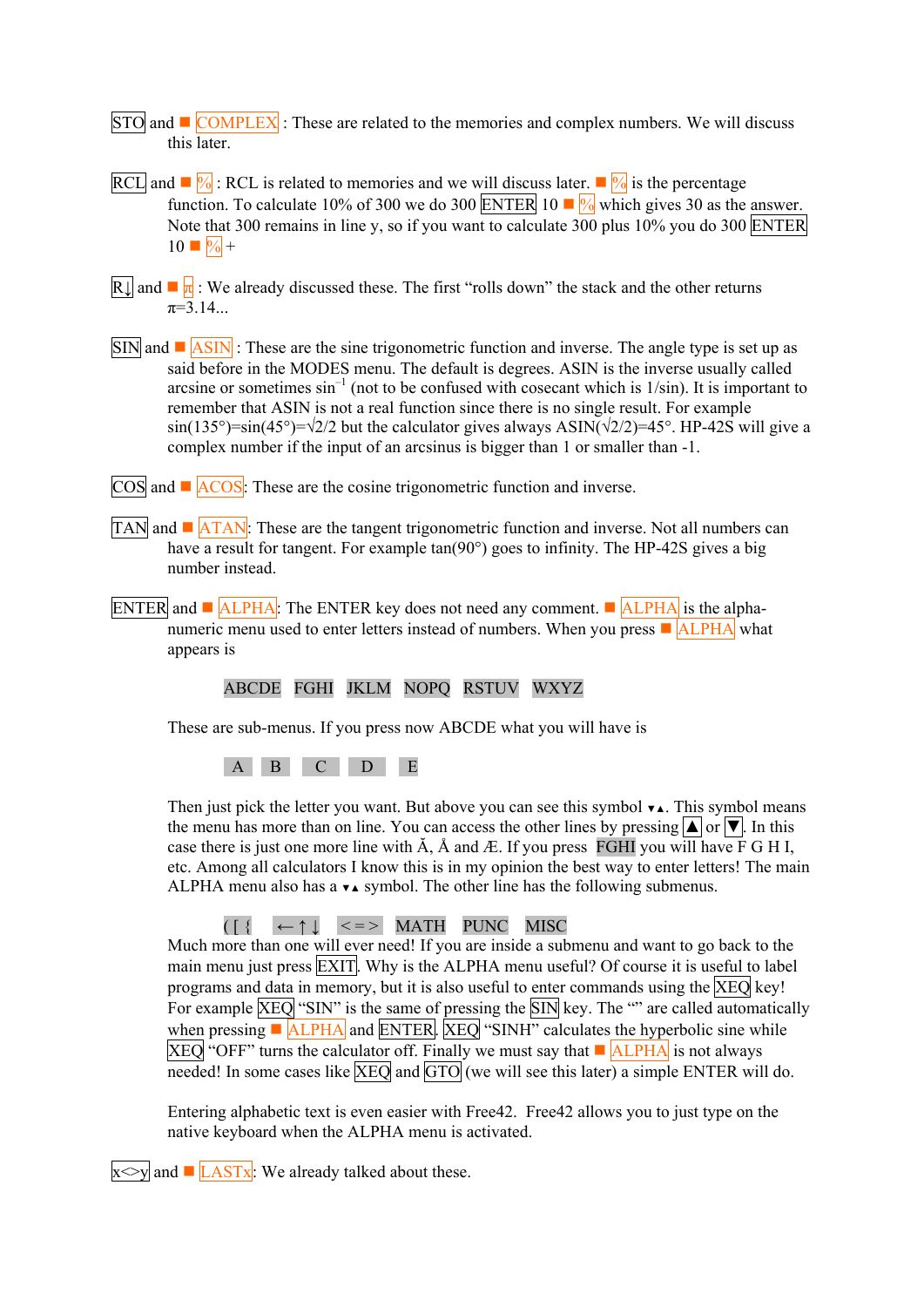- STO and  $\blacksquare$  COMPLEX : These are related to the memories and complex numbers. We will discuss this later.
- RCL and  $\sqrt{\frac{6}{96}}$ : RCL is related to memories and we will discuss later.  $\sqrt{\frac{6}{96}}$  is the percentage function. To calculate 10% of 300 we do 300 ENTER 10  $\blacksquare$  which gives 30 as the answer. Note that 300 remains in line y, so if you want to calculate 300 plus 10% you do 300 ENTER  $10 \blacksquare \sqrt[6]{\bullet} +$
- R $\parallel$  and  $\blacksquare$   $\blacksquare$  : We already discussed these. The first "rolls down" the stack and the other returns  $\pi = 3.14$
- $\overline{SIN}$  and  $\blacksquare$   $\overline{ASIN}$  : These are the sine trigonometric function and inverse. The angle type is set up as said before in the MODES menu. The default is degrees. ASIN is the inverse usually called arcsine or sometimes  $\sin^{-1}$  (not to be confused with cosecant which is  $1/\sin$ ). It is important to remember that ASIN is not a real function since there is no single result. For example  $\sin(135^\circ)=\sin(45^\circ)=\sqrt{2}/2$  but the calculator gives always ASIN( $\sqrt{2}/2$ )=45°. HP-42S will give a complex number if the input of an arcsinus is bigger than 1 or smaller than -1.
- $\overline{\text{COS}}$  and  $\blacksquare$   $\overline{\text{ACOS}}$ : These are the cosine trigonometric function and inverse.
- TAN and  $\blacksquare$  ATAN: These are the tangent trigonometric function and inverse. Not all numbers can have a result for tangent. For example tan(90°) goes to infinity. The HP-42S gives a big number instead.
- ENTER and  $\blacksquare$  ALPHA: The ENTER key does not need any comment.  $\blacksquare$  ALPHA is the alphanumeric menu used to enter letters instead of numbers. When you press  $\blacksquare$  ALPHA what appears is

#### ABCDE FGHI JKLM NOPQ RSTUV WXYZ

These are sub-menus. If you press now ABCDE what you will have is

A B C D E

Then just pick the letter you want. But above you can see this symbol  $\bullet\bullet$ . This symbol means the menu has more than on line. You can access the other lines by pressing  $\Box$  or  $\nabla$ . In this case there is just one more line with  $\tilde{A}$ ,  $\tilde{A}$  and  $\tilde{A}$ . If you press FGHI you will have F G H I, etc. Among all calculators I know this is in my opinion the best way to enter letters! The main ALPHA menu also has a  $\blacktriangleright$  symbol. The other line has the following submenus.

#### $([$ {  $\leftarrow \uparrow \downarrow$  <=> MATH PUNC MISC

Much more than one will ever need! If you are inside a submenu and want to go back to the main menu just press **EXIT**. Why is the ALPHA menu useful? Of course it is useful to label programs and data in memory, but it is also useful to enter commands using the XEQ key! For example  $\overline{\text{XEO}}$  "SIN" is the same of pressing the SIN key. The "" are called automatically when pressing  $\blacksquare$  ALPHA and ENTER. XEQ "SINH" calculates the hyperbolic sine while  $XEO$  "OFF" turns the calculator off. Finally we must say that  $\blacksquare$  ALPHA is not always needed! In some cases like  $\overline{\text{XEO}}$  and  $\overline{\text{GTO}}$  (we will see this later) a simple ENTER will do.

Entering alphabetic text is even easier with Free42. Free42 allows you to just type on the native keyboard when the ALPHA menu is activated.

 $x \leq y$  and  $\blacksquare$  LASTx: We already talked about these.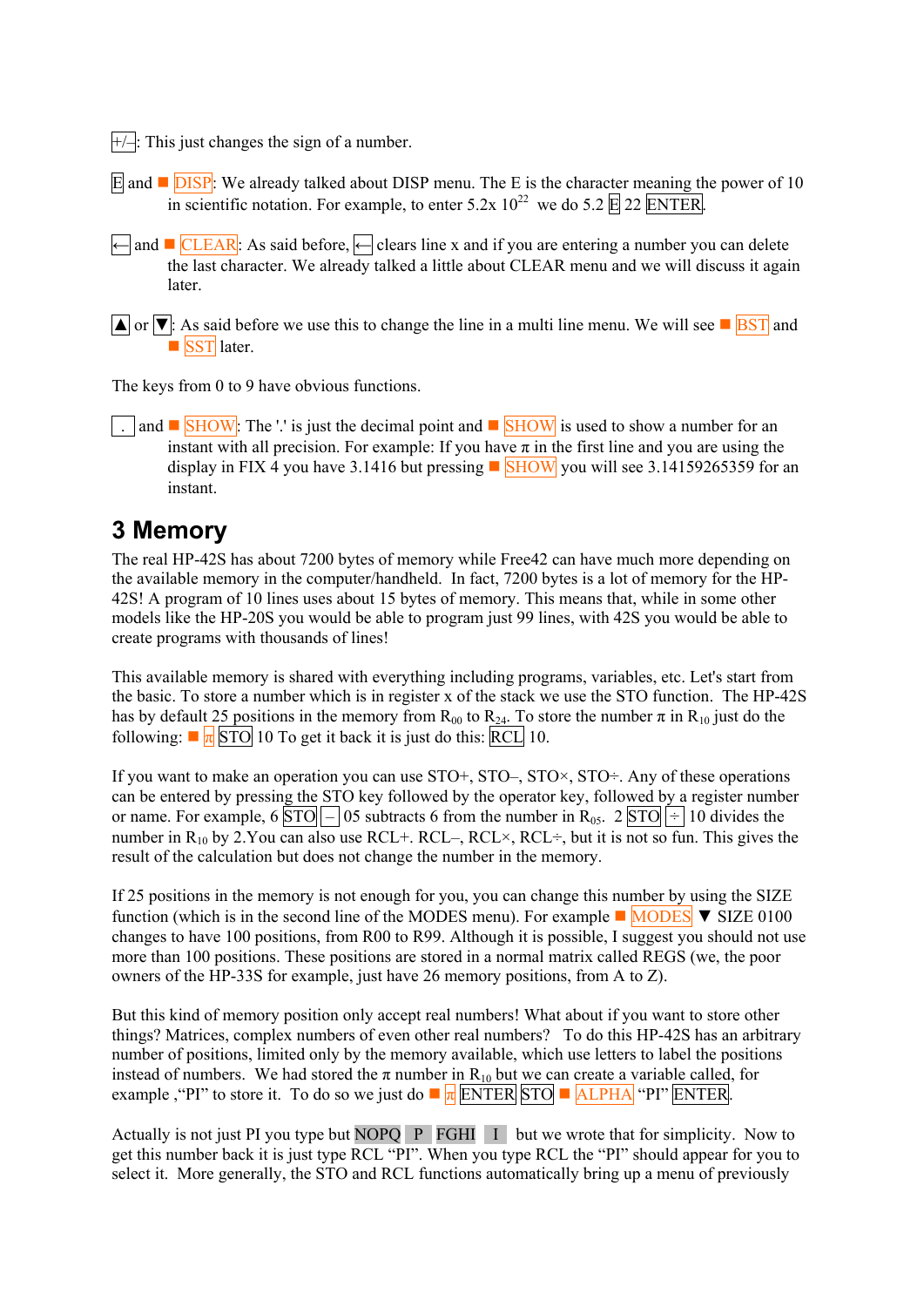<span id="page-9-0"></span> $\left|+\right\rangle$ . This just changes the sign of a number.

- E and  $\Box$  DISP: We already talked about DISP menu. The E is the character meaning the power of 10 in scientific notation. For example, to enter  $5.2x\ 10^{22}$  we do  $5.2 \times 22$  ENTER.
- ← and CLEAR: As said before, ← clears line x and if you are entering a number you can delete the last character. We already talked a little about CLEAR menu and we will discuss it again later.
- $\boxed{\blacktriangle}$  or  $\boxed{\blacktriangledown}$ : As said before we use this to change the line in a multi line menu. We will see  $\boxed{\blacktriangledown}$  and SST later.

The keys from 0 to 9 have obvious functions.

and  $\blacksquare$  SHOW: The '.' is just the decimal point and  $\blacksquare$  SHOW is used to show a number for an instant with all precision. For example: If you have  $\pi$  in the first line and you are using the display in FIX 4 you have 3.1416 but pressing  $\Box$  SHOW you will see 3.14159265359 for an instant.

# **3 Memory**

The real HP-42S has about 7200 bytes of memory while Free42 can have much more depending on the available memory in the computer/handheld. In fact, 7200 bytes is a lot of memory for the HP-42S! A program of 10 lines uses about 15 bytes of memory. This means that, while in some other models like the HP-20S you would be able to program just 99 lines, with 42S you would be able to create programs with thousands of lines!

This available memory is shared with everything including programs, variables, etc. Let's start from the basic. To store a number which is in register x of the stack we use the STO function. The HP-42S has by default 25 positions in the memory from  $R_{00}$  to  $R_{24}$ . To store the number  $\pi$  in  $R_{10}$  just do the following:  $\blacksquare \frac{\blacksquare}{\blacksquare}$  STO 10 To get it back it is just do this: RCL 10.

If you want to make an operation you can use  $STO^+$ ,  $STO^-$ ,  $STO^{\times}$ ,  $STO^{\div}$ . Any of these operations can be entered by pressing the STO key followed by the operator key, followed by a register number or name. For example, 6  $\boxed{STO}$  – 05 subtracts 6 from the number in R<sub>05</sub>. 2  $\boxed{STO}$  ÷ 10 divides the number in  $R_{10}$  by 2.You can also use RCL+. RCL–, RCL $\times$ , RCL $\div$ , but it is not so fun. This gives the result of the calculation but does not change the number in the memory.

If 25 positions in the memory is not enough for you, you can change this number by using the SIZE function (which is in the second line of the MODES menu). For example  $\blacksquare$  MODES  $\blacktriangledown$  SIZE 0100 changes to have 100 positions, from R00 to R99. Although it is possible, I suggest you should not use more than 100 positions. These positions are stored in a normal matrix called REGS (we, the poor owners of the HP-33S for example, just have 26 memory positions, from A to Z).

But this kind of memory position only accept real numbers! What about if you want to store other things? Matrices, complex numbers of even other real numbers? To do this HP-42S has an arbitrary number of positions, limited only by the memory available, which use letters to label the positions instead of numbers. We had stored the  $\pi$  number in R<sub>10</sub> but we can create a variable called, for example , "PI" to store it. To do so we just do  $\overline{\pi}$  ENTER STO  $\overline{\pi}$  ALPHA "PI" ENTER.

Actually is not just PI you type but NOPQ P FGHI I but we wrote that for simplicity. Now to get this number back it is just type RCL "PI". When you type RCL the "PI" should appear for you to select it. More generally, the STO and RCL functions automatically bring up a menu of previously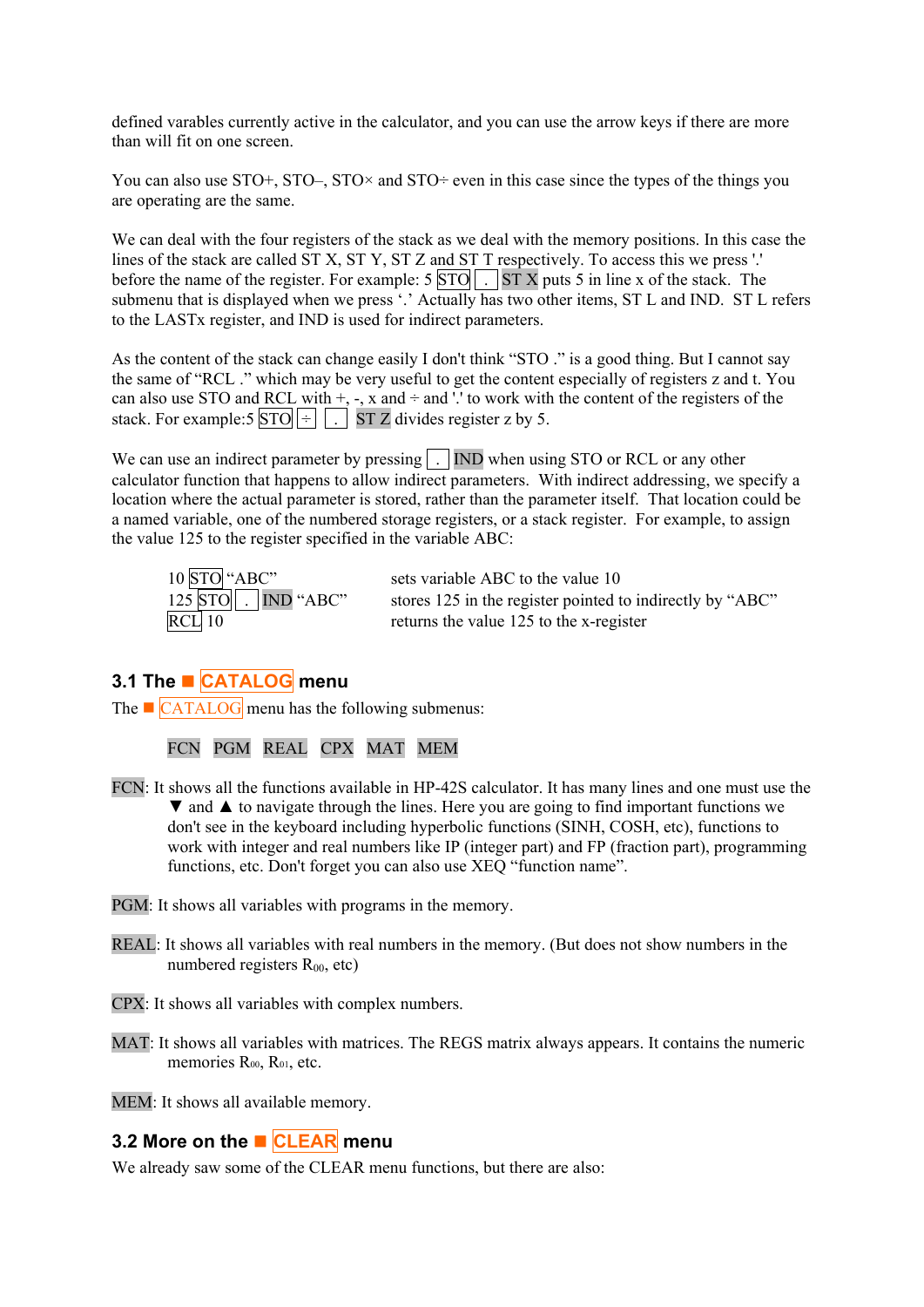<span id="page-10-0"></span>defined varables currently active in the calculator, and you can use the arrow keys if there are more than will fit on one screen.

You can also use  $STO^+$ ,  $STO^-$ ,  $STO^{\times}$  and  $STO^{\div}$  even in this case since the types of the things you are operating are the same.

We can deal with the four registers of the stack as we deal with the memory positions. In this case the lines of the stack are called ST X, ST Y, ST Z and ST T respectively. To access this we press '.' before the name of the register. For example:  $5|STO|$ .  $STX$  puts 5 in line x of the stack. The submenu that is displayed when we press '.' Actually has two other items, ST L and IND. ST L refers to the LASTx register, and IND is used for indirect parameters.

As the content of the stack can change easily I don't think "STO" is a good thing. But I cannot say the same of "RCL ." which may be very useful to get the content especially of registers z and t. You can also use STO and RCL with  $+$ ,  $-$ ,  $x$  and  $\div$  and  $\div$  to work with the content of the registers of the stack. For example:5  $\boxed{STO}$   $\div$   $\boxed{\cdot}$  ST Z divides register z by 5.

We can use an indirect parameter by pressing  $\boxed{\cdot}$  IND when using STO or RCL or any other calculator function that happens to allow indirect parameters. With indirect addressing, we specify a location where the actual parameter is stored, rather than the parameter itself. That location could be a named variable, one of the numbered storage registers, or a stack register. For example, to assign the value 125 to the register specified in the variable ABC:

| 10 STO "ABC"               | sets variable ABC to the value 10                         |
|----------------------------|-----------------------------------------------------------|
| $125$ STO $\Box$ IND "ABC" | stores 125 in the register pointed to indirectly by "ABC" |
| $RCL$ 10                   | returns the value 125 to the x-register                   |

## **3.1 The CATALOG menu**

The  $\blacksquare$  CATALOG menu has the following submenus:

FCN PGM REAL CPX MAT MEM

- FCN: It shows all the functions available in HP-42S calculator. It has many lines and one must use the ▼ and ▲ to navigate through the lines. Here you are going to find important functions we don't see in the keyboard including hyperbolic functions (SINH, COSH, etc), functions to work with integer and real numbers like IP (integer part) and FP (fraction part), programming functions, etc. Don't forget you can also use XEQ "function name".
- PGM: It shows all variables with programs in the memory.
- REAL: It shows all variables with real numbers in the memory. (But does not show numbers in the numbered registers  $R_{00}$ , etc)
- CPX: It shows all variables with complex numbers.
- MAT: It shows all variables with matrices. The REGS matrix always appears. It contains the numeric memories R<sub>00</sub>, R<sub>01</sub>, etc.

MEM: It shows all available memory.

### **3.2 More on the ■ CLEAR menu**

We already saw some of the CLEAR menu functions, but there are also: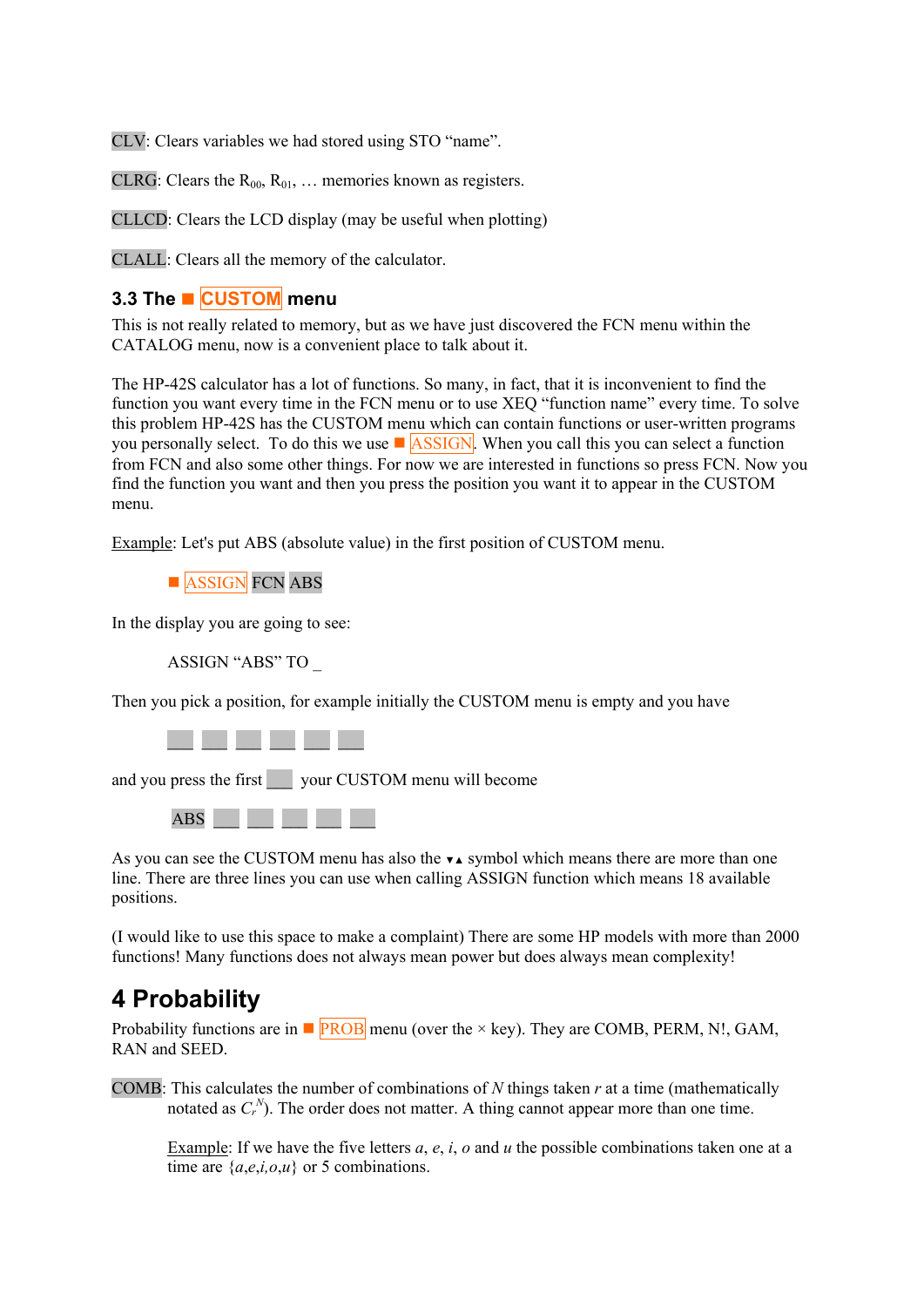<span id="page-11-0"></span>CLV: Clears variables we had stored using STO "name".

CLRG: Clears the  $R_{00}$ ,  $R_{01}$ , ... memories known as registers.

CLLCD: Clears the LCD display (may be useful when plotting)

CLALL: Clears all the memory of the calculator.

### **3.3 The CUSTOM menu**

This is not really related to memory, but as we have just discovered the FCN menu within the CATALOG menu, now is a convenient place to talk about it.

The HP-42S calculator has a lot of functions. So many, in fact, that it is inconvenient to find the function you want every time in the FCN menu or to use XEQ "function name" every time. To solve this problem HP-42S has the CUSTOM menu which can contain functions or user-written programs you personally select. To do this we use  $\blacksquare$  ASSIGN. When you call this you can select a function from FCN and also some other things. For now we are interested in functions so press FCN. Now you find the function you want and then you press the position you want it to appear in the CUSTOM menu.

Example: Let's put ABS (absolute value) in the first position of CUSTOM menu.



In the display you are going to see:

ASSIGN "ABS" TO \_

Then you pick a position, for example initially the CUSTOM menu is empty and you have



and you press the first vour CUSTOM menu will become



As you can see the CUSTOM menu has also the  $\star\star$  symbol which means there are more than one line. There are three lines you can use when calling ASSIGN function which means 18 available positions.

(I would like to use this space to make a complaint) There are some HP models with more than 2000 functions! Many functions does not always mean power but does always mean complexity!

# **4 Probability**

Probability functions are in  $\blacksquare$   $\blacksquare$   $\blacksquare$   $\blacksquare$   $\blacksquare$   $\blacksquare$   $\blacksquare$   $\blacksquare$   $\blacksquare$   $\blacksquare$   $\blacksquare$   $\blacksquare$   $\blacksquare$   $\blacksquare$   $\blacksquare$   $\blacksquare$   $\blacksquare$   $\blacksquare$   $\blacksquare$   $\blacksquare$   $\blacksquare$   $\blacksquare$   $\blacksquare$   $\blacksquare$   $\blacksquare$   $\blacksquare$   $\blacksquare$   $\bl$ RAN and SEED.

COMB: This calculates the number of combinations of *N* things taken *r* at a time (mathematically notated as  $C_r^N$ ). The order does not matter. A thing cannot appear more than one time.

Example: If we have the five letters *a*, *e*, *i*, *o* and *u* the possible combinations taken one at a time are  $\{a,e,i,o,u\}$  or 5 combinations.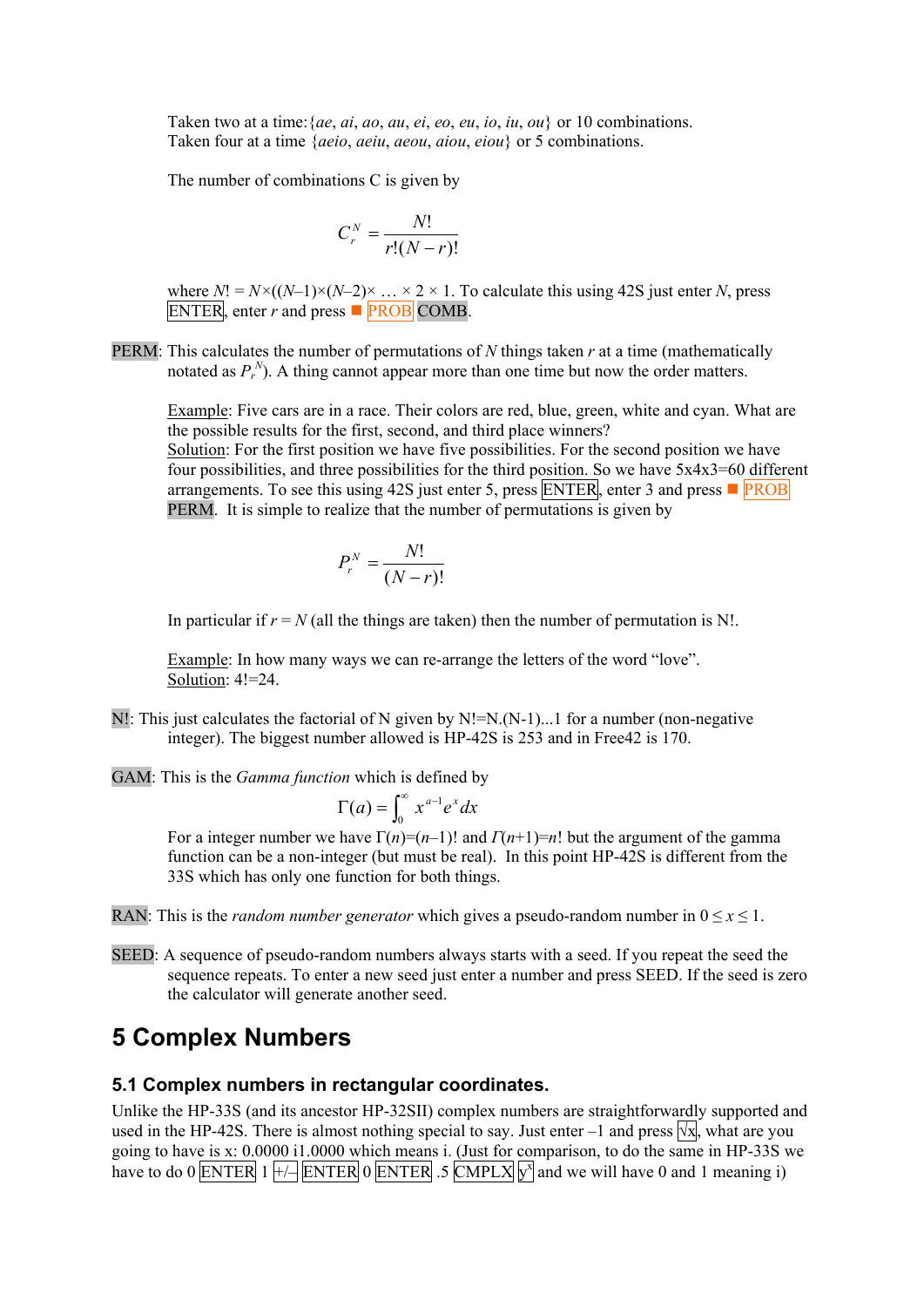<span id="page-12-0"></span>Taken two at a time:{*ae*, *ai*, *ao*, *au*, *ei*, *eo*, *eu*, *io*, *iu*, *ou*} or 10 combinations. Taken four at a time {*aeio*, *aeiu*, *aeou*, *aiou*, *eiou*} or 5 combinations.

The number of combinations C is given by

$$
C_r^N = \frac{N!}{r!(N-r)!}
$$

where  $N! = N \times ((N-1) \times (N-2) \times ... \times 2 \times 1$ . To calculate this using 42S just enter *N*, press ENTER, enter  $r$  and press  $\blacksquare$  **PROB** COMB.

PERM: This calculates the number of permutations of *N* things taken *r* at a time (mathematically notated as  $P_r^N$ ). A thing cannot appear more than one time but now the order matters.

Example: Five cars are in a race. Their colors are red, blue, green, white and cyan. What are the possible results for the first, second, and third place winners?

Solution: For the first position we have five possibilities. For the second position we have four possibilities, and three possibilities for the third position. So we have 5x4x3=60 different arrangements. To see this using 42S just enter 5, press ENTER, enter 3 and press  $\blacksquare$  PROB PERM. It is simple to realize that the number of permutations is given by

$$
P_r^N = \frac{N!}{(N-r)!}
$$

In particular if  $r = N$  (all the things are taken) then the number of permutation is N!.

Example: In how many ways we can re-arrange the letters of the word "love". Solution:  $4! = 24$ .

- N!: This just calculates the factorial of N given by N!=N.(N-1)...1 for a number (non-negative integer). The biggest number allowed is HP-42S is 253 and in Free42 is 170.
- GAM: This is the *Gamma function* which is defined by

$$
\Gamma(a) = \int_0^\infty x^{a-1} e^x dx
$$

For a integer number we have  $\Gamma(n)=(n-1)!$  and  $\Gamma(n+1)=n!$  but the argument of the gamma function can be a non-integer (but must be real). In this point HP-42S is different from the 33S which has only one function for both things.

- RAN: This is the *random number generator* which gives a pseudo-random number in  $0 \le x \le 1$ .
- SEED: A sequence of pseudo-random numbers always starts with a seed. If you repeat the seed the sequence repeats. To enter a new seed just enter a number and press SEED. If the seed is zero the calculator will generate another seed.

## **5 Complex Numbers**

#### **5.1 Complex numbers in rectangular coordinates.**

Unlike the HP-33S (and its ancestor HP-32SII) complex numbers are straightforwardly supported and used in the HP-42S. There is almost nothing special to say. Just enter –1 and press  $\sqrt{x}$ , what are you going to have is x: 0.0000 i1.0000 which means i. (Just for comparison, to do the same in HP-33S we have to do 0 ENTER  $1 +$  ENTER 0 ENTER .5 CMPLX  $\sqrt{y}$  and we will have 0 and 1 meaning i)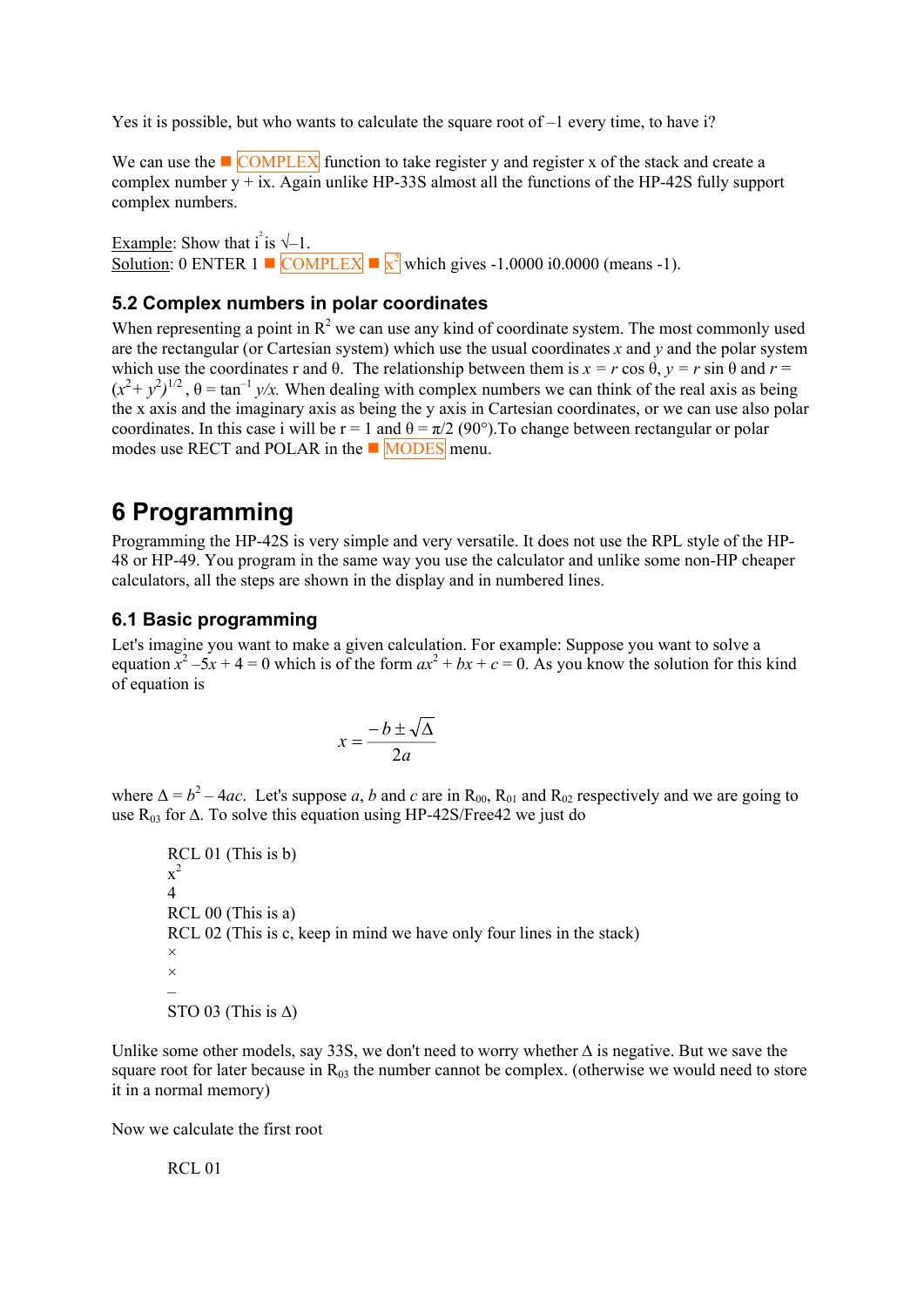<span id="page-13-0"></span>Yes it is possible, but who wants to calculate the square root of  $-1$  every time, to have i?

We can use the  $\Box$  COMPLEX function to take register y and register x of the stack and create a complex number  $\overline{v + ix}$ . Again unlike HP-33S almost all the functions of the HP-42S fully support complex numbers.

Example: Show that  $i^2$  is  $\sqrt{-1}$ . Solution: 0 ENTER 1  $\blacksquare$  COMPLEX  $\blacksquare$   $\mathbf{x}^2$  which gives -1.0000 i0.0000 (means -1).

#### **5.2 Complex numbers in polar coordinates**

When representing a point in  $R^2$  we can use any kind of coordinate system. The most commonly used are the rectangular (or Cartesian system) which use the usual coordinates *x* and *y* and the polar system which use the coordinates r and  $\theta$ . The relationship between them is  $x = r \cos \theta$ ,  $y = r \sin \theta$  and  $r = r \cos \theta$ .  $(x^2 + y^2)^{1/2}$ ,  $\theta = \tan^{-1} y/x$ . When dealing with complex numbers we can think of the real axis as being the x axis and the imaginary axis as being the y axis in Cartesian coordinates, or we can use also polar coordinates. In this case i will be  $r = 1$  and  $\theta = \pi/2$  (90°). To change between rectangular or polar modes use RECT and POLAR in the  $\blacksquare$  MODES menu.

# **6 Programming**

Programming the HP-42S is very simple and very versatile. It does not use the RPL style of the HP-48 or HP-49. You program in the same way you use the calculator and unlike some non-HP cheaper calculators, all the steps are shown in the display and in numbered lines.

### **6.1 Basic programming**

Let's imagine you want to make a given calculation. For example: Suppose you want to solve a equation  $x^2 - 5x + 4 = 0$  which is of the form  $ax^2 + bx + c = 0$ . As you know the solution for this kind of equation is

$$
x = \frac{-b \pm \sqrt{\Delta}}{2a}
$$

where  $\Delta = b^2 - 4ac$ . Let's suppose *a*, *b* and *c* are in R<sub>00</sub>, R<sub>01</sub> and R<sub>02</sub> respectively and we are going to use  $R_{03}$  for  $\Delta$ . To solve this equation using HP-42S/Free42 we just do

 RCL 01 (This is b)  $x^2$  4 RCL 00 (This is a) RCL 02 (This is c, keep in mind we have only four lines in the stack) × ×  $\sim$  –  $\sim$  – STO 03 (This is  $\Delta$ )

Unlike some other models, say 33S, we don't need to worry whether ∆ is negative. But we save the square root for later because in  $R_{03}$  the number cannot be complex. (otherwise we would need to store it in a normal memory)

Now we calculate the first root

RCL 01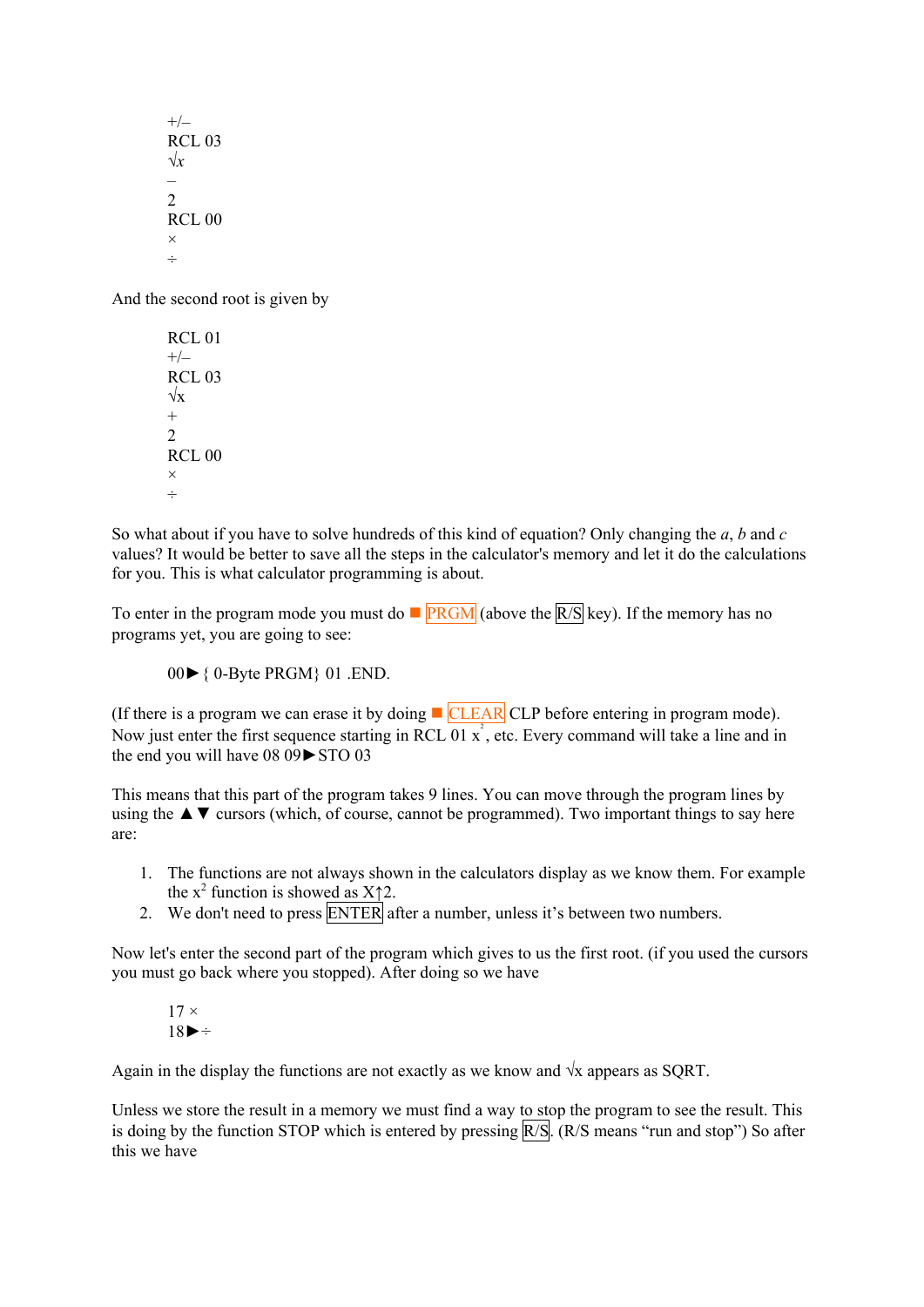$+/-$  RCL 03  $\sqrt{x}$  –  $\mathfrak{D}$  RCL 00 × ÷

And the second root is given by

 RCL 01  $+/-$  RCL 03  $\sqrt{x}$  $+$  2 RCL 00 × ÷

So what about if you have to solve hundreds of this kind of equation? Only changing the *a*, *b* and *c*  values? It would be better to save all the steps in the calculator's memory and let it do the calculations for you. This is what calculator programming is about.

To enter in the program mode you must do  $\blacksquare$   $\blacksquare$  PRGM (above the  $\lceil R/S \rceil$  key). If the memory has no programs yet, you are going to see:

00►{ 0-Byte PRGM} 01 .END.

(If there is a program we can erase it by doing  $\blacksquare$  CLEAR CLP before entering in program mode). Now just enter the first sequence starting in RCL  $\overline{01} x^2$ , etc. Every command will take a line and in the end you will have 08 09►STO 03

This means that this part of the program takes 9 lines. You can move through the program lines by using the  $\triangle \blacktriangledown$  cursors (which, of course, cannot be programmed). Two important things to say here are:

- 1. The functions are not always shown in the calculators display as we know them. For example the  $x^2$  function is showed as  $X \uparrow 2$ .
- 2. We don't need to press **ENTER** after a number, unless it's between two numbers.

Now let's enter the second part of the program which gives to us the first root. (if you used the cursors you must go back where you stopped). After doing so we have

$$
17 \times \n18 \rightarrow \div
$$

Again in the display the functions are not exactly as we know and  $\sqrt{x}$  appears as SQRT.

Unless we store the result in a memory we must find a way to stop the program to see the result. This is doing by the function STOP which is entered by pressing R/S. (R/S means "run and stop") So after this we have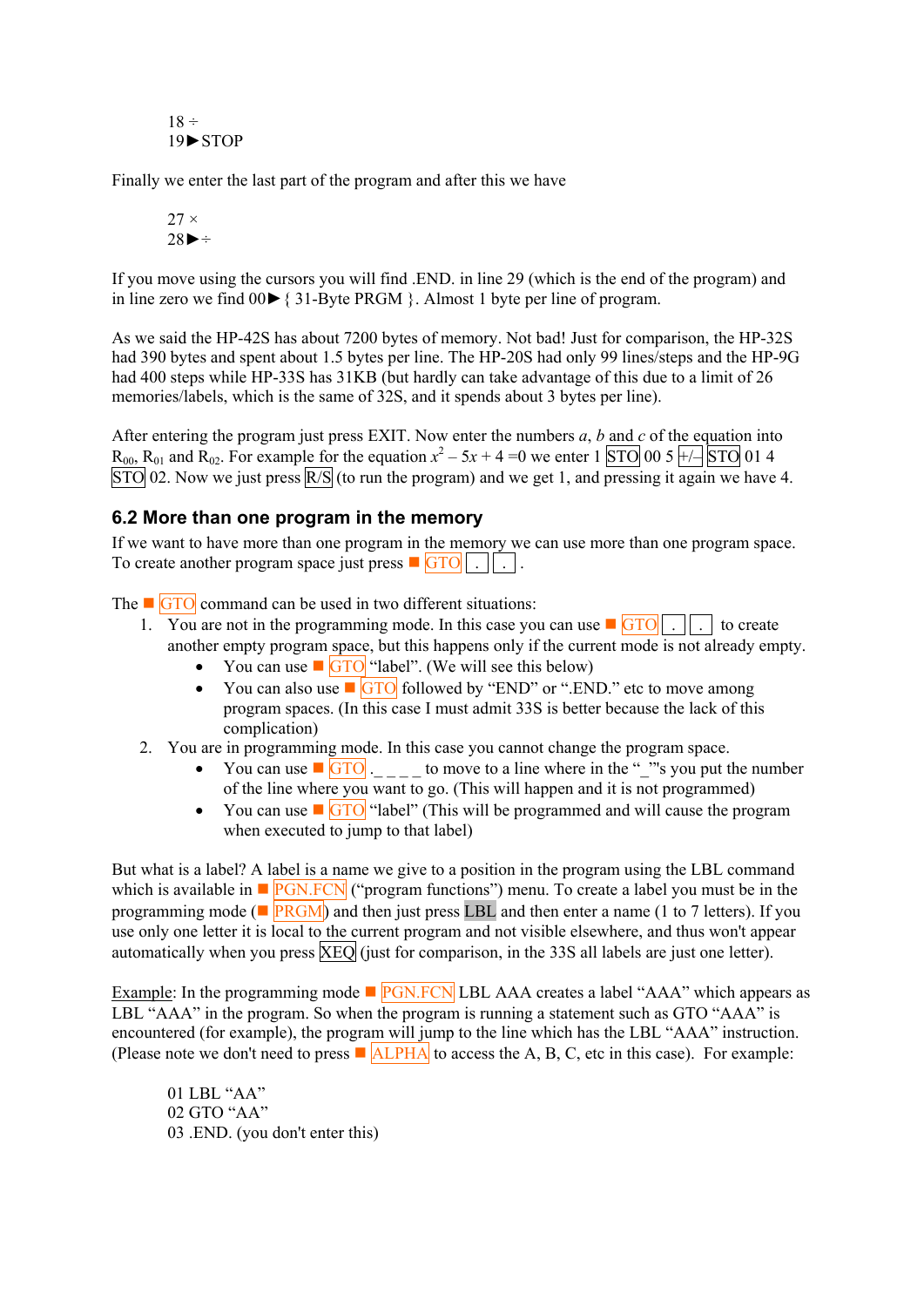<span id="page-15-0"></span> $18 \div$ 19►STOP

Finally we enter the last part of the program and after this we have

$$
27 \times \atop 28 \blacktriangleright \div
$$

If you move using the cursors you will find .END. in line 29 (which is the end of the program) and in line zero we find 00►{ 31-Byte PRGM }. Almost 1 byte per line of program.

As we said the HP-42S has about 7200 bytes of memory. Not bad! Just for comparison, the HP-32S had 390 bytes and spent about 1.5 bytes per line. The HP-20S had only 99 lines/steps and the HP-9G had 400 steps while HP-33S has 31KB (but hardly can take advantage of this due to a limit of 26 memories/labels, which is the same of 32S, and it spends about 3 bytes per line).

After entering the program just press EXIT. Now enter the numbers *a*, *b* and *c* of the equation into  $R_{00}$ ,  $R_{01}$  and  $R_{02}$ . For example for the equation  $x^2 - 5x + 4 = 0$  we enter 1  $\boxed{STO}$  00 5  $\boxed{+/-}$   $\boxed{STO}$  01 4  $\overline{STO}$  02. Now we just press  $\overline{R/S}$  (to run the program) and we get 1, and pressing it again we have 4.

#### **6.2 More than one program in the memory**

If we want to have more than one program in the memory we can use more than one program space. To create another program space just press  $\blacksquare$  GTO  $\vert \vert$ .  $\vert \vert$ .

The GTO command can be used in two different situations:

- 1. You are not in the programming mode. In this case you can use  $\sqrt{GTO}$ . another empty program space, but this happens only if the current mode is not already empty.
	- You can use  $\blacksquare$  GTO "label". (We will see this below)
	- You can also use  $\Box$  GTO followed by "END" or ".END." etc to move among program spaces. (In this case I must admit 33S is better because the lack of this complication)
- 2. You are in programming mode. In this case you cannot change the program space.
	- You can use  $\Box$   $\Box$   $\Box$   $\Box$  to move to a line where in the " "'s you put the number of the line where you want to go. (This will happen and it is not programmed)
	- You can use  $\Box$  GTO "label" (This will be programmed and will cause the program when executed to jump to that label)

But what is a label? A label is a name we give to a position in the program using the LBL command which is available in  $\blacksquare$   $\blacksquare$   $\blacksquare$   $\blacksquare$   $\blacksquare$   $\blacksquare$   $\blacksquare$   $\blacksquare$   $\blacksquare$   $\blacksquare$   $\blacksquare$   $\blacksquare$   $\blacksquare$   $\blacksquare$   $\blacksquare$   $\blacksquare$   $\blacksquare$   $\blacksquare$   $\blacksquare$   $\blacksquare$   $\blacksquare$   $\blacksquare$   $\blacksquare$   $\blacksquare$   $\blacksquare$   $\blacksquare$   $\blacksquare$   $\blacksquare$   $\bl$ programming mode ( $\blacksquare$   $\blacksquare$   $\blacksquare$   $\blacksquare$   $\blacksquare$   $\blacksquare$  and then enter a name (1 to 7 letters). If you use only one letter it is local to the current program and not visible elsewhere, and thus won't appear automatically when you press  $\overline{XEO}$  (just for comparison, in the 33S all labels are just one letter).

Example: In the programming mode  $\blacksquare$  PGN.FCN LBL AAA creates a label "AAA" which appears as LBL "AAA" in the program. So when the program is running a statement such as GTO "AAA" is encountered (for example), the program will jump to the line which has the LBL "AAA" instruction. (Please note we don't need to press  $\blacksquare$  ALPHA to access the A, B, C, etc in this case). For example:

 01 LBL "AA" 02 GTO "AA" 03 .END. (you don't enter this)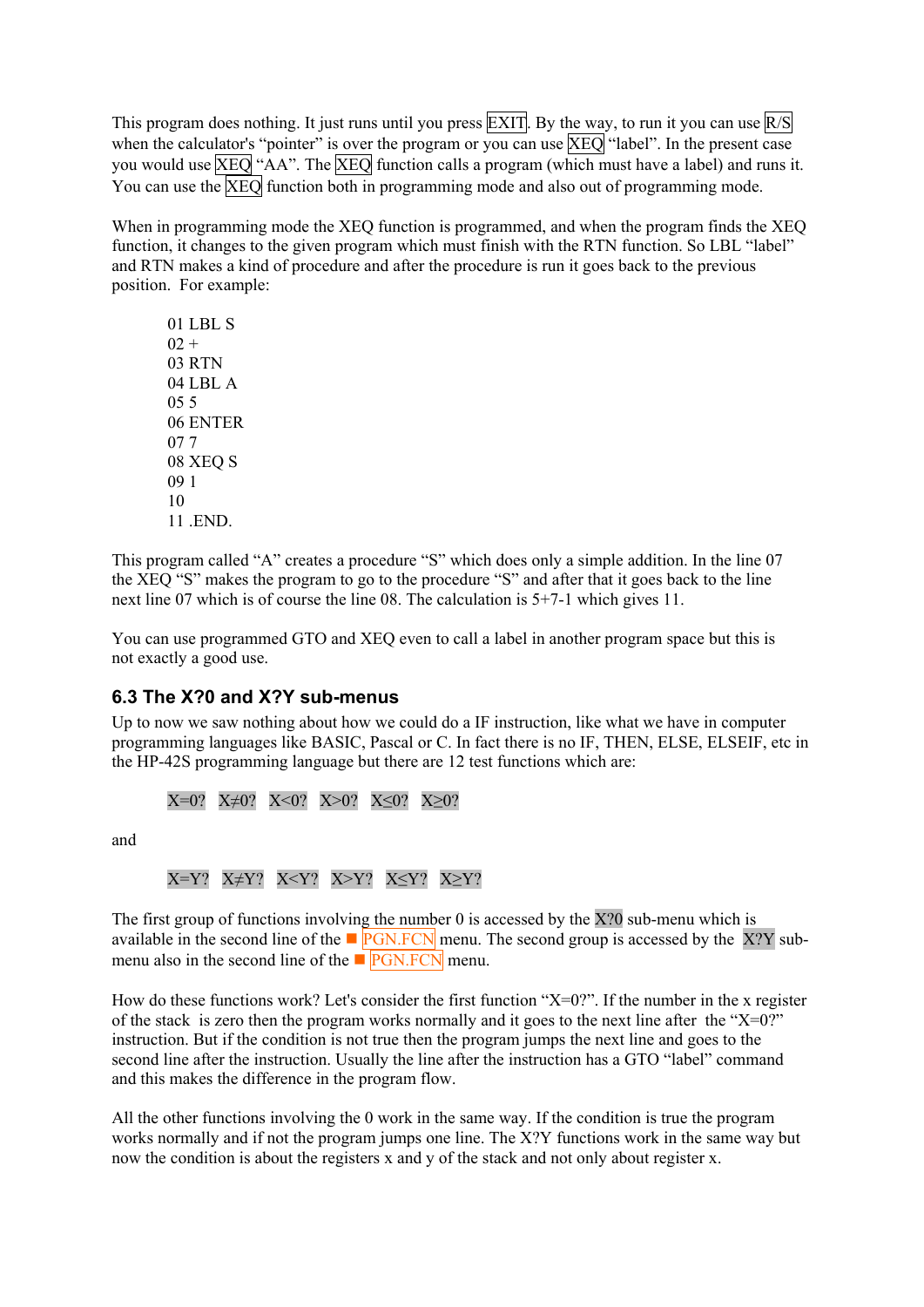<span id="page-16-0"></span>This program does nothing. It just runs until you press  $\overline{EXIT}$ . By the way, to run it you can use  $\overline{R/S}$ when the calculator's "pointer" is over the program or you can use  $\overline{XEO}$  "label". In the present case you would use XEQ "AA". The XEQ function calls a program (which must have a label) and runs it. You can use the XEO function both in programming mode and also out of programming mode.

When in programming mode the XEO function is programmed, and when the program finds the XEO function, it changes to the given program which must finish with the RTN function. So LBL "label" and RTN makes a kind of procedure and after the procedure is run it goes back to the previous position. For example:

 01 LBL S  $02 +$  03 RTN 04 LBL A 05 5 06 ENTER 07 7 08 XEQ S 09 1 10 11 **END** 

This program called "A" creates a procedure "S" which does only a simple addition. In the line 07 the XEQ "S" makes the program to go to the procedure "S" and after that it goes back to the line next line 07 which is of course the line 08. The calculation is 5+7-1 which gives 11.

You can use programmed GTO and XEQ even to call a label in another program space but this is not exactly a good use.

#### **6.3 The X?0 and X?Y sub-menus**

Up to now we saw nothing about how we could do a IF instruction, like what we have in computer programming languages like BASIC, Pascal or C. In fact there is no IF, THEN, ELSE, ELSEIF, etc in the HP-42S programming language but there are 12 test functions which are:

X=0? X≠0? X<0? X>0? X≤0? X≥0?

and

 $X=Y?$   $X=Y?$   $X  $X>Y?$   $X>Y?$   $X>Y?$$ 

The first group of functions involving the number 0 is accessed by the  $X$ ?0 sub-menu which is available in the second line of the  $\blacksquare$   $\blacksquare$   $\blacksquare$   $\blacksquare$   $\blacksquare$   $\blacksquare$   $\blacksquare$   $\blacksquare$   $\blacksquare$   $\blacksquare$   $\blacksquare$   $\blacksquare$   $\blacksquare$   $\blacksquare$   $\blacksquare$   $\blacksquare$   $\blacksquare$   $\blacksquare$   $\blacksquare$   $\blacksquare$   $\blacksquare$   $\blacksquare$   $\blacksquare$   $\blacksquare$   $\blacksquare$   $\blacksquare$   $\bl$ menu also in the second line of the  $\blacksquare$   $\blacksquare$   $\blacksquare$   $\blacksquare$   $\blacksquare$   $\blacksquare$   $\blacksquare$   $\blacksquare$   $\blacksquare$   $\blacksquare$   $\blacksquare$   $\blacksquare$   $\blacksquare$   $\blacksquare$   $\blacksquare$   $\blacksquare$   $\blacksquare$   $\blacksquare$   $\blacksquare$   $\blacksquare$   $\blacksquare$   $\blacksquare$   $\blacksquare$   $\blacksquare$   $\blacksquare$   $\blacksquare$   $\bl$ 

How do these functions work? Let's consider the first function "X=0?". If the number in the x register of the stack is zero then the program works normally and it goes to the next line after the " $X=0$ ?" instruction. But if the condition is not true then the program jumps the next line and goes to the second line after the instruction. Usually the line after the instruction has a GTO "label" command and this makes the difference in the program flow.

All the other functions involving the 0 work in the same way. If the condition is true the program works normally and if not the program jumps one line. The X?Y functions work in the same way but now the condition is about the registers x and y of the stack and not only about register x.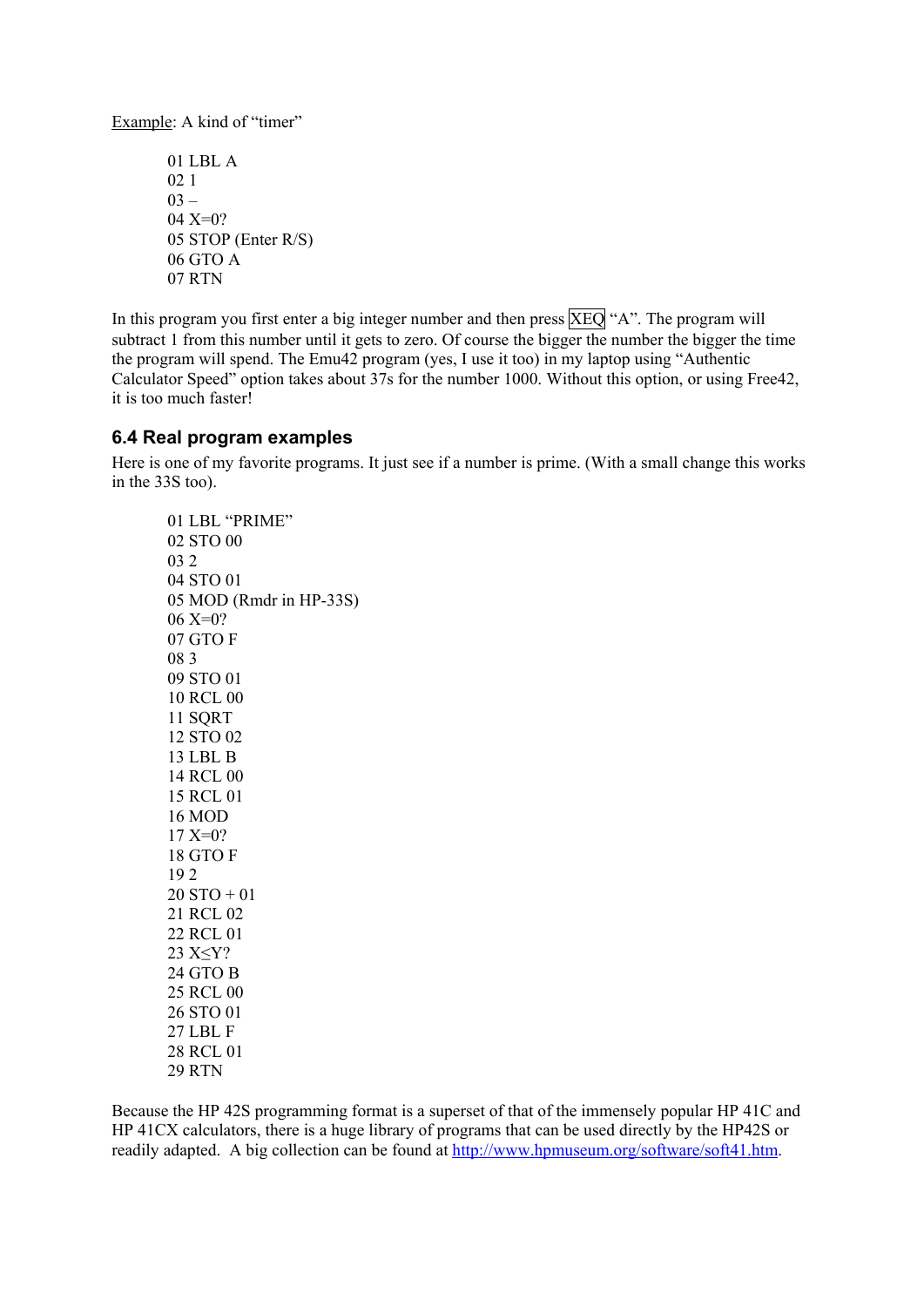<span id="page-17-0"></span>Example: A kind of "timer"

 01 LBL A 02 1  $03 -$  04 X=0? 05 STOP (Enter R/S) 06 GTO A 07 RTN

In this program you first enter a big integer number and then press  $XEO$  "A". The program will subtract 1 from this number until it gets to zero. Of course the bigger the number the bigger the time the program will spend. The Emu42 program (yes, I use it too) in my laptop using "Authentic Calculator Speed" option takes about 37s for the number 1000. Without this option, or using Free42, it is too much faster!

#### **6.4 Real program examples**

Here is one of my favorite programs. It just see if a number is prime. (With a small change this works in the 33S too).

 01 LBL "PRIME" 02 STO 00 03 2 04 STO 01 05 MOD (Rmdr in HP-33S) 06 X=0? 07 GTO F 08 3 09 STO 01 10 RCL 00 11 SQRT 12 STO 02 13 LBL B 14 RCL 00 15 RCL 01 16 MOD 17 X=0? 18 GTO F 19 2 20 STO + 01 21 RCL 02 22 RCL 01 23 X≤Y? 24 GTO B 25 RCL 00 26 STO 01 27 LBL F 28 RCL 01 29 RTN

Because the HP 42S programming format is a superset of that of the immensely popular HP 41C and HP 41CX calculators, there is a huge library of programs that can be used directly by the HP42S or readily adapted. A big collection can be found at [http://www.hpmuseum.org/software/soft41.htm.](http://www.hpmuseum.org/software/soft41.htm)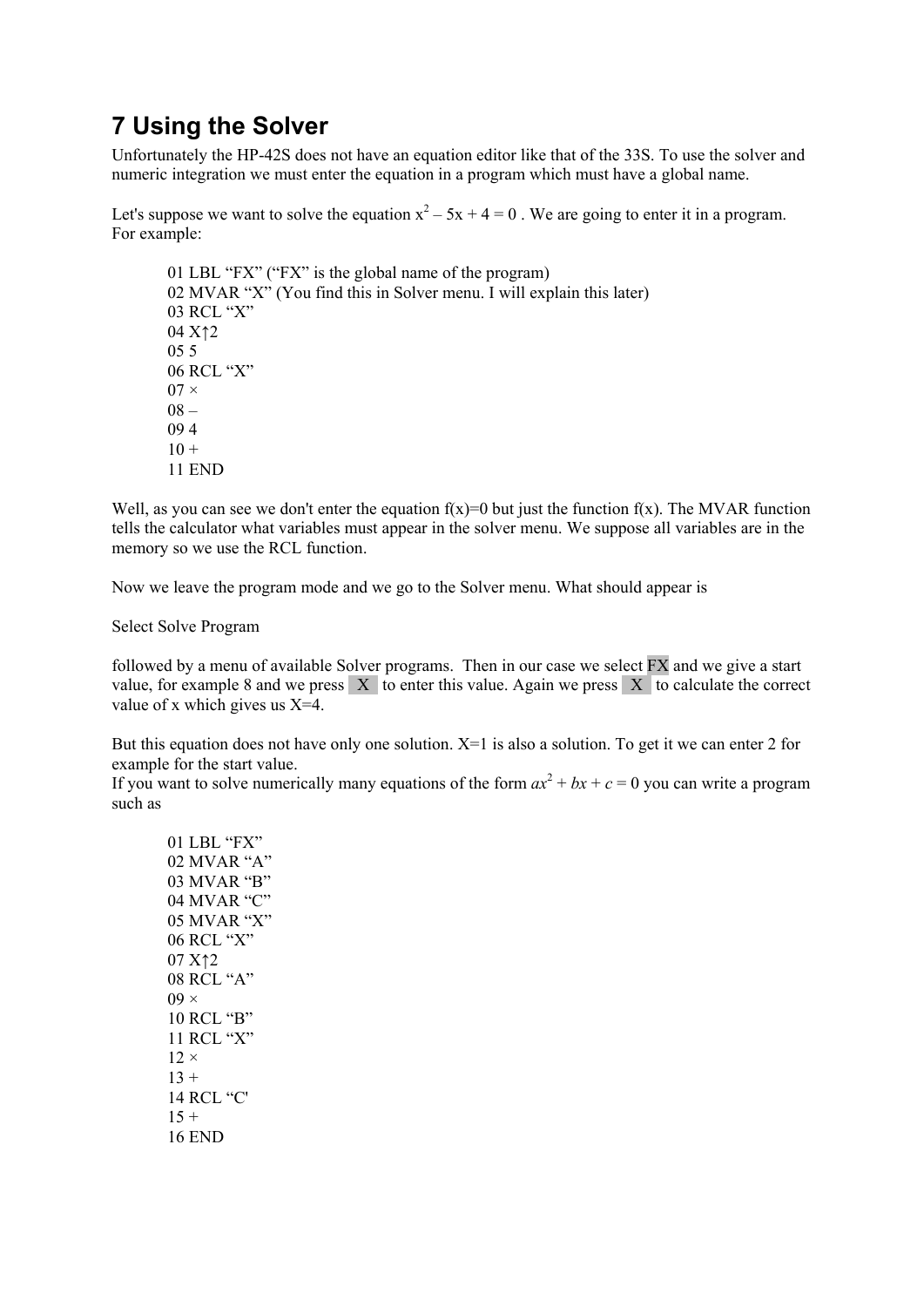# <span id="page-18-0"></span>**7 Using the Solver**

Unfortunately the HP-42S does not have an equation editor like that of the 33S. To use the solver and numeric integration we must enter the equation in a program which must have a global name.

Let's suppose we want to solve the equation  $x^2 - 5x + 4 = 0$ . We are going to enter it in a program. For example:

 01 LBL "FX" ("FX" is the global name of the program) 02 MVAR "X" (You find this in Solver menu. I will explain this later) 03 RCL "X" 04 X↑2 05 5 06 RCL "X"  $07 \times$  $08 -$  09 4  $10 +$ 11 END

Well, as you can see we don't enter the equation  $f(x)=0$  but just the function  $f(x)$ . The MVAR function tells the calculator what variables must appear in the solver menu. We suppose all variables are in the memory so we use the RCL function.

Now we leave the program mode and we go to the Solver menu. What should appear is

Select Solve Program

followed by a menu of available Solver programs. Then in our case we select FX and we give a start value, for example 8 and we press  $X$  to enter this value. Again we press  $X$  to calculate the correct value of x which gives us X=4.

But this equation does not have only one solution.  $X=1$  is also a solution. To get it we can enter 2 for example for the start value.

If you want to solve numerically many equations of the form  $ax^2 + bx + c = 0$  you can write a program such as

 01 LBL "FX" 02 MVAR "A" 03 MVAR "B" 04 MVAR "C" 05 MVAR "X" 06 RCL "X" 07 X↑2 08 RCL "A"  $09 \times$  10 RCL "B" 11 RCL "X"  $12 \times$  $13 +$  14 RCL "C'  $15 +$ 16 END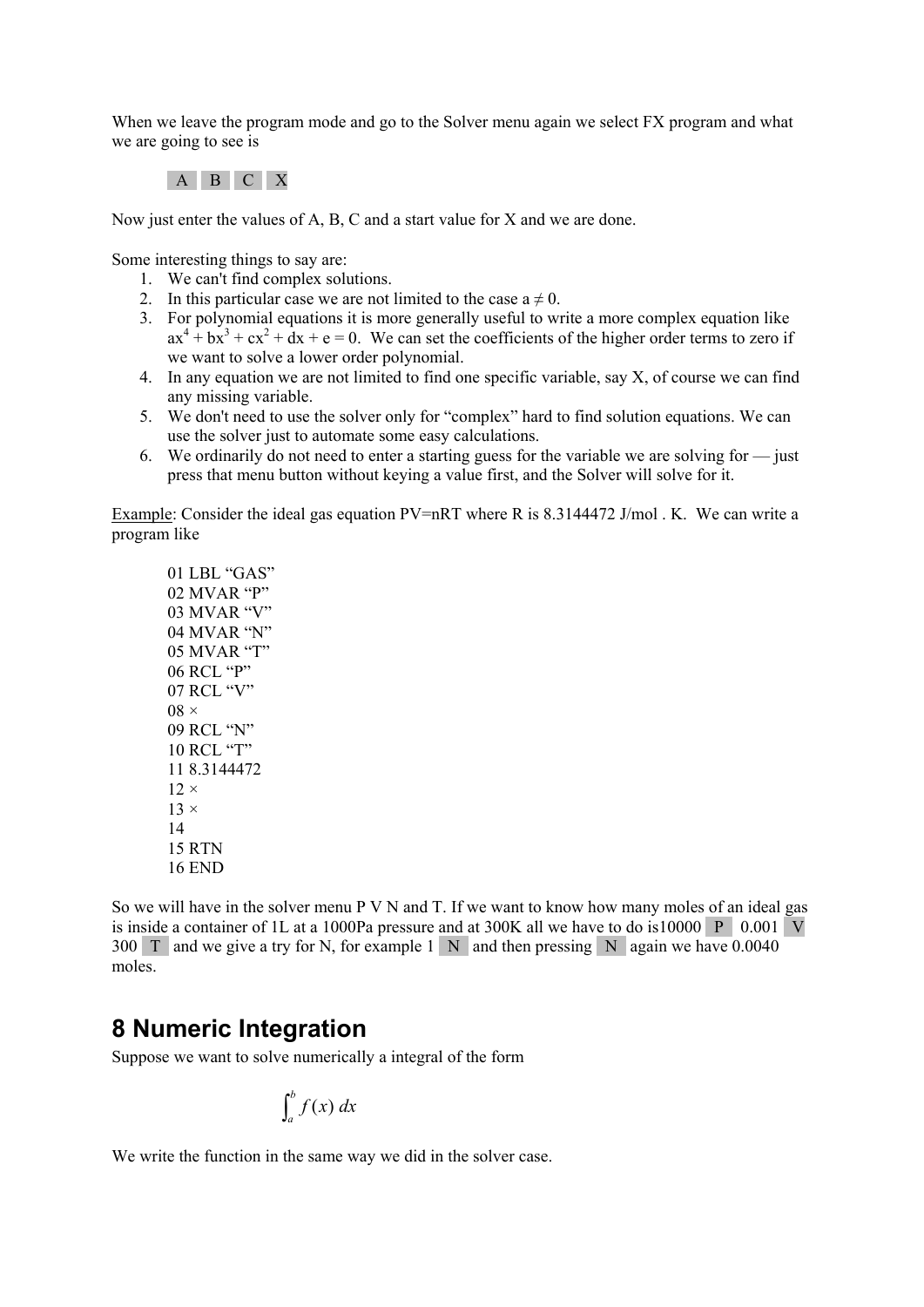<span id="page-19-0"></span>When we leave the program mode and go to the Solver menu again we select FX program and what we are going to see is

A B C X

Now just enter the values of A, B, C and a start value for X and we are done.

Some interesting things to say are:

- 1. We can't find complex solutions.
- 2. In this particular case we are not limited to the case  $a \neq 0$ .
- 3. For polynomial equations it is more generally useful to write a more complex equation like  $ax^4 + bx^3 + cx^2 + dx + e = 0$ . We can set the coefficients of the higher order terms to zero if we want to solve a lower order polynomial.
- 4. In any equation we are not limited to find one specific variable, say X, of course we can find any missing variable.
- 5. We don't need to use the solver only for "complex" hard to find solution equations. We can use the solver just to automate some easy calculations.
- 6. We ordinarily do not need to enter a starting guess for the variable we are solving for  $\frac{1}{\sqrt{2}}$  iust press that menu button without keying a value first, and the Solver will solve for it.

Example: Consider the ideal gas equation PV=nRT where R is 8.3144472 J/mol . K. We can write a program like

 01 LBL "GAS" 02 MVAR "P" 03 MVAR "V" 04 MVAR "N" 05 MVAR "T" 06 RCL "P" 07 RCL "V"  $08 \times$  09 RCL "N" 10 RCL "T" 11 8.3144472  $12 \times$  $13 \times$  14 15 RTN 16 END

So we will have in the solver menu P V N and T. If we want to know how many moles of an ideal gas is inside a container of 1L at a 1000Pa pressure and at 300K all we have to do is10000 P 0.001 V 300 T and we give a try for N, for example 1 N and then pressing N again we have 0.0040 moles.

# **8 Numeric Integration**

Suppose we want to solve numerically a integral of the form

$$
\int_a^b f(x) \, dx
$$

We write the function in the same way we did in the solver case.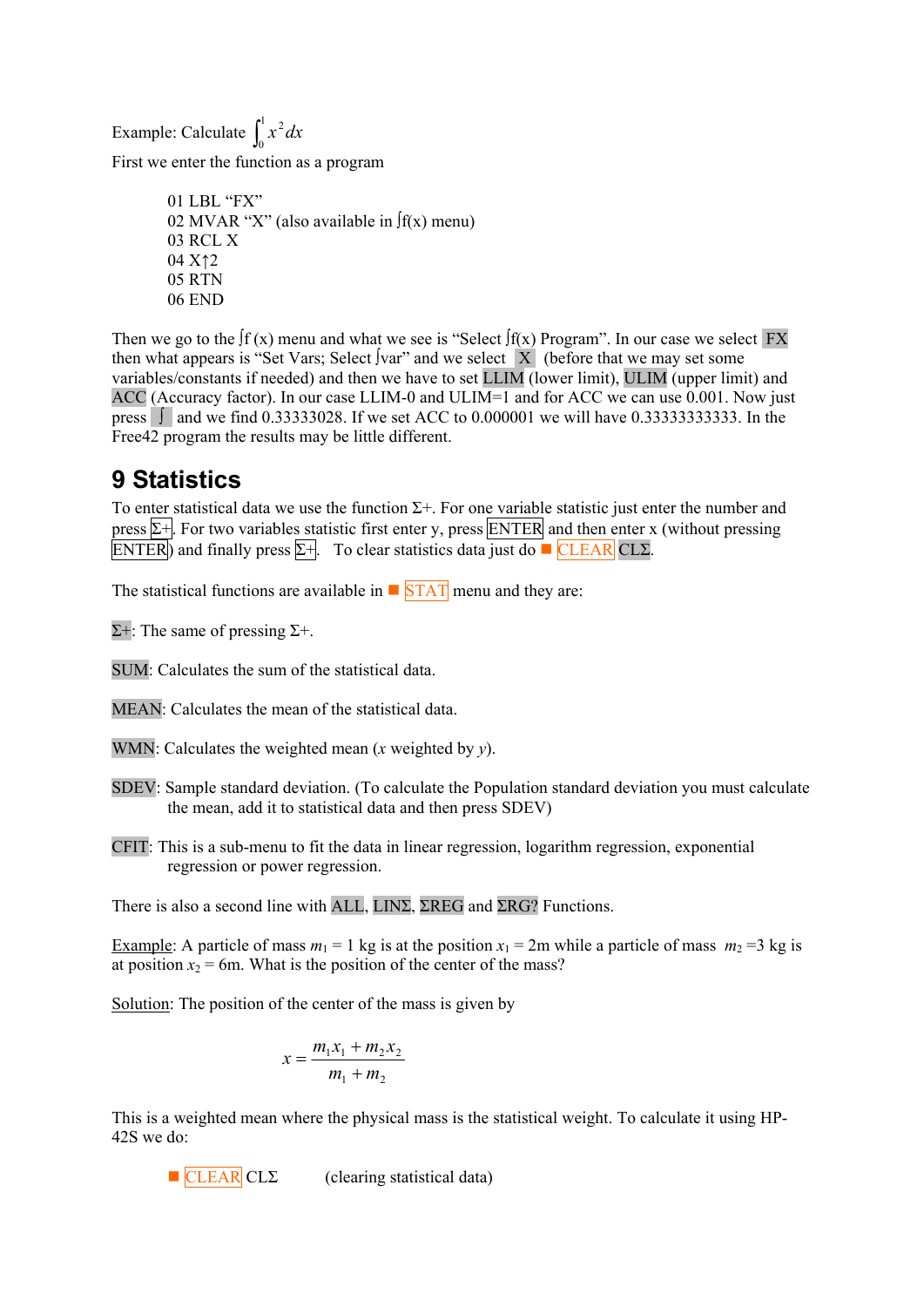<span id="page-20-0"></span>Example: Calculate  $\int_0^1$ 0  $x^2 dx$ 

First we enter the function as a program

 01 LBL "FX" 02 MVAR "X" (also available in ∫f(x) menu) 03 RCL X 04 X↑2 05 RTN 06 END

Then we go to the  $\int f(x)$  menu and what we see is "Select  $\int f(x)$  Program". In our case we select FX then what appears is "Set Vars; Select ∫var" and we select  $\overline{X}$  (before that we may set some variables/constants if needed) and then we have to set LLIM (lower limit), ULIM (upper limit) and ACC (Accuracy factor). In our case LLIM-0 and ULIM=1 and for ACC we can use 0.001. Now just press ∫ and we find 0.33333028. If we set ACC to 0.000001 we will have 0.33333333333. In the Free42 program the results may be little different.

# **9 Statistics**

To enter statistical data we use the function  $\Sigma$ +. For one variable statistic just enter the number and press  $\Sigma$ +. For two variables statistic first enter y, press ENTER and then enter x (without pressing ENTER) and finally press  $\Sigma +$ . To clear statistics data just do **CLEAR** CLS.

The statistical functions are available in  $\blacksquare$  STAT menu and they are:

 $Σ+$ : The same of pressing  $Σ+$ .

SUM: Calculates the sum of the statistical data.

MEAN: Calculates the mean of the statistical data.

- WMN: Calculates the weighted mean (*x* weighted by *y*).
- SDEV: Sample standard deviation. (To calculate the Population standard deviation you must calculate the mean, add it to statistical data and then press SDEV)
- CFIT: This is a sub-menu to fit the data in linear regression, logarithm regression, exponential regression or power regression.

There is also a second line with ALL, LINΣ, ΣREG and ΣRG? Functions.

Example: A particle of mass  $m_1 = 1$  kg is at the position  $x_1 = 2m$  while a particle of mass  $m_2 = 3$  kg is at position  $x_2$  = 6m. What is the position of the center of the mass?

Solution: The position of the center of the mass is given by

$$
x = \frac{m_1 x_1 + m_2 x_2}{m_1 + m_2}
$$

This is a weighted mean where the physical mass is the statistical weight. To calculate it using HP-42S we do:

$$
\blacksquare
$$
 **CLEAR**  $CL\Sigma$ 

(clearing statistical data)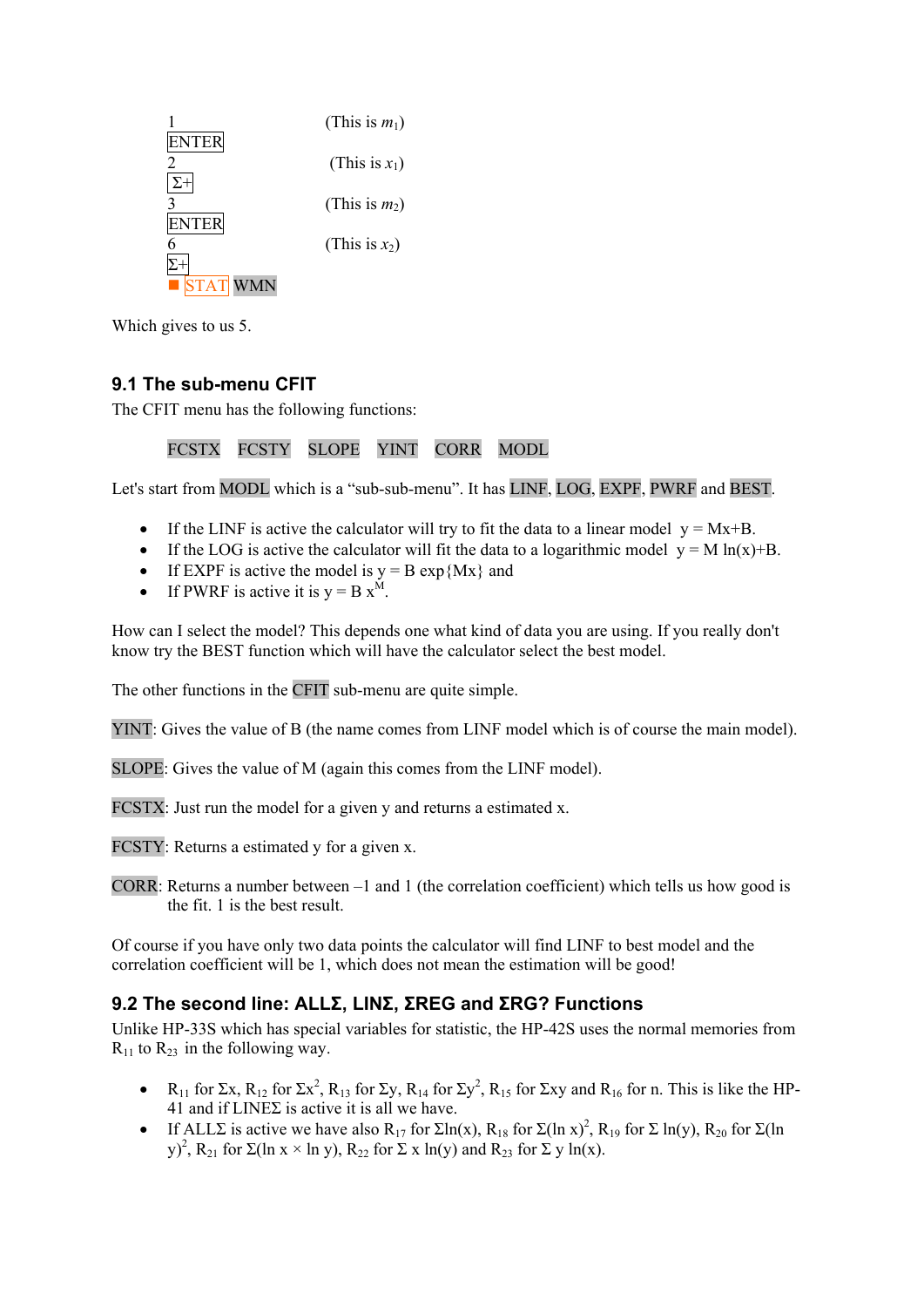<span id="page-21-0"></span>

Which gives to us 5.

### **9.1 The sub-menu CFIT**

The CFIT menu has the following functions:

#### FCSTX FCSTY SLOPE YINT CORR MODL

Let's start from MODL which is a "sub-sub-menu". It has LINF, LOG, EXPF, PWRF and BEST.

- If the LINF is active the calculator will try to fit the data to a linear model  $y = Mx+B$ .
- If the LOG is active the calculator will fit the data to a logarithmic model  $y = M \ln(x)+B$ .
- If EXPF is active the model is  $y = B \exp\{Mx\}$  and
- If PWRF is active it is  $y = B x^M$ .

How can I select the model? This depends one what kind of data you are using. If you really don't know try the BEST function which will have the calculator select the best model.

The other functions in the CFIT sub-menu are quite simple.

YINT: Gives the value of B (the name comes from LINF model which is of course the main model).

SLOPE: Gives the value of M (again this comes from the LINF model).

FCSTX: Just run the model for a given y and returns a estimated x.

FCSTY: Returns a estimated y for a given x.

CORR: Returns a number between –1 and 1 (the correlation coefficient) which tells us how good is the fit. 1 is the best result.

Of course if you have only two data points the calculator will find LINF to best model and the correlation coefficient will be 1, which does not mean the estimation will be good!

### **9.2 The second line: ALLΣ, LINΣ, ΣREG and ΣRG? Functions**

Unlike HP-33S which has special variables for statistic, the HP-42S uses the normal memories from  $R_{11}$  to  $R_{23}$  in the following way.

- R<sub>11</sub> for Σx, R<sub>12</sub> for Σx<sup>2</sup>, R<sub>13</sub> for Σy, R<sub>14</sub> for Σy<sup>2</sup>, R<sub>15</sub> for Σxy and R<sub>16</sub> for n. This is like the HP-41 and if  $LINE\Sigma$  is active it is all we have.
- If ALLE is active we have also  $R_{17}$  for  $\Sigma \ln(x)$ ,  $R_{18}$  for  $\Sigma (\ln x)^2$ ,  $R_{19}$  for  $\Sigma \ln(y)$ ,  $R_{20}$  for  $\Sigma (\ln x)^2$ y)<sup>2</sup>, R<sub>21</sub> for Σ(ln x × ln y), R<sub>22</sub> for Σ x ln(y) and R<sub>23</sub> for Σ y ln(x).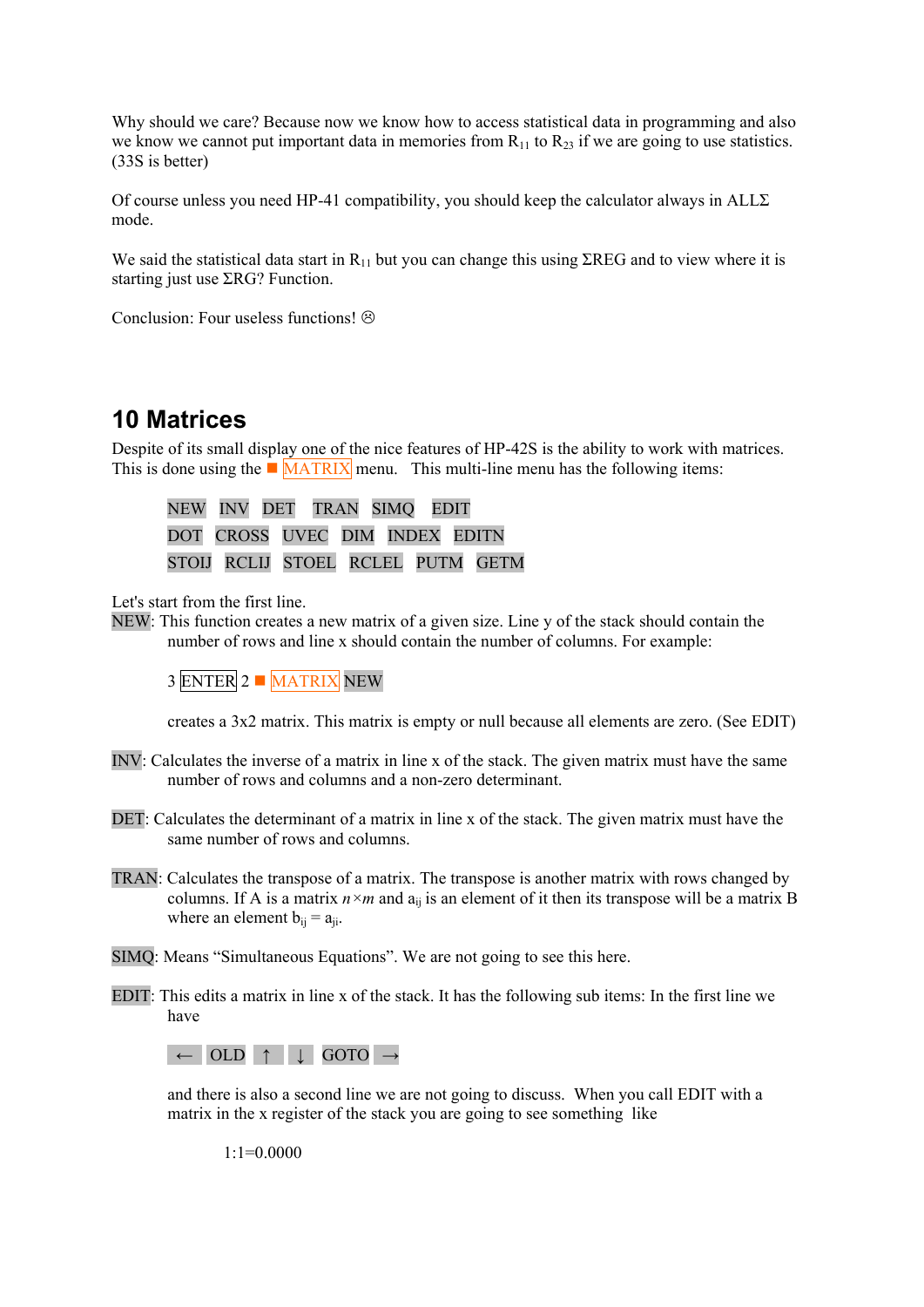<span id="page-22-0"></span>Why should we care? Because now we know how to access statistical data in programming and also we know we cannot put important data in memories from  $R_{11}$  to  $R_{23}$  if we are going to use statistics. (33S is better)

Of course unless you need HP-41 compatibility, you should keep the calculator always in  $ALL\Sigma$ mode.

We said the statistical data start in  $R_{11}$  but you can change this using ΣREG and to view where it is starting just use ΣRG? Function.

Conclusion: Four useless functions!  $\odot$ 

# **10 Matrices**

Despite of its small display one of the nice features of HP-42S is the ability to work with matrices. This is done using the  $\blacksquare$  MATRIX menu. This multi-line menu has the following items:

 NEW INV DET TRAN SIMQ EDIT DOT CROSS UVEC DIM INDEX EDITN STOIJ RCLIJ STOEL RCLEL PUTM GETM

Let's start from the first line.

NEW: This function creates a new matrix of a given size. Line y of the stack should contain the number of rows and line x should contain the number of columns. For example:

3 ENTER 2 MATRIX NEW

creates a 3x2 matrix. This matrix is empty or null because all elements are zero. (See EDIT)

- INV: Calculates the inverse of a matrix in line x of the stack. The given matrix must have the same number of rows and columns and a non-zero determinant.
- DET: Calculates the determinant of a matrix in line x of the stack. The given matrix must have the same number of rows and columns.
- TRAN: Calculates the transpose of a matrix. The transpose is another matrix with rows changed by columns. If A is a matrix  $n \times m$  and  $a_{ii}$  is an element of it then its transpose will be a matrix B where an element  $b_{ii} = a_{ii}$ .
- SIMQ: Means "Simultaneous Equations". We are not going to see this here.
- EDIT: This edits a matrix in line x of the stack. It has the following sub items: In the first line we have



and there is also a second line we are not going to discuss. When you call EDIT with a matrix in the x register of the stack you are going to see something like

 $1:1=0.0000$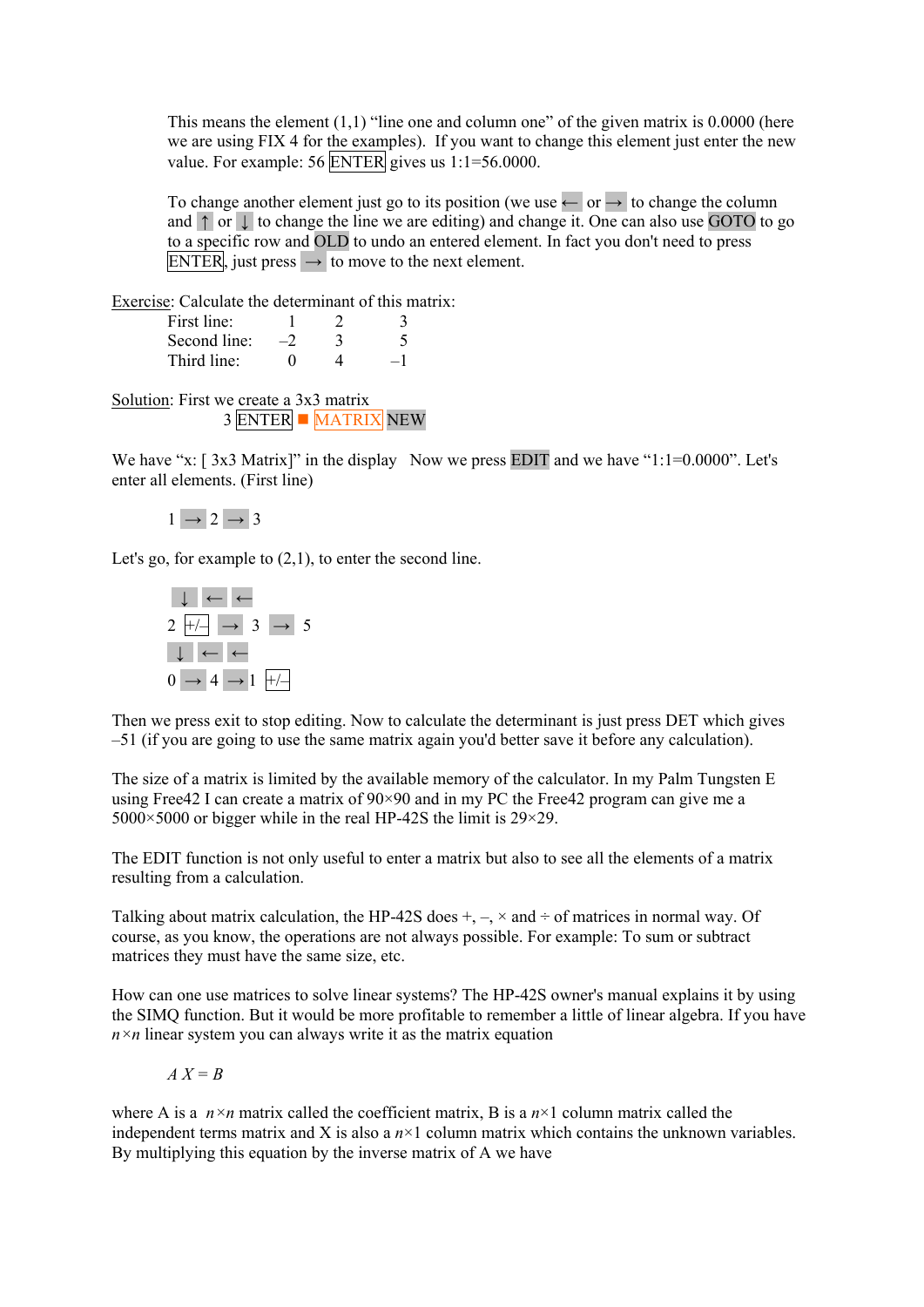This means the element  $(1,1)$  "line one and column one" of the given matrix is 0.0000 (here we are using FIX 4 for the examples). If you want to change this element just enter the new value. For example: 56 ENTER gives us 1:1=56.0000.

To change another element just go to its position (we use  $\leftarrow$  or  $\rightarrow$  to change the column and ↑ or ↓ to change the line we are editing) and change it. One can also use GOTO to go to a specific row and OLD to undo an entered element. In fact you don't need to press ENTER, just press  $\rightarrow$  to move to the next element.

Exercise: Calculate the determinant of this matrix:

| First line:  |  |  |
|--------------|--|--|
| Second line: |  |  |
| Third line:  |  |  |

Solution: First we create a 3x3 matrix 3 ENTER MATRIX NEW

We have "x:  $[3x3 \text{ Matrix}]$ " in the display Now we press EDIT and we have "1:1=0.0000". Let's enter all elements. (First line)

 $1 \rightarrow 2 \rightarrow 3$ 

Let's go, for example to (2,1), to enter the second line.



Then we press exit to stop editing. Now to calculate the determinant is just press DET which gives –51 (if you are going to use the same matrix again you'd better save it before any calculation).

The size of a matrix is limited by the available memory of the calculator. In my Palm Tungsten E using Free42 I can create a matrix of 90×90 and in my PC the Free42 program can give me a  $5000 \times 5000$  or bigger while in the real HP-42S the limit is 29 $\times$ 29.

The EDIT function is not only useful to enter a matrix but also to see all the elements of a matrix resulting from a calculation.

Talking about matrix calculation, the HP-42S does  $+$ ,  $-$ ,  $\times$  and  $\div$  of matrices in normal way. Of course, as you know, the operations are not always possible. For example: To sum or subtract matrices they must have the same size, etc.

How can one use matrices to solve linear systems? The HP-42S owner's manual explains it by using the SIMQ function. But it would be more profitable to remember a little of linear algebra. If you have  $n \times n$  linear system you can always write it as the matrix equation

$$
A X = B
$$

where A is a  $n \times n$  matrix called the coefficient matrix, B is a  $n \times 1$  column matrix called the independent terms matrix and X is also a  $n \times 1$  column matrix which contains the unknown variables. By multiplying this equation by the inverse matrix of A we have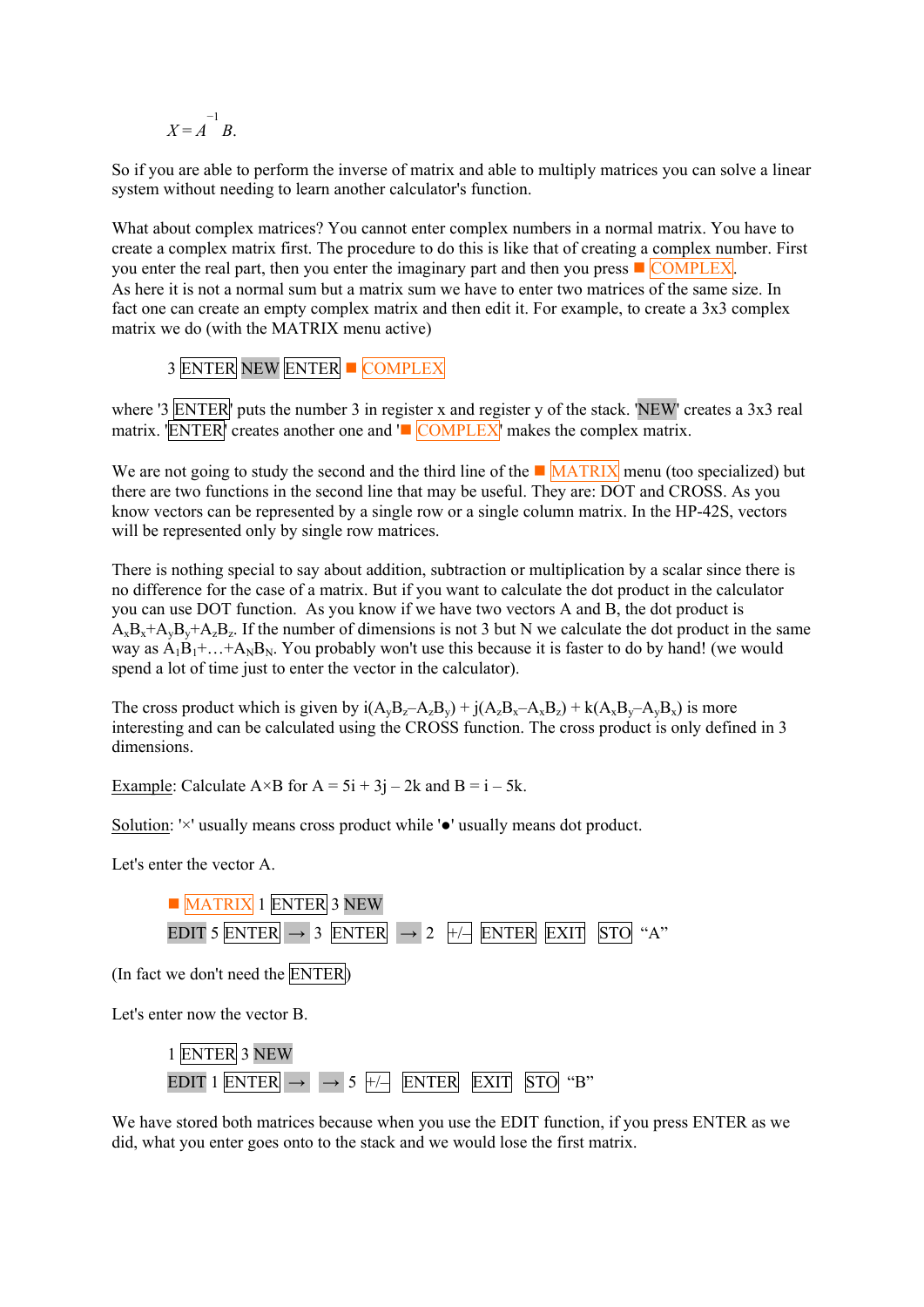$$
X = A^{-1} B.
$$

So if you are able to perform the inverse of matrix and able to multiply matrices you can solve a linear system without needing to learn another calculator's function.

What about complex matrices? You cannot enter complex numbers in a normal matrix. You have to create a complex matrix first. The procedure to do this is like that of creating a complex number. First you enter the real part, then you enter the imaginary part and then you press  $\blacksquare$  COMPLEX. As here it is not a normal sum but a matrix sum we have to enter two matrices of the same size. In fact one can create an empty complex matrix and then edit it. For example, to create a 3x3 complex matrix we do (with the MATRIX menu active)

3 ENTER NEW ENTER COMPLEX

where '3 ENTER' puts the number 3 in register x and register y of the stack. 'NEW' creates a 3x3 real matrix.  $\overline{ENTER}$  creates another one and  $\overline{COMPLEX}$  makes the complex matrix.

We are not going to study the second and the third line of the  $\blacksquare$  MATRIX menu (too specialized) but there are two functions in the second line that may be useful. They are: DOT and CROSS. As you know vectors can be represented by a single row or a single column matrix. In the HP-42S, vectors will be represented only by single row matrices.

There is nothing special to say about addition, subtraction or multiplication by a scalar since there is no difference for the case of a matrix. But if you want to calculate the dot product in the calculator you can use DOT function. As you know if we have two vectors A and B, the dot product is  $A_xB_x+A_yB_y+A_zB_z$ . If the number of dimensions is not 3 but N we calculate the dot product in the same way as  $A_1B_1+...+A_NB_N$ . You probably won't use this because it is faster to do by hand! (we would spend a lot of time just to enter the vector in the calculator).

The cross product which is given by  $i(A_yB_z-A_zB_y) + j(A_zB_x-A_xB_z) + k(A_xB_y-A_yB_x)$  is more interesting and can be calculated using the CROSS function. The cross product is only defined in 3 dimensions.

Example: Calculate  $A \times B$  for  $A = 5i + 3j - 2k$  and  $B = i - 5k$ .

Solution: '×' usually means cross product while '●' usually means dot product.

Let's enter the vector A.



We have stored both matrices because when you use the EDIT function, if you press ENTER as we did, what you enter goes onto to the stack and we would lose the first matrix.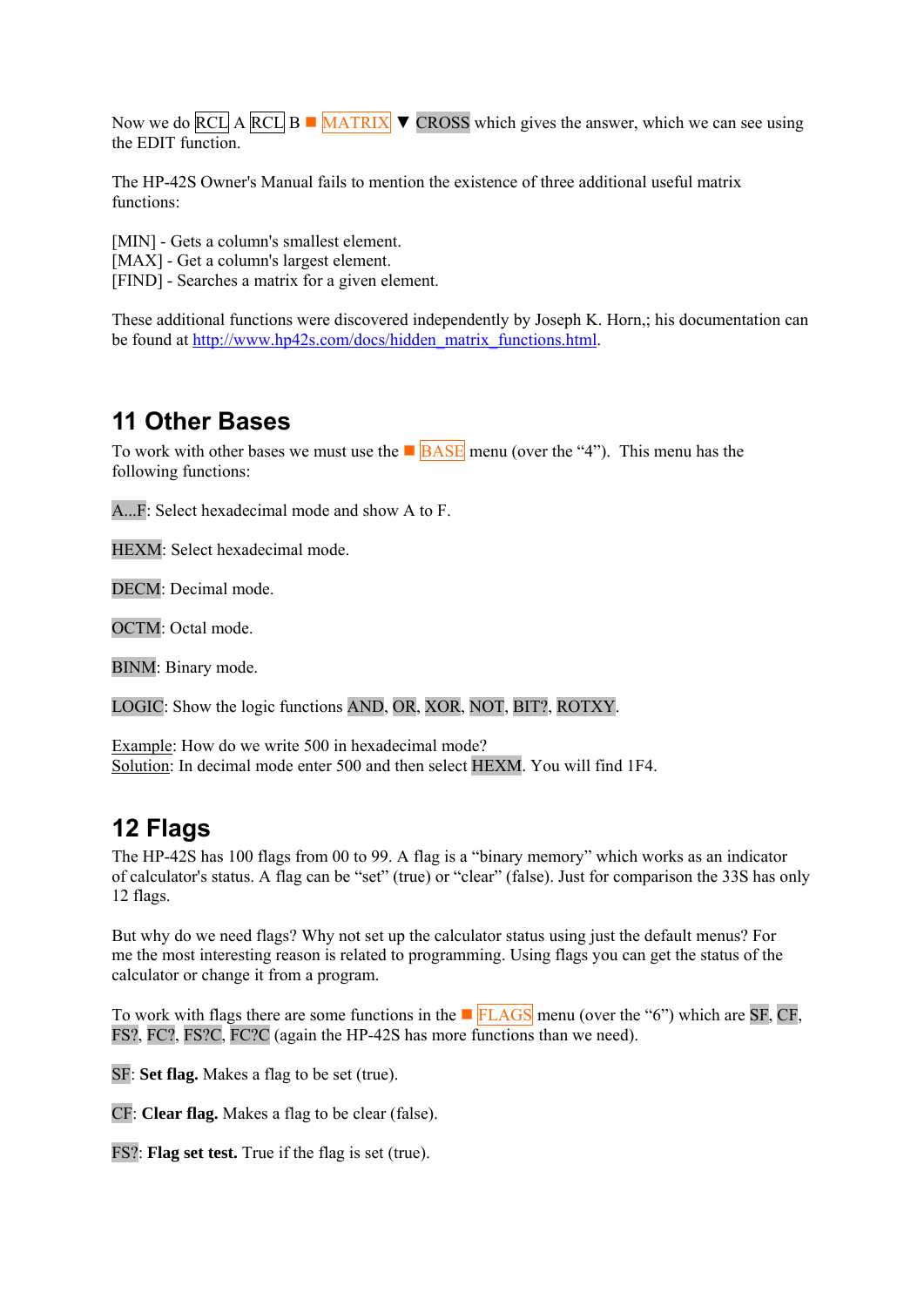<span id="page-25-0"></span>Now we do RCL A RCL B  $\blacksquare$  MATRIX  $\blacktriangledown$  CROSS which gives the answer, which we can see using the EDIT function.

The HP-42S Owner's Manual fails to mention the existence of three additional useful matrix functions:

[MIN] - Gets a column's smallest element.

[MAX] - Get a column's largest element.

[FIND] - Searches a matrix for a given element.

These additional functions were discovered independently by Joseph K. Horn,; his documentation can be found at [http://www.hp42s.com/docs/hidden\\_matrix\\_functions.html.](http://www.hp42s.com/docs/hidden_matrix_functions.html)

# **11 Other Bases**

To work with other bases we must use the  $\blacksquare$  **BASE** menu (over the "4"). This menu has the following functions:

A...F: Select hexadecimal mode and show A to F.

HEXM: Select hexadecimal mode.

DECM: Decimal mode.

OCTM: Octal mode.

BINM: Binary mode.

LOGIC: Show the logic functions AND, OR, XOR, NOT, BIT?, ROTXY.

Example: How do we write 500 in hexadecimal mode? Solution: In decimal mode enter 500 and then select HEXM. You will find 1F4.

# **12 Flags**

The HP-42S has 100 flags from 00 to 99. A flag is a "binary memory" which works as an indicator of calculator's status. A flag can be "set" (true) or "clear" (false). Just for comparison the 33S has only 12 flags.

But why do we need flags? Why not set up the calculator status using just the default menus? For me the most interesting reason is related to programming. Using flags you can get the status of the calculator or change it from a program.

To work with flags there are some functions in the **FLAGS** menu (over the "6") which are SF, CF, FS?, FC?, FS?C, FC?C (again the HP-42S has more functions than we need).

SF: **Set flag.** Makes a flag to be set (true).

CF: **Clear flag.** Makes a flag to be clear (false).

FS?: **Flag set test.** True if the flag is set (true).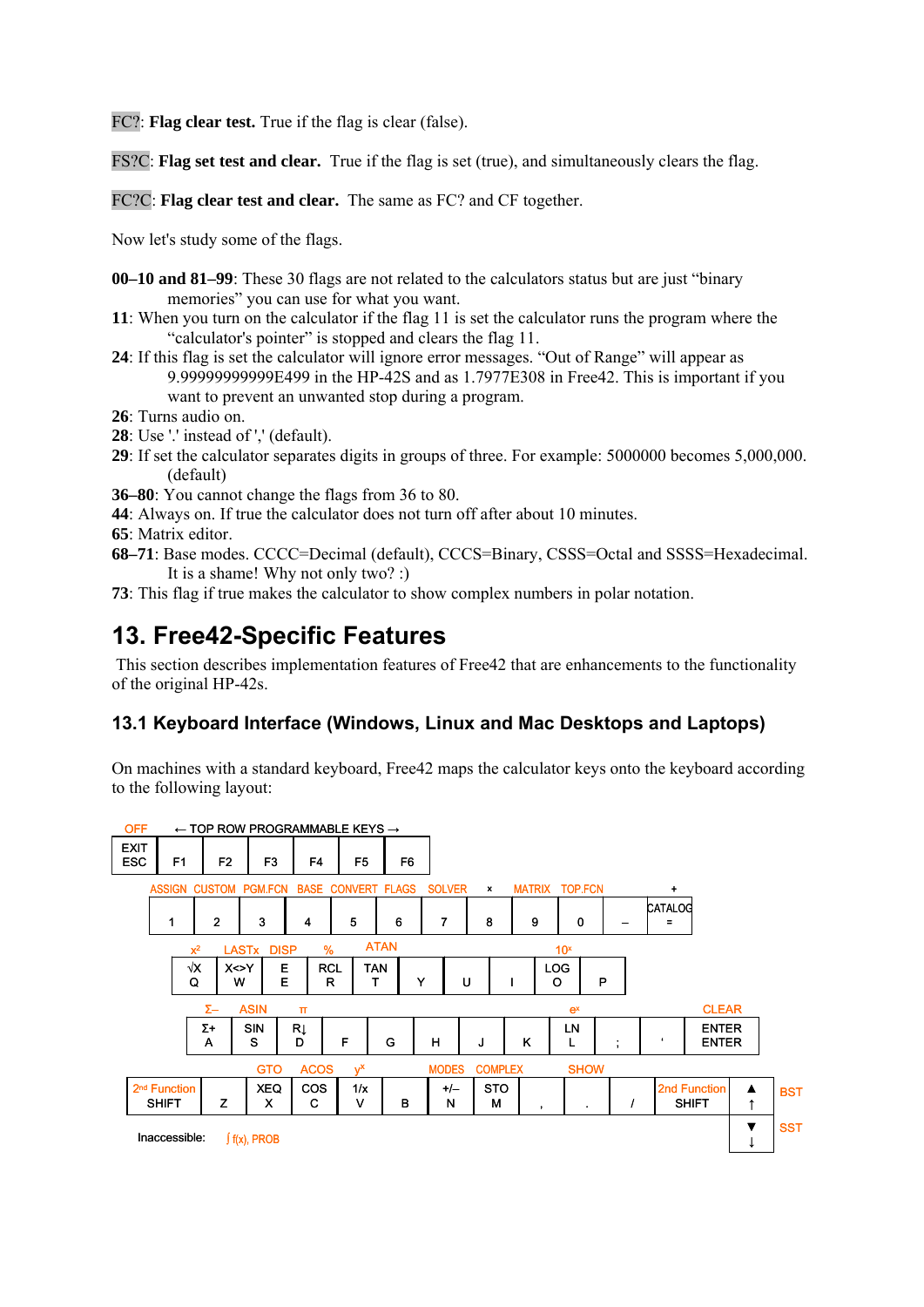<span id="page-26-0"></span>FC?: **Flag clear test.** True if the flag is clear (false).

FS?C: **Flag set test and clear.** True if the flag is set (true), and simultaneously clears the flag.

FC?C: **Flag clear test and clear.** The same as FC? and CF together.

Now let's study some of the flags.

- **00–10 and 81–99**: These 30 flags are not related to the calculators status but are just "binary memories" you can use for what you want.
- **11**: When you turn on the calculator if the flag 11 is set the calculator runs the program where the "calculator's pointer" is stopped and clears the flag 11.
- **24**: If this flag is set the calculator will ignore error messages. "Out of Range" will appear as 9.99999999999E499 in the HP-42S and as 1.7977E308 in Free42. This is important if you want to prevent an unwanted stop during a program.
- **26**: Turns audio on.
- **28**: Use '.' instead of ',' (default).
- **29**: If set the calculator separates digits in groups of three. For example: 5000000 becomes 5,000,000. (default)
- **36–80**: You cannot change the flags from 36 to 80.
- **44**: Always on. If true the calculator does not turn off after about 10 minutes.
- **65**: Matrix editor.
- **68–71**: Base modes. CCCC=Decimal (default), CCCS=Binary, CSSS=Octal and SSSS=Hexadecimal. It is a shame! Why not only two? :)
- **73**: This flag if true makes the calculator to show complex numbers in polar notation.

# **13. Free42-Specific Features**

 This section describes implementation features of Free42 that are enhancements to the functionality of the original HP-42s.

### **13.1 Keyboard Interface (Windows, Linux and Mac Desktops and Laptops)**

On machines with a standard keyboard, Free42 maps the calculator keys onto the keyboard according to the following layout:

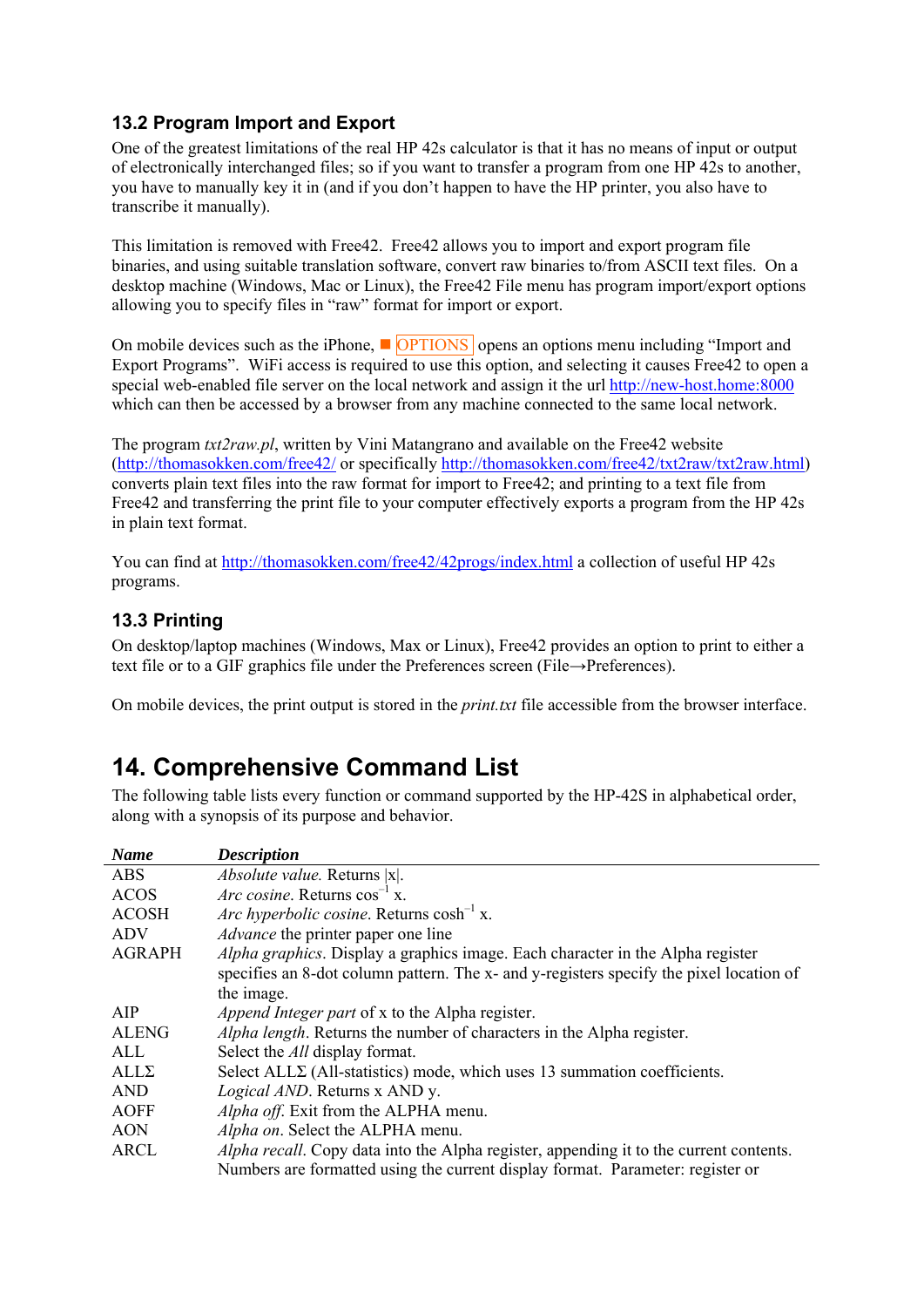### <span id="page-27-0"></span>**13.2 Program Import and Export**

One of the greatest limitations of the real HP 42s calculator is that it has no means of input or output of electronically interchanged files; so if you want to transfer a program from one HP 42s to another, you have to manually key it in (and if you don't happen to have the HP printer, you also have to transcribe it manually).

This limitation is removed with Free42. Free42 allows you to import and export program file binaries, and using suitable translation software, convert raw binaries to/from ASCII text files. On a desktop machine (Windows, Mac or Linux), the Free42 File menu has program import/export options allowing you to specify files in "raw" format for import or export.

On mobile devices such as the iPhone,  $\Box$  OPTIONS opens an options menu including "Import and Export Programs". WiFi access is required to use this option, and selecting it causes Free42 to open a special web-enabled file server on the local network and assign it the url [http://new-host.home:8000](http://new-host.home:8000/) which can then be accessed by a browser from any machine connected to the same local network.

The program *txt2raw.pl*, written by Vini Matangrano and available on the Free42 website (<http://thomasokken.com/free42/>or specifically [http://thomasokken.com/free42/txt2raw/txt2raw.html\)](http://thomasokken.com/free42/txt2raw/txt2raw.html) converts plain text files into the raw format for import to Free42; and printing to a text file from Free42 and transferring the print file to your computer effectively exports a program from the HP 42s in plain text format.

You can find at <http://thomasokken.com/free42/42progs/index.html>a collection of useful HP 42s programs.

### **13.3 Printing**

On desktop/laptop machines (Windows, Max or Linux), Free42 provides an option to print to either a text file or to a GIF graphics file under the Preferences screen (File→Preferences).

On mobile devices, the print output is stored in the *print.txt* file accessible from the browser interface.

# **14. Comprehensive Command List**

The following table lists every function or command supported by the HP-42S in alphabetical order, along with a synopsis of its purpose and behavior.

| <b>Name</b>   | <b>Description</b>                                                                            |
|---------------|-----------------------------------------------------------------------------------------------|
| <b>ABS</b>    | Absolute value. Returns  x .                                                                  |
| <b>ACOS</b>   | <i>Arc cosine.</i> Returns $cos^{-1} x$ .                                                     |
| <b>ACOSH</b>  | Arc hyperbolic cosine. Returns $cosh^{-1} x$ .                                                |
| <b>ADV</b>    | <i>Advance</i> the printer paper one line                                                     |
| <b>AGRAPH</b> | Alpha graphics. Display a graphics image. Each character in the Alpha register                |
|               | specifies an 8-dot column pattern. The x- and y-registers specify the pixel location of       |
|               | the image.                                                                                    |
| AIP           | <i>Append Integer part</i> of x to the Alpha register.                                        |
| <b>ALENG</b>  | Alpha length. Returns the number of characters in the Alpha register.                         |
| ALL           | Select the <i>All</i> display format.                                                         |
| $ALL\Sigma$   | Select $ALL\Sigma$ (All-statistics) mode, which uses 13 summation coefficients.               |
| <b>AND</b>    | <i>Logical AND</i> . Returns x AND y.                                                         |
| <b>AOFF</b>   | Alpha off. Exit from the ALPHA menu.                                                          |
| <b>AON</b>    | Alpha on. Select the ALPHA menu.                                                              |
| <b>ARCL</b>   | <i>Alpha recall.</i> Copy data into the Alpha register, appending it to the current contents. |
|               | Numbers are formatted using the current display format. Parameter: register or                |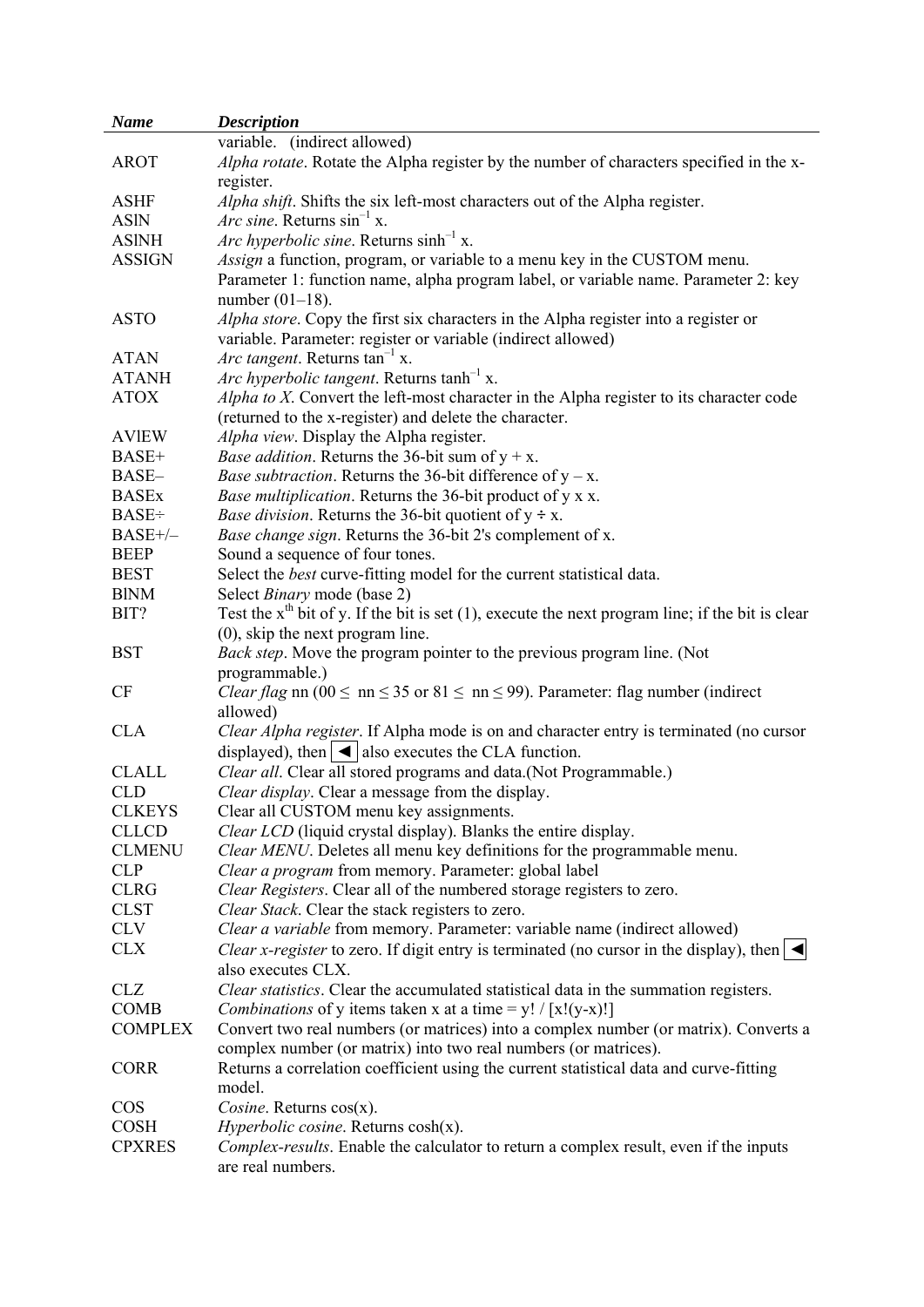| <b>Name</b>    | <b>Description</b>                                                                                                                        |
|----------------|-------------------------------------------------------------------------------------------------------------------------------------------|
|                | variable. (indirect allowed)                                                                                                              |
| <b>AROT</b>    | Alpha rotate. Rotate the Alpha register by the number of characters specified in the x-                                                   |
|                | register.                                                                                                                                 |
| <b>ASHF</b>    | Alpha shift. Shifts the six left-most characters out of the Alpha register.                                                               |
| <b>ASIN</b>    | <i>Arc sine.</i> Returns $\sin^{-1}$ x.                                                                                                   |
| <b>ASINH</b>   | <i>Arc hyperbolic sine.</i> Returns sinh <sup>-1</sup> x.                                                                                 |
| <b>ASSIGN</b>  | Assign a function, program, or variable to a menu key in the CUSTOM menu.                                                                 |
|                | Parameter 1: function name, alpha program label, or variable name. Parameter 2: key<br>number $(01-18)$ .                                 |
| <b>ASTO</b>    | Alpha store. Copy the first six characters in the Alpha register into a register or                                                       |
|                | variable. Parameter: register or variable (indirect allowed)                                                                              |
| <b>ATAN</b>    | <i>Arc tangent.</i> Returns $tan^{-1} x$ .                                                                                                |
| <b>ATANH</b>   | <i>Arc hyperbolic tangent.</i> Returns $\tanh^{-1} x$ .                                                                                   |
| <b>ATOX</b>    | Alpha to X. Convert the left-most character in the Alpha register to its character code                                                   |
|                | (returned to the x-register) and delete the character.                                                                                    |
| <b>AVIEW</b>   | Alpha view. Display the Alpha register.                                                                                                   |
| BASE+          | <i>Base addition.</i> Returns the 36-bit sum of $y + x$ .                                                                                 |
| BASE-          | <i>Base subtraction.</i> Returns the 36-bit difference of $y - x$ .                                                                       |
| <b>BASEx</b>   | Base multiplication. Returns the 36-bit product of y x x.                                                                                 |
| <b>BASE</b> ÷  | <i>Base division.</i> Returns the 36-bit quotient of $y \div x$ .                                                                         |
| $BASE+/-$      | Base change sign. Returns the 36-bit 2's complement of x.                                                                                 |
| <b>BEEP</b>    | Sound a sequence of four tones.                                                                                                           |
| <b>BEST</b>    | Select the <i>best</i> curve-fitting model for the current statistical data.                                                              |
| <b>BINM</b>    | Select <i>Binary</i> mode (base 2)                                                                                                        |
|                |                                                                                                                                           |
| BIT?           | Test the $xth$ bit of y. If the bit is set (1), execute the next program line; if the bit is clear<br>$(0)$ , skip the next program line. |
| <b>BST</b>     | Back step. Move the program pointer to the previous program line. (Not                                                                    |
|                | programmable.)                                                                                                                            |
| CF             | <i>Clear flag</i> nn (00 $\leq$ nn $\leq$ 35 or 81 $\leq$ nn $\leq$ 99). Parameter: flag number (indirect                                 |
|                | allowed)                                                                                                                                  |
| <b>CLA</b>     |                                                                                                                                           |
|                | Clear Alpha register. If Alpha mode is on and character entry is terminated (no cursor                                                    |
|                | displayed), then $ \triangleleft $ also executes the CLA function.                                                                        |
| <b>CLALL</b>   | Clear all. Clear all stored programs and data.(Not Programmable.)                                                                         |
| <b>CLD</b>     | Clear display. Clear a message from the display.                                                                                          |
| <b>CLKEYS</b>  | Clear all CUSTOM menu key assignments.                                                                                                    |
| <b>CLLCD</b>   | <i>Clear LCD</i> (liquid crystal display). Blanks the entire display.                                                                     |
| <b>CLMENU</b>  | Clear MENU. Deletes all menu key definitions for the programmable menu.                                                                   |
| <b>CLP</b>     | Clear a program from memory. Parameter: global label                                                                                      |
| <b>CLRG</b>    | Clear Registers. Clear all of the numbered storage registers to zero.                                                                     |
| <b>CLST</b>    | Clear Stack. Clear the stack registers to zero.                                                                                           |
| <b>CLV</b>     | Clear a variable from memory. Parameter: variable name (indirect allowed)                                                                 |
| <b>CLX</b>     | <i>Clear x-register</i> to zero. If digit entry is terminated (no cursor in the display), then $\Box$<br>also executes CLX.               |
| <b>CLZ</b>     | Clear statistics. Clear the accumulated statistical data in the summation registers.                                                      |
| <b>COMB</b>    | Combinations of y items taken x at a time = $y! / [x!(y-x)!]$                                                                             |
| <b>COMPLEX</b> | Convert two real numbers (or matrices) into a complex number (or matrix). Converts a                                                      |
|                | complex number (or matrix) into two real numbers (or matrices).                                                                           |
| <b>CORR</b>    | Returns a correlation coefficient using the current statistical data and curve-fitting                                                    |
|                | model.                                                                                                                                    |
| <b>COS</b>     | Cosine. Returns $cos(x)$ .                                                                                                                |
| <b>COSH</b>    | Hyperbolic cosine. Returns $cosh(x)$ .                                                                                                    |
| <b>CPXRES</b>  | Complex-results. Enable the calculator to return a complex result, even if the inputs<br>are real numbers.                                |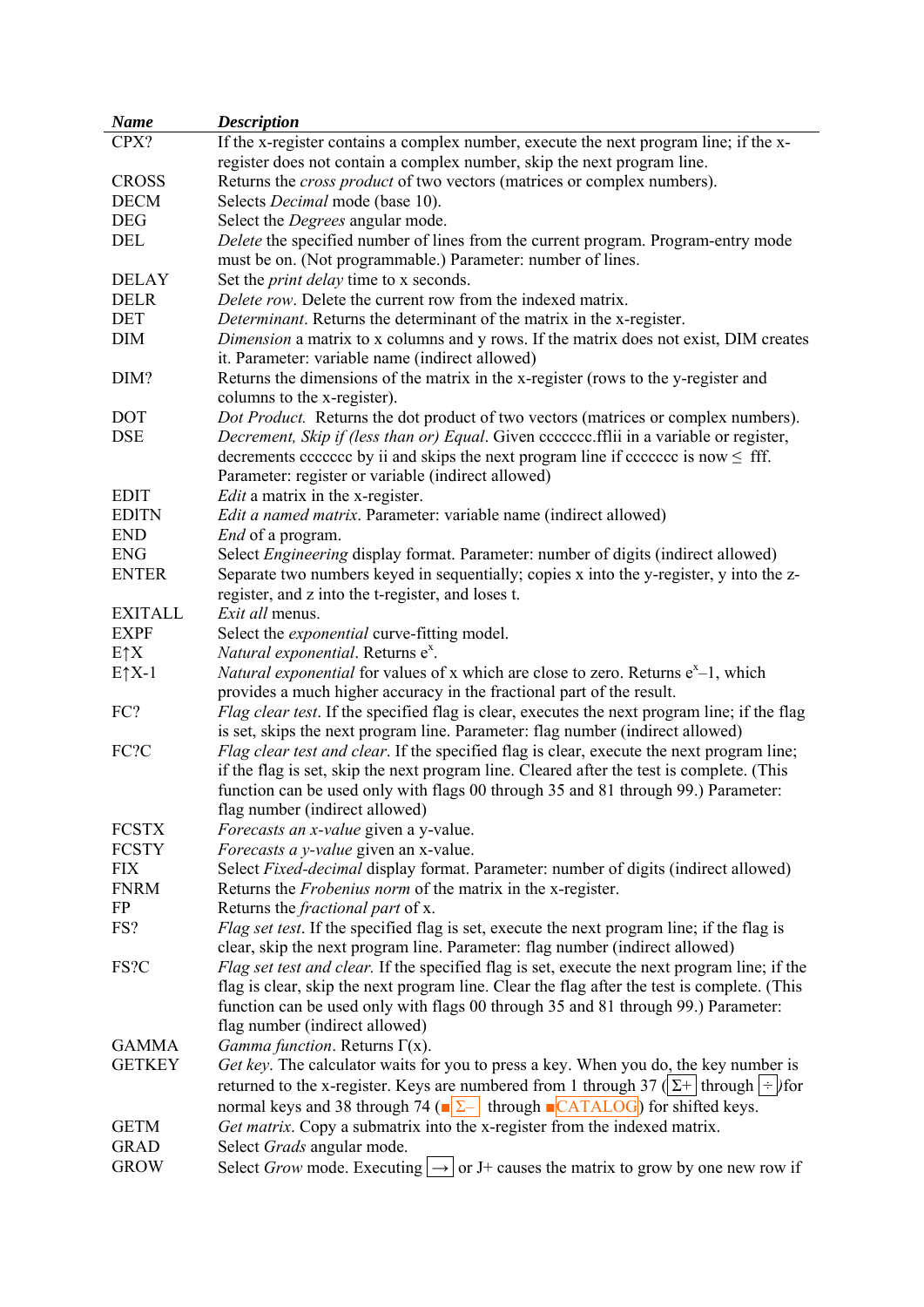| <b>Name</b>      | <b>Description</b>                                                                                               |
|------------------|------------------------------------------------------------------------------------------------------------------|
| CPX?             | If the x-register contains a complex number, execute the next program line; if the x-                            |
|                  | register does not contain a complex number, skip the next program line.                                          |
| <b>CROSS</b>     | Returns the <i>cross product</i> of two vectors (matrices or complex numbers).                                   |
| <b>DECM</b>      | Selects <i>Decimal</i> mode (base 10).                                                                           |
| <b>DEG</b>       | Select the <i>Degrees</i> angular mode.                                                                          |
| DEL              | Delete the specified number of lines from the current program. Program-entry mode                                |
|                  | must be on. (Not programmable.) Parameter: number of lines.                                                      |
| <b>DELAY</b>     | Set the <i>print delay</i> time to x seconds.                                                                    |
| <b>DELR</b>      | Delete row. Delete the current row from the indexed matrix.                                                      |
| <b>DET</b>       | Determinant. Returns the determinant of the matrix in the x-register.                                            |
| <b>DIM</b>       | <i>Dimension</i> a matrix to x columns and y rows. If the matrix does not exist, DIM creates                     |
|                  | it. Parameter: variable name (indirect allowed)                                                                  |
| DIM?             | Returns the dimensions of the matrix in the x-register (rows to the y-register and                               |
|                  | columns to the x-register).                                                                                      |
| <b>DOT</b>       | Dot Product. Returns the dot product of two vectors (matrices or complex numbers).                               |
| <b>DSE</b>       | Decrement, Skip if (less than or) Equal. Given ccccccc.fflii in a variable or register,                          |
|                  | decrements cececed by ii and skips the next program line if cececed is now $\leq$ fff.                           |
|                  | Parameter: register or variable (indirect allowed)                                                               |
| <b>EDIT</b>      | <i>Edit</i> a matrix in the x-register.                                                                          |
| <b>EDITN</b>     | Edit a named matrix. Parameter: variable name (indirect allowed)                                                 |
| <b>END</b>       | <i>End</i> of a program.                                                                                         |
| <b>ENG</b>       | Select <i>Engineering</i> display format. Parameter: number of digits (indirect allowed)                         |
|                  |                                                                                                                  |
| <b>ENTER</b>     | Separate two numbers keyed in sequentially; copies x into the y-register, y into the z-                          |
|                  | register, and z into the t-register, and loses t.                                                                |
| <b>EXITALL</b>   | Exit all menus.                                                                                                  |
| <b>EXPF</b>      | Select the <i>exponential</i> curve-fitting model.                                                               |
| $E \uparrow X$   | Natural exponential. Returns e <sup>x</sup> .                                                                    |
| $E \uparrow X-1$ | <i>Natural exponential</i> for values of x which are close to zero. Returns $e^{x}-1$ , which                    |
|                  | provides a much higher accuracy in the fractional part of the result.                                            |
| FC?              | <i>Flag clear test.</i> If the specified flag is clear, executes the next program line; if the flag              |
|                  | is set, skips the next program line. Parameter: flag number (indirect allowed)                                   |
| FC?C             | Flag clear test and clear. If the specified flag is clear, execute the next program line;                        |
|                  | if the flag is set, skip the next program line. Cleared after the test is complete. (This                        |
|                  | function can be used only with flags 00 through 35 and 81 through 99.) Parameter:                                |
|                  | flag number (indirect allowed)                                                                                   |
| <b>FCSTX</b>     | <i>Forecasts an x-value</i> given a y-value.                                                                     |
| <b>FCSTY</b>     | Forecasts a y-value given an x-value.                                                                            |
| <b>FIX</b>       | Select Fixed-decimal display format. Parameter: number of digits (indirect allowed)                              |
| <b>FNRM</b>      | Returns the <i>Frobenius norm</i> of the matrix in the x-register.                                               |
| FP               | Returns the <i>fractional part</i> of x.                                                                         |
| FS?              | Flag set test. If the specified flag is set, execute the next program line; if the flag is                       |
|                  | clear, skip the next program line. Parameter: flag number (indirect allowed)                                     |
| FS?C             | Flag set test and clear. If the specified flag is set, execute the next program line; if the                     |
|                  | flag is clear, skip the next program line. Clear the flag after the test is complete. (This                      |
|                  | function can be used only with flags 00 through 35 and 81 through 99.) Parameter:                                |
|                  | flag number (indirect allowed)                                                                                   |
| <b>GAMMA</b>     | Gamma function. Returns $\Gamma(x)$ .                                                                            |
| <b>GETKEY</b>    | Get key. The calculator waits for you to press a key. When you do, the key number is                             |
|                  | returned to the x-register. Keys are numbered from 1 through $37$ ( $\Sigma$ + through $\div$ ) for              |
|                  | normal keys and 38 through 74 ( $\sqrt{\sum_{n=1}^{8}$ through $\sqrt{\sum_{n=1}^{8}$ CATALOG) for shifted keys. |
| <b>GETM</b>      | Get matrix. Copy a submatrix into the x-register from the indexed matrix.                                        |
| <b>GRAD</b>      | Select Grads angular mode.                                                                                       |
| <b>GROW</b>      | Select Grow mode. Executing $\rightarrow$ or J+ causes the matrix to grow by one new row if                      |
|                  |                                                                                                                  |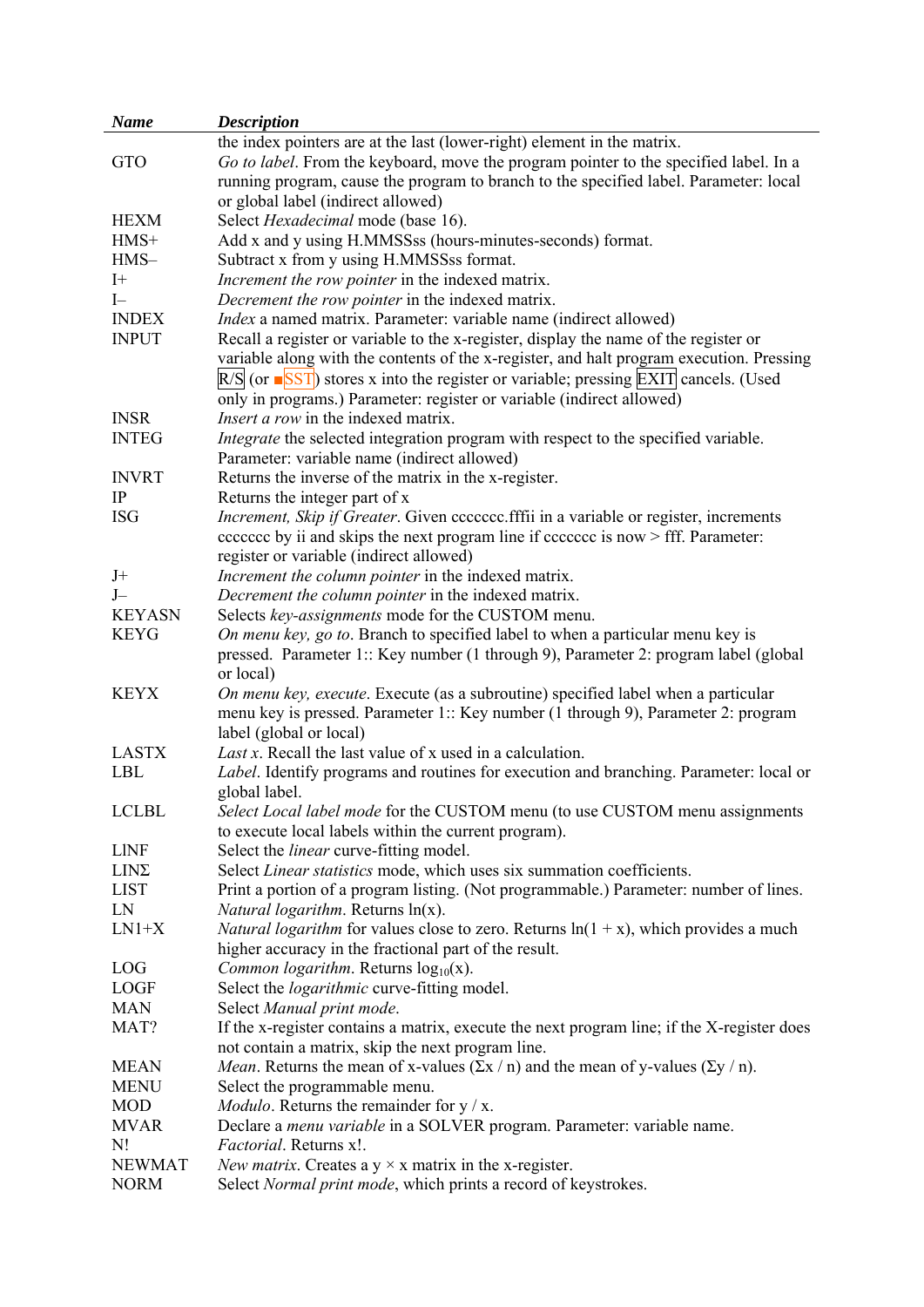| <b>Name</b>   | <b>Description</b>                                                                                      |
|---------------|---------------------------------------------------------------------------------------------------------|
|               | the index pointers are at the last (lower-right) element in the matrix.                                 |
| GTO           | Go to label. From the keyboard, move the program pointer to the specified label. In a                   |
|               | running program, cause the program to branch to the specified label. Parameter: local                   |
|               | or global label (indirect allowed)                                                                      |
| <b>HEXM</b>   | Select Hexadecimal mode (base 16).                                                                      |
| $HMS+$        | Add x and y using H.MMSSss (hours-minutes-seconds) format.                                              |
| $HMS-$        | Subtract x from y using H.MMSSss format.                                                                |
| $I+$          | Increment the row pointer in the indexed matrix.                                                        |
| $I-$          | Decrement the row pointer in the indexed matrix.                                                        |
| <b>INDEX</b>  | Index a named matrix. Parameter: variable name (indirect allowed)                                       |
| <b>INPUT</b>  | Recall a register or variable to the x-register, display the name of the register or                    |
|               | variable along with the contents of the x-register, and halt program execution. Pressing                |
|               | $R/S$ (or $\blacksquare$ SST) stores x into the register or variable; pressing EXIT cancels. (Used      |
|               | only in programs.) Parameter: register or variable (indirect allowed)                                   |
| <b>INSR</b>   | <i>Insert a row</i> in the indexed matrix.                                                              |
| <b>INTEG</b>  | Integrate the selected integration program with respect to the specified variable.                      |
|               | Parameter: variable name (indirect allowed)                                                             |
| <b>INVRT</b>  | Returns the inverse of the matrix in the x-register.                                                    |
| IP            | Returns the integer part of x                                                                           |
| <b>ISG</b>    | Increment, Skip if Greater. Given ccccccc.fffii in a variable or register, increments                   |
|               | eccecce by ii and skips the next program line if eccecce is now > fff. Parameter:                       |
|               | register or variable (indirect allowed)                                                                 |
| $J+$          | Increment the column pointer in the indexed matrix.                                                     |
| $J-$          | Decrement the column pointer in the indexed matrix.                                                     |
| <b>KEYASN</b> | Selects key-assignments mode for the CUSTOM menu.                                                       |
| <b>KEYG</b>   | On menu key, go to. Branch to specified label to when a particular menu key is                          |
|               | pressed. Parameter 1:: Key number (1 through 9), Parameter 2: program label (global                     |
|               | or local)                                                                                               |
| <b>KEYX</b>   | On menu key, execute. Execute (as a subroutine) specified label when a particular                       |
|               | menu key is pressed. Parameter 1:: Key number (1 through 9), Parameter 2: program                       |
|               | label (global or local)                                                                                 |
| <b>LASTX</b>  | Last x. Recall the last value of x used in a calculation.                                               |
| <b>LBL</b>    | Label. Identify programs and routines for execution and branching. Parameter: local or                  |
|               | global label.                                                                                           |
| <b>LCLBL</b>  | Select Local label mode for the CUSTOM menu (to use CUSTOM menu assignments                             |
|               | to execute local labels within the current program).                                                    |
| <b>LINF</b>   | Select the <i>linear</i> curve-fitting model.                                                           |
| $LIN\Sigma$   | Select Linear statistics mode, which uses six summation coefficients.                                   |
| <b>LIST</b>   | Print a portion of a program listing. (Not programmable.) Parameter: number of lines.                   |
| LN            | <i>Natural logarithm.</i> Returns $ln(x)$ .                                                             |
| $LN1+X$       | <i>Natural logarithm</i> for values close to zero. Returns $ln(1 + x)$ , which provides a much          |
|               | higher accuracy in the fractional part of the result.                                                   |
| LOG           | <i>Common logarithm.</i> Returns $log_{10}(x)$ .                                                        |
| <b>LOGF</b>   | Select the <i>logarithmic</i> curve-fitting model.                                                      |
| <b>MAN</b>    | Select Manual print mode.                                                                               |
| MAT?          | If the x-register contains a matrix, execute the next program line; if the X-register does              |
|               | not contain a matrix, skip the next program line.                                                       |
| <b>MEAN</b>   | <i>Mean</i> . Returns the mean of x-values $(\Sigma x / n)$ and the mean of y-values $(\Sigma y / n)$ . |
| <b>MENU</b>   | Select the programmable menu.                                                                           |
| <b>MOD</b>    | <i>Modulo</i> . Returns the remainder for $y / x$ .                                                     |
| <b>MVAR</b>   | Declare a <i>menu variable</i> in a SOLVER program. Parameter: variable name.                           |
| N!            | Factorial. Returns x!.                                                                                  |
| <b>NEWMAT</b> | New matrix. Creates a $y \times x$ matrix in the x-register.                                            |
| <b>NORM</b>   | Select Normal print mode, which prints a record of keystrokes.                                          |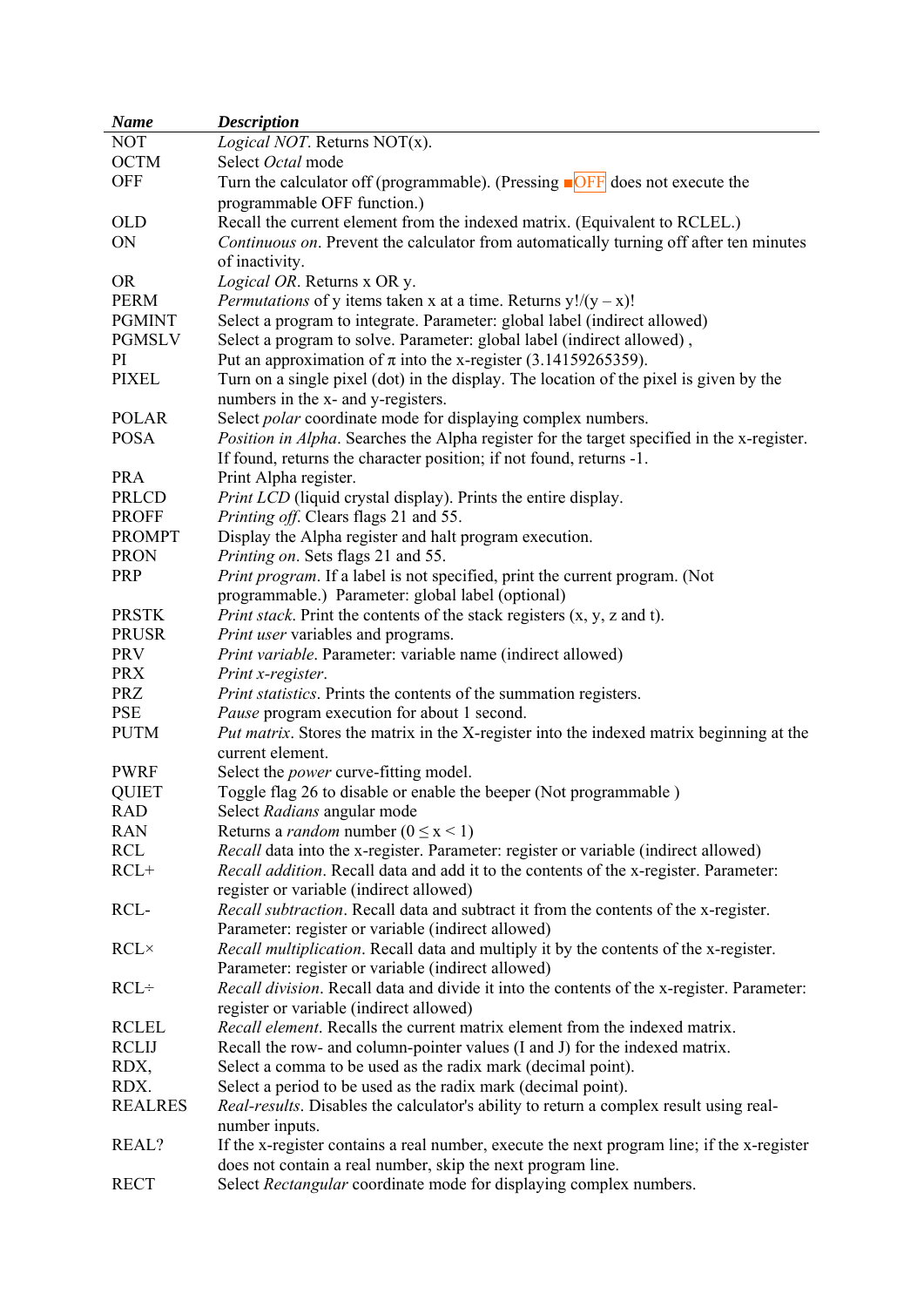| <b>Name</b>    | <b>Description</b>                                                                                               |
|----------------|------------------------------------------------------------------------------------------------------------------|
| <b>NOT</b>     | <i>Logical NOT.</i> Returns $NOT(x)$ .                                                                           |
| <b>OCTM</b>    | Select Octal mode                                                                                                |
| <b>OFF</b>     | Turn the calculator off (programmable). (Pressing $\Box$ $\Box$ $\Box$ $\Box$ $\Box$ $\Box$ does not execute the |
|                | programmable OFF function.)                                                                                      |
| <b>OLD</b>     | Recall the current element from the indexed matrix. (Equivalent to RCLEL.)                                       |
| ON             | Continuous on. Prevent the calculator from automatically turning off after ten minutes                           |
|                |                                                                                                                  |
|                | of inactivity.                                                                                                   |
| <b>OR</b>      | Logical OR. Returns x OR y.                                                                                      |
| <b>PERM</b>    | <i>Permutations</i> of y items taken x at a time. Returns $y!/(y-x)!$                                            |
| <b>PGMINT</b>  | Select a program to integrate. Parameter: global label (indirect allowed)                                        |
| <b>PGMSLV</b>  | Select a program to solve. Parameter: global label (indirect allowed),                                           |
| PI             | Put an approximation of $\pi$ into the x-register (3.14159265359).                                               |
| <b>PIXEL</b>   | Turn on a single pixel (dot) in the display. The location of the pixel is given by the                           |
|                | numbers in the x- and y-registers.                                                                               |
| <b>POLAR</b>   | Select <i>polar</i> coordinate mode for displaying complex numbers.                                              |
| <b>POSA</b>    | Position in Alpha. Searches the Alpha register for the target specified in the x-register.                       |
|                | If found, returns the character position; if not found, returns -1.                                              |
| <b>PRA</b>     | Print Alpha register.                                                                                            |
| PRLCD          | Print LCD (liquid crystal display). Prints the entire display.                                                   |
| <b>PROFF</b>   | Printing off. Clears flags 21 and 55.                                                                            |
| <b>PROMPT</b>  | Display the Alpha register and halt program execution.                                                           |
| <b>PRON</b>    | Printing on. Sets flags 21 and 55.                                                                               |
| <b>PRP</b>     | Print program. If a label is not specified, print the current program. (Not                                      |
|                | programmable.) Parameter: global label (optional)                                                                |
| <b>PRSTK</b>   | <i>Print stack.</i> Print the contents of the stack registers $(x, y, z)$ and t).                                |
| <b>PRUSR</b>   | Print user variables and programs.                                                                               |
| <b>PRV</b>     | Print variable. Parameter: variable name (indirect allowed)                                                      |
| <b>PRX</b>     | Print x-register.                                                                                                |
| <b>PRZ</b>     |                                                                                                                  |
| PSE            | Print statistics. Prints the contents of the summation registers.                                                |
|                | Pause program execution for about 1 second.                                                                      |
| <b>PUTM</b>    | <i>Put matrix.</i> Stores the matrix in the X-register into the indexed matrix beginning at the                  |
|                | current element.                                                                                                 |
| <b>PWRF</b>    | Select the <i>power</i> curve-fitting model.                                                                     |
| <b>QUIET</b>   | Toggle flag 26 to disable or enable the beeper (Not programmable)                                                |
| <b>RAD</b>     | Select Radians angular mode                                                                                      |
| <b>RAN</b>     | Returns a <i>random</i> number ( $0 \le x < 1$ )                                                                 |
| RCL            | <i>Recall</i> data into the x-register. Parameter: register or variable (indirect allowed)                       |
| $RCL+$         | Recall addition. Recall data and add it to the contents of the x-register. Parameter:                            |
|                | register or variable (indirect allowed)                                                                          |
| RCL-           | Recall subtraction. Recall data and subtract it from the contents of the x-register.                             |
|                | Parameter: register or variable (indirect allowed)                                                               |
| $RCL \times$   | Recall multiplication. Recall data and multiply it by the contents of the x-register.                            |
|                | Parameter: register or variable (indirect allowed)                                                               |
| $RCL+$         | Recall division. Recall data and divide it into the contents of the x-register. Parameter:                       |
|                | register or variable (indirect allowed)                                                                          |
| <b>RCLEL</b>   | Recall element. Recalls the current matrix element from the indexed matrix.                                      |
| <b>RCLIJ</b>   | Recall the row- and column-pointer values (I and J) for the indexed matrix.                                      |
| RDX,           | Select a comma to be used as the radix mark (decimal point).                                                     |
| RDX.           | Select a period to be used as the radix mark (decimal point).                                                    |
| <b>REALRES</b> | Real-results. Disables the calculator's ability to return a complex result using real-                           |
|                | number inputs.                                                                                                   |
| REAL?          | If the x-register contains a real number, execute the next program line; if the x-register                       |
|                | does not contain a real number, skip the next program line.                                                      |
| <b>RECT</b>    | Select Rectangular coordinate mode for displaying complex numbers.                                               |
|                |                                                                                                                  |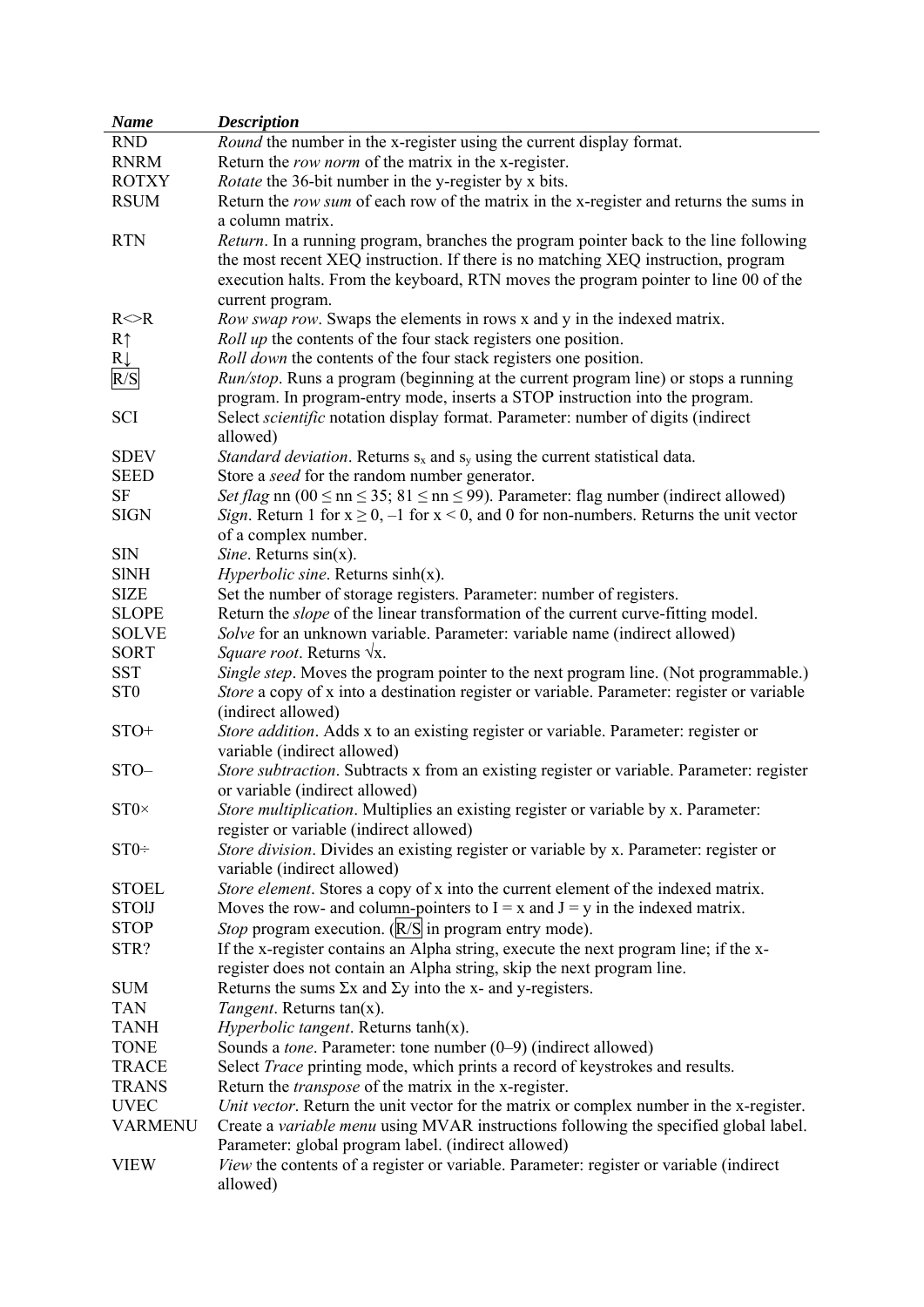| <b>Name</b>     | <b>Description</b>                                                                                      |
|-----------------|---------------------------------------------------------------------------------------------------------|
| <b>RND</b>      | Round the number in the x-register using the current display format.                                    |
| <b>RNRM</b>     | Return the <i>row norm</i> of the matrix in the x-register.                                             |
| <b>ROTXY</b>    | <i>Rotate</i> the 36-bit number in the y-register by x bits.                                            |
| <b>RSUM</b>     | Return the row sum of each row of the matrix in the x-register and returns the sums in                  |
|                 | a column matrix.                                                                                        |
| <b>RTN</b>      | <i>Return</i> . In a running program, branches the program pointer back to the line following           |
|                 | the most recent XEQ instruction. If there is no matching XEQ instruction, program                       |
|                 | execution halts. From the keyboard, RTN moves the program pointer to line 00 of the                     |
|                 | current program.                                                                                        |
| $R \le R$       | Row swap row. Swaps the elements in rows x and y in the indexed matrix.                                 |
| R <sub>1</sub>  | <i>Roll up</i> the contents of the four stack registers one position.                                   |
| $R\downarrow$   | Roll down the contents of the four stack registers one position.                                        |
| R/S             | Run/stop. Runs a program (beginning at the current program line) or stops a running                     |
|                 | program. In program-entry mode, inserts a STOP instruction into the program.                            |
| SCI             | Select scientific notation display format. Parameter: number of digits (indirect                        |
|                 | allowed)                                                                                                |
| <b>SDEV</b>     | <i>Standard deviation.</i> Returns $s_x$ and $s_y$ using the current statistical data.                  |
| <b>SEED</b>     | Store a seed for the random number generator.                                                           |
| <b>SF</b>       | Set flag nn (00 $\leq$ nn $\leq$ 35; 81 $\leq$ nn $\leq$ 99). Parameter: flag number (indirect allowed) |
| <b>SIGN</b>     | Sign. Return 1 for $x \ge 0$ , -1 for $x < 0$ , and 0 for non-numbers. Returns the unit vector          |
|                 | of a complex number.                                                                                    |
| ${\rm SIN}$     | Sine. Returns $sin(x)$ .                                                                                |
| <b>SINH</b>     | <i>Hyperbolic sine.</i> Returns $sinh(x)$ .                                                             |
| <b>SIZE</b>     | Set the number of storage registers. Parameter: number of registers.                                    |
| <b>SLOPE</b>    | Return the <i>slope</i> of the linear transformation of the current curve-fitting model.                |
| <b>SOLVE</b>    | Solve for an unknown variable. Parameter: variable name (indirect allowed)                              |
| <b>SORT</b>     | <i>Square root.</i> Returns $\sqrt{x}$ .                                                                |
| <b>SST</b>      | Single step. Moves the program pointer to the next program line. (Not programmable.)                    |
| ST <sub>0</sub> | Store a copy of x into a destination register or variable. Parameter: register or variable              |
|                 | (indirect allowed)                                                                                      |
| $STO+$          | Store addition. Adds x to an existing register or variable. Parameter: register or                      |
|                 | variable (indirect allowed)                                                                             |
| STO-            | Store subtraction. Subtracts x from an existing register or variable. Parameter: register               |
|                 | or variable (indirect allowed)                                                                          |
| $ST0\times$     | Store multiplication. Multiplies an existing register or variable by x. Parameter:                      |
|                 | register or variable (indirect allowed)                                                                 |
| $ST0+$          | Store division. Divides an existing register or variable by x. Parameter: register or                   |
|                 | variable (indirect allowed)                                                                             |
| <b>STOEL</b>    | Store element. Stores a copy of x into the current element of the indexed matrix.                       |
| <b>STOIJ</b>    | Moves the row- and column-pointers to $I = x$ and $J = y$ in the indexed matrix.                        |
| <b>STOP</b>     | Stop program execution. (R/S in program entry mode).                                                    |
| STR?            | If the x-register contains an Alpha string, execute the next program line; if the x-                    |
|                 | register does not contain an Alpha string, skip the next program line.                                  |
| <b>SUM</b>      | Returns the sums $\Sigma x$ and $\Sigma y$ into the x- and y-registers.                                 |
| <b>TAN</b>      | Tangent. Returns tan(x).                                                                                |
| <b>TANH</b>     | <i>Hyperbolic tangent.</i> Returns $tanh(x)$ .                                                          |
| <b>TONE</b>     | Sounds a tone. Parameter: tone number (0-9) (indirect allowed)                                          |
| <b>TRACE</b>    | Select Trace printing mode, which prints a record of keystrokes and results.                            |
| <b>TRANS</b>    | Return the <i>transpose</i> of the matrix in the x-register.                                            |
| <b>UVEC</b>     | Unit vector. Return the unit vector for the matrix or complex number in the x-register.                 |
| <b>VARMENU</b>  | Create a variable menu using MVAR instructions following the specified global label.                    |
|                 | Parameter: global program label. (indirect allowed)                                                     |
|                 |                                                                                                         |
| <b>VIEW</b>     | View the contents of a register or variable. Parameter: register or variable (indirect                  |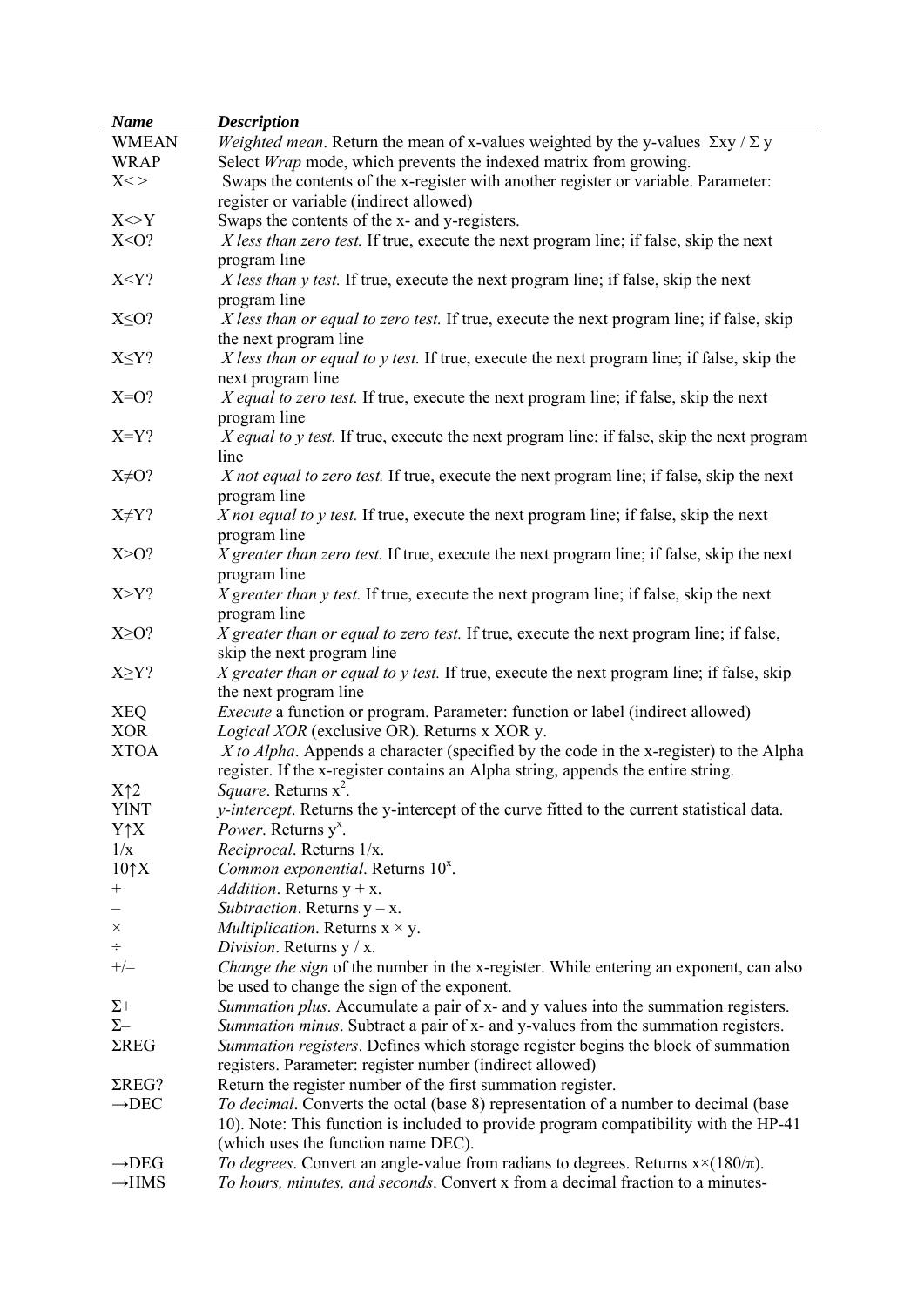| <b>Name</b>       | <i>Description</i>                                                                                                                                                         |
|-------------------|----------------------------------------------------------------------------------------------------------------------------------------------------------------------------|
| <b>WMEAN</b>      | <i>Weighted mean.</i> Return the mean of x-values weighted by the y-values $\Sigma xy / \Sigma y$                                                                          |
| <b>WRAP</b>       | Select <i>Wrap</i> mode, which prevents the indexed matrix from growing.                                                                                                   |
| $X < \gt$         | Swaps the contents of the x-register with another register or variable. Parameter:                                                                                         |
|                   | register or variable (indirect allowed)                                                                                                                                    |
| $X \sim Y$        | Swaps the contents of the x- and y-registers.                                                                                                                              |
| $X < O$ ?         | X less than zero test. If true, execute the next program line; if false, skip the next                                                                                     |
|                   | program line                                                                                                                                                               |
| X < Y?            | X less than y test. If true, execute the next program line; if false, skip the next                                                                                        |
|                   | program line                                                                                                                                                               |
| $X \leq O?$       | X less than or equal to zero test. If true, execute the next program line; if false, skip                                                                                  |
|                   | the next program line                                                                                                                                                      |
| $X \leq Y?$       | X less than or equal to y test. If true, execute the next program line; if false, skip the                                                                                 |
|                   | next program line                                                                                                                                                          |
| $X=O?$            | X equal to zero test. If true, execute the next program line; if false, skip the next                                                                                      |
|                   | program line                                                                                                                                                               |
| $X = Y$ ?         | X equal to y test. If true, execute the next program line; if false, skip the next program                                                                                 |
|                   | line                                                                                                                                                                       |
| $X\neq O?$        | X not equal to zero test. If true, execute the next program line; if false, skip the next                                                                                  |
|                   | program line                                                                                                                                                               |
| $X \neq Y?$       | X not equal to y test. If true, execute the next program line; if false, skip the next                                                                                     |
|                   | program line                                                                                                                                                               |
| X>O?              | X greater than zero test. If true, execute the next program line; if false, skip the next                                                                                  |
|                   | program line                                                                                                                                                               |
| $X>Y$ ?           | X greater than y test. If true, execute the next program line; if false, skip the next                                                                                     |
|                   | program line                                                                                                                                                               |
| $X \geq 0$ ?      | X greater than or equal to zero test. If true, execute the next program line; if false,                                                                                    |
|                   | skip the next program line                                                                                                                                                 |
| $X \geq Y?$       | X greater than or equal to y test. If true, execute the next program line; if false, skip                                                                                  |
|                   | the next program line                                                                                                                                                      |
| <b>XEQ</b>        | <i>Execute</i> a function or program. Parameter: function or label (indirect allowed)                                                                                      |
| <b>XOR</b>        | Logical XOR (exclusive OR). Returns x XOR y.                                                                                                                               |
| <b>XTOA</b>       | X to Alpha. Appends a character (specified by the code in the x-register) to the Alpha<br>register. If the x-register contains an Alpha string, appends the entire string. |
| $X\uparrow 2$     | <i>Square.</i> Returns $x^2$ .                                                                                                                                             |
| <b>YINT</b>       | <i>y-intercept</i> . Returns the y-intercept of the curve fitted to the current statistical data.                                                                          |
| $Y \uparrow X$    | <i>Power</i> . Returns y <sup>x</sup> .                                                                                                                                    |
| 1/x               | Reciprocal. Returns 1/x.                                                                                                                                                   |
| $10\uparrow X$    | Common exponential. Returns 10 <sup>x</sup> .                                                                                                                              |
| $^{+}$            | <i>Addition</i> . Returns $y + x$ .                                                                                                                                        |
|                   | Subtraction. Returns $y - x$ .                                                                                                                                             |
| $\times$          | <i>Multiplication.</i> Returns $x \times y$ .                                                                                                                              |
| ÷                 | Division. Returns $y / x$ .                                                                                                                                                |
| $+/-$             | <i>Change the sign</i> of the number in the x-register. While entering an exponent, can also                                                                               |
|                   | be used to change the sign of the exponent.                                                                                                                                |
| $\Sigma +$        | Summation plus. Accumulate a pair of x- and y values into the summation registers.                                                                                         |
| $\Sigma-$         | Summation minus. Subtract a pair of x- and y-values from the summation registers.                                                                                          |
| $\Sigma$ REG      | Summation registers. Defines which storage register begins the block of summation                                                                                          |
|                   | registers. Parameter: register number (indirect allowed)                                                                                                                   |
| $\Sigma$ REG?     | Return the register number of the first summation register.                                                                                                                |
| $\rightarrow$ DEC | To decimal. Converts the octal (base 8) representation of a number to decimal (base                                                                                        |
|                   | 10). Note: This function is included to provide program compatibility with the HP-41                                                                                       |
|                   | (which uses the function name DEC).                                                                                                                                        |
| $\rightarrow$ DEG | To degrees. Convert an angle-value from radians to degrees. Returns $x \times (180/\pi)$ .                                                                                 |
| $\rightarrow$ HMS | To hours, minutes, and seconds. Convert x from a decimal fraction to a minutes-                                                                                            |
|                   |                                                                                                                                                                            |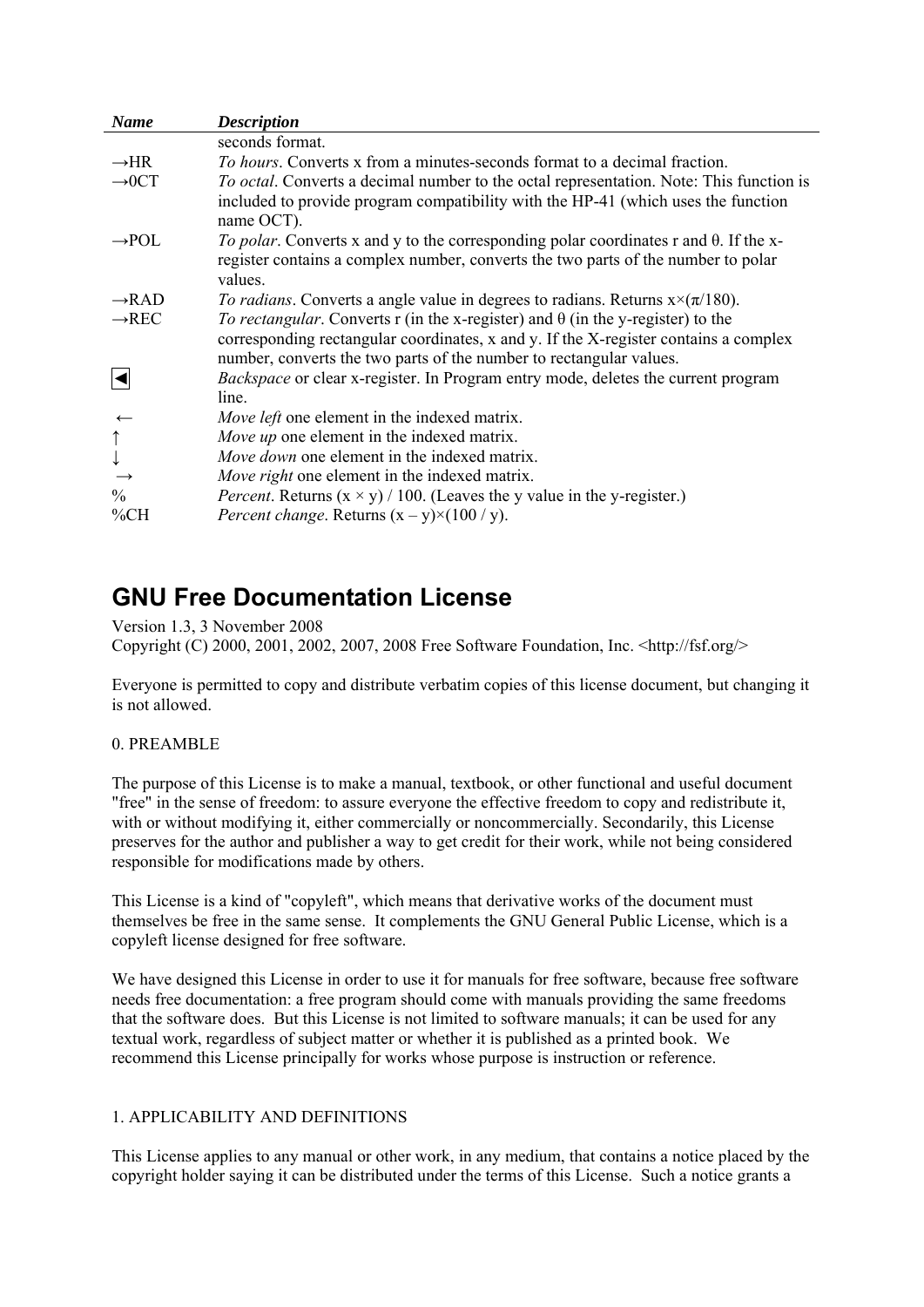<span id="page-34-0"></span>

| <b>Name</b>                                          | <b>Description</b>                                                                                                                                                                                                                                    |
|------------------------------------------------------|-------------------------------------------------------------------------------------------------------------------------------------------------------------------------------------------------------------------------------------------------------|
|                                                      | seconds format.                                                                                                                                                                                                                                       |
| $\rightarrow$ HR                                     | To hours. Converts x from a minutes-seconds format to a decimal fraction.                                                                                                                                                                             |
| $\rightarrow$ OCT                                    | To octal. Converts a decimal number to the octal representation. Note: This function is<br>included to provide program compatibility with the HP-41 (which uses the function<br>name OCT).                                                            |
| $\rightarrow$ POL                                    | To polar. Converts x and y to the corresponding polar coordinates r and $\theta$ . If the x-<br>register contains a complex number, converts the two parts of the number to polar<br>values.                                                          |
| $\rightarrow$ RAD                                    | To radians. Converts a angle value in degrees to radians. Returns $x \times (\pi/180)$ .                                                                                                                                                              |
| $\rightarrow$ REC                                    | To rectangular. Converts r (in the x-register) and $\theta$ (in the y-register) to the<br>corresponding rectangular coordinates, x and y. If the X-register contains a complex<br>number, converts the two parts of the number to rectangular values. |
|                                                      | <i>Backspace</i> or clear x-register. In Program entry mode, deletes the current program<br>line.                                                                                                                                                     |
|                                                      | Move left one element in the indexed matrix.                                                                                                                                                                                                          |
| $\begin{matrix} \uparrow \\ \downarrow \end{matrix}$ | Move up one element in the indexed matrix.                                                                                                                                                                                                            |
|                                                      | Move down one element in the indexed matrix.                                                                                                                                                                                                          |
|                                                      | Move right one element in the indexed matrix.                                                                                                                                                                                                         |
| $\frac{0}{0}$                                        | <i>Percent.</i> Returns $(x \times y) / 100$ . (Leaves the y value in the y-register.)                                                                                                                                                                |
| $\%CH$                                               | <i>Percent change.</i> Returns $(x - y) \times (100 / y)$ .                                                                                                                                                                                           |

# **GNU Free Documentation License**

Version 1.3, 3 November 2008

Copyright (C) 2000, 2001, 2002, 2007, 2008 Free Software Foundation, Inc. <http://fsf.org/>

Everyone is permitted to copy and distribute verbatim copies of this license document, but changing it is not allowed.

#### 0. PREAMBLE

The purpose of this License is to make a manual, textbook, or other functional and useful document "free" in the sense of freedom: to assure everyone the effective freedom to copy and redistribute it, with or without modifying it, either commercially or noncommercially. Secondarily, this License preserves for the author and publisher a way to get credit for their work, while not being considered responsible for modifications made by others.

This License is a kind of "copyleft", which means that derivative works of the document must themselves be free in the same sense. It complements the GNU General Public License, which is a copyleft license designed for free software.

We have designed this License in order to use it for manuals for free software, because free software needs free documentation: a free program should come with manuals providing the same freedoms that the software does. But this License is not limited to software manuals; it can be used for any textual work, regardless of subject matter or whether it is published as a printed book. We recommend this License principally for works whose purpose is instruction or reference.

#### 1. APPLICABILITY AND DEFINITIONS

This License applies to any manual or other work, in any medium, that contains a notice placed by the copyright holder saying it can be distributed under the terms of this License. Such a notice grants a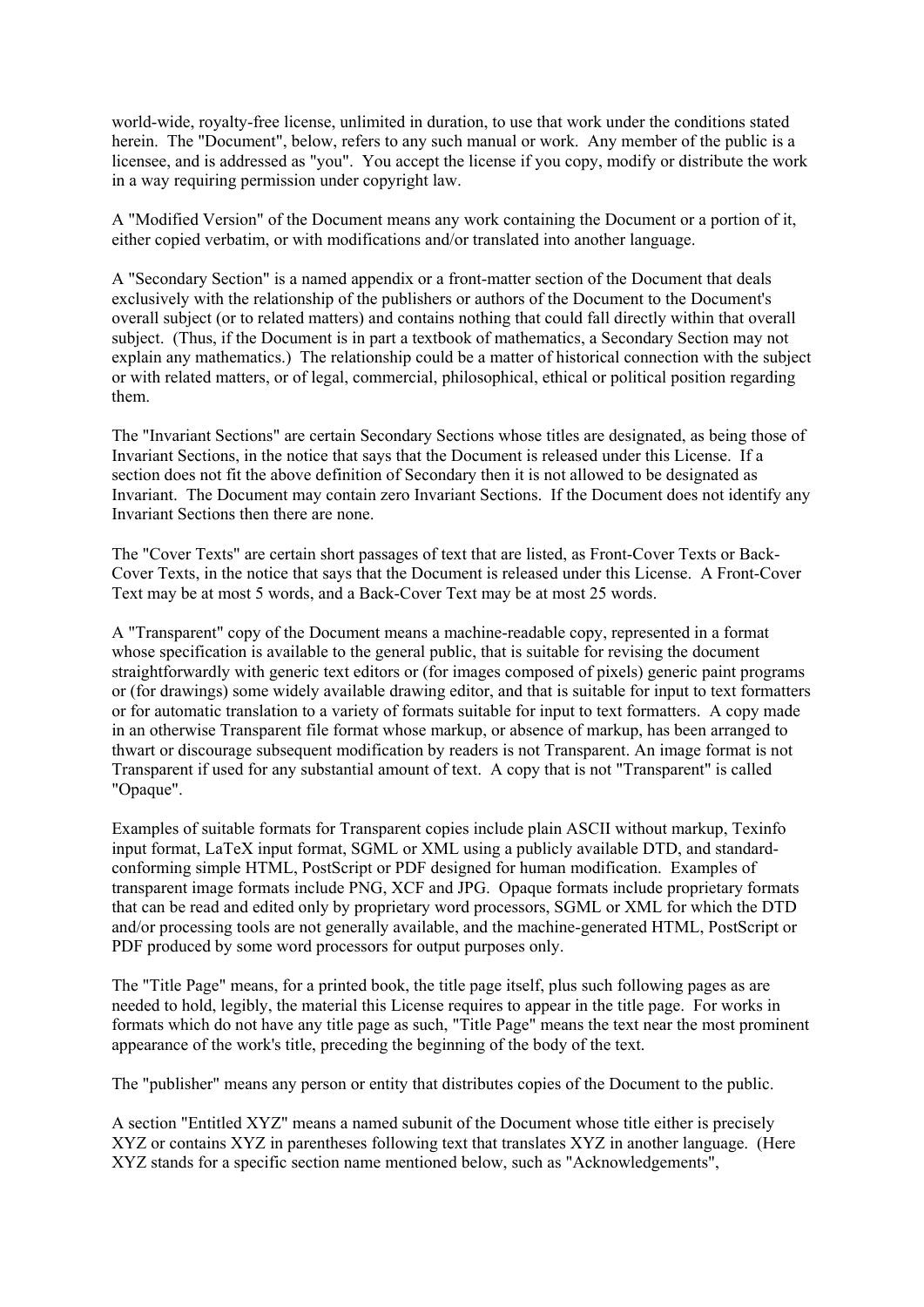world-wide, royalty-free license, unlimited in duration, to use that work under the conditions stated herein. The "Document", below, refers to any such manual or work. Any member of the public is a licensee, and is addressed as "you". You accept the license if you copy, modify or distribute the work in a way requiring permission under copyright law.

A "Modified Version" of the Document means any work containing the Document or a portion of it, either copied verbatim, or with modifications and/or translated into another language.

A "Secondary Section" is a named appendix or a front-matter section of the Document that deals exclusively with the relationship of the publishers or authors of the Document to the Document's overall subject (or to related matters) and contains nothing that could fall directly within that overall subject. (Thus, if the Document is in part a textbook of mathematics, a Secondary Section may not explain any mathematics.) The relationship could be a matter of historical connection with the subject or with related matters, or of legal, commercial, philosophical, ethical or political position regarding them.

The "Invariant Sections" are certain Secondary Sections whose titles are designated, as being those of Invariant Sections, in the notice that says that the Document is released under this License. If a section does not fit the above definition of Secondary then it is not allowed to be designated as Invariant. The Document may contain zero Invariant Sections. If the Document does not identify any Invariant Sections then there are none.

The "Cover Texts" are certain short passages of text that are listed, as Front-Cover Texts or Back-Cover Texts, in the notice that says that the Document is released under this License. A Front-Cover Text may be at most 5 words, and a Back-Cover Text may be at most 25 words.

A "Transparent" copy of the Document means a machine-readable copy, represented in a format whose specification is available to the general public, that is suitable for revising the document straightforwardly with generic text editors or (for images composed of pixels) generic paint programs or (for drawings) some widely available drawing editor, and that is suitable for input to text formatters or for automatic translation to a variety of formats suitable for input to text formatters. A copy made in an otherwise Transparent file format whose markup, or absence of markup, has been arranged to thwart or discourage subsequent modification by readers is not Transparent. An image format is not Transparent if used for any substantial amount of text. A copy that is not "Transparent" is called "Opaque".

Examples of suitable formats for Transparent copies include plain ASCII without markup, Texinfo input format, LaTeX input format, SGML or XML using a publicly available DTD, and standardconforming simple HTML, PostScript or PDF designed for human modification. Examples of transparent image formats include PNG, XCF and JPG. Opaque formats include proprietary formats that can be read and edited only by proprietary word processors, SGML or XML for which the DTD and/or processing tools are not generally available, and the machine-generated HTML, PostScript or PDF produced by some word processors for output purposes only.

The "Title Page" means, for a printed book, the title page itself, plus such following pages as are needed to hold, legibly, the material this License requires to appear in the title page. For works in formats which do not have any title page as such, "Title Page" means the text near the most prominent appearance of the work's title, preceding the beginning of the body of the text.

The "publisher" means any person or entity that distributes copies of the Document to the public.

A section "Entitled XYZ" means a named subunit of the Document whose title either is precisely XYZ or contains XYZ in parentheses following text that translates XYZ in another language. (Here XYZ stands for a specific section name mentioned below, such as "Acknowledgements",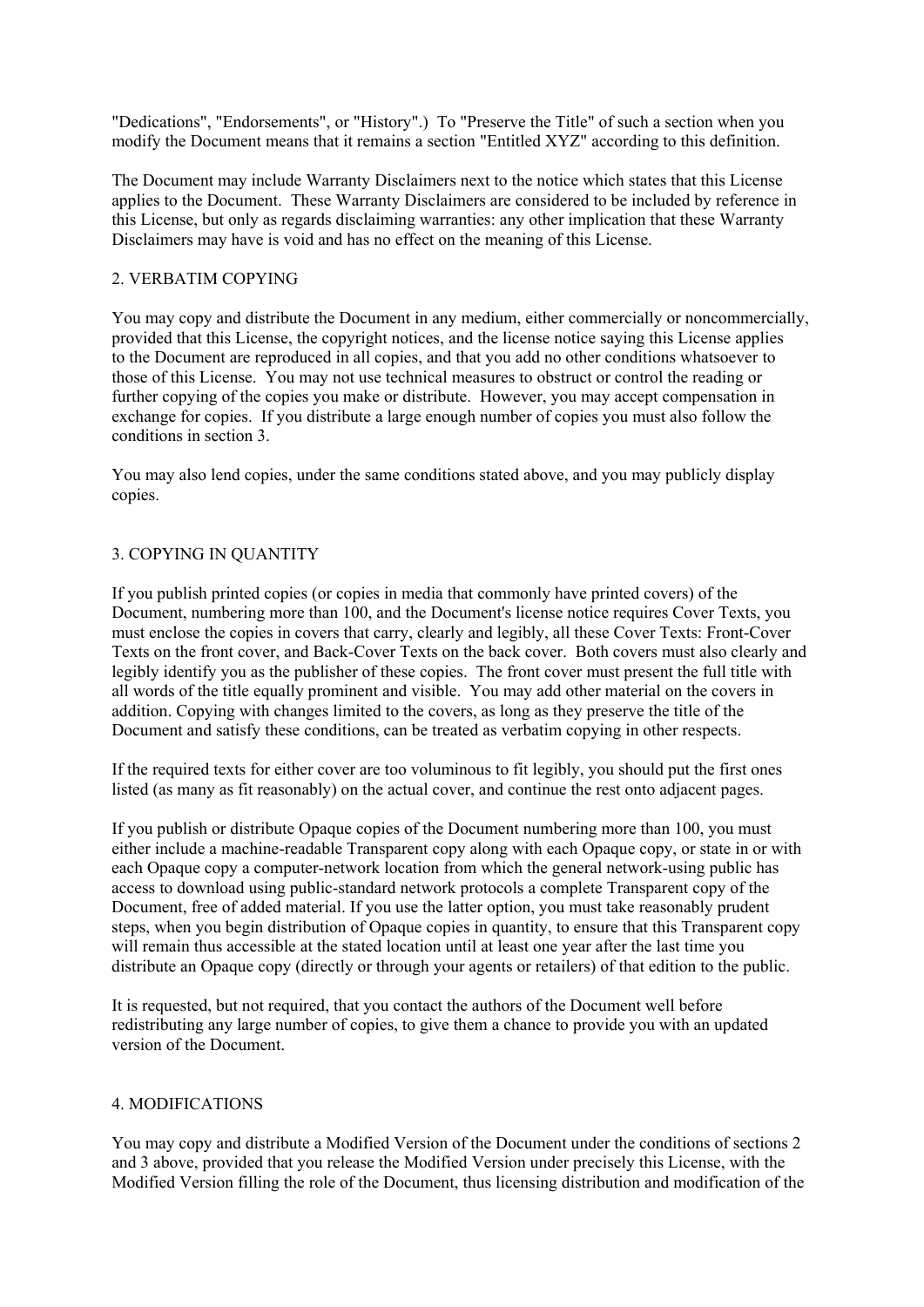"Dedications", "Endorsements", or "History".) To "Preserve the Title" of such a section when you modify the Document means that it remains a section "Entitled XYZ" according to this definition.

The Document may include Warranty Disclaimers next to the notice which states that this License applies to the Document. These Warranty Disclaimers are considered to be included by reference in this License, but only as regards disclaiming warranties: any other implication that these Warranty Disclaimers may have is void and has no effect on the meaning of this License.

#### 2. VERBATIM COPYING

You may copy and distribute the Document in any medium, either commercially or noncommercially, provided that this License, the copyright notices, and the license notice saying this License applies to the Document are reproduced in all copies, and that you add no other conditions whatsoever to those of this License. You may not use technical measures to obstruct or control the reading or further copying of the copies you make or distribute. However, you may accept compensation in exchange for copies. If you distribute a large enough number of copies you must also follow the conditions in section 3.

You may also lend copies, under the same conditions stated above, and you may publicly display copies.

#### 3. COPYING IN QUANTITY

If you publish printed copies (or copies in media that commonly have printed covers) of the Document, numbering more than 100, and the Document's license notice requires Cover Texts, you must enclose the copies in covers that carry, clearly and legibly, all these Cover Texts: Front-Cover Texts on the front cover, and Back-Cover Texts on the back cover. Both covers must also clearly and legibly identify you as the publisher of these copies. The front cover must present the full title with all words of the title equally prominent and visible. You may add other material on the covers in addition. Copying with changes limited to the covers, as long as they preserve the title of the Document and satisfy these conditions, can be treated as verbatim copying in other respects.

If the required texts for either cover are too voluminous to fit legibly, you should put the first ones listed (as many as fit reasonably) on the actual cover, and continue the rest onto adjacent pages.

If you publish or distribute Opaque copies of the Document numbering more than 100, you must either include a machine-readable Transparent copy along with each Opaque copy, or state in or with each Opaque copy a computer-network location from which the general network-using public has access to download using public-standard network protocols a complete Transparent copy of the Document, free of added material. If you use the latter option, you must take reasonably prudent steps, when you begin distribution of Opaque copies in quantity, to ensure that this Transparent copy will remain thus accessible at the stated location until at least one year after the last time you distribute an Opaque copy (directly or through your agents or retailers) of that edition to the public.

It is requested, but not required, that you contact the authors of the Document well before redistributing any large number of copies, to give them a chance to provide you with an updated version of the Document.

#### 4. MODIFICATIONS

You may copy and distribute a Modified Version of the Document under the conditions of sections 2 and 3 above, provided that you release the Modified Version under precisely this License, with the Modified Version filling the role of the Document, thus licensing distribution and modification of the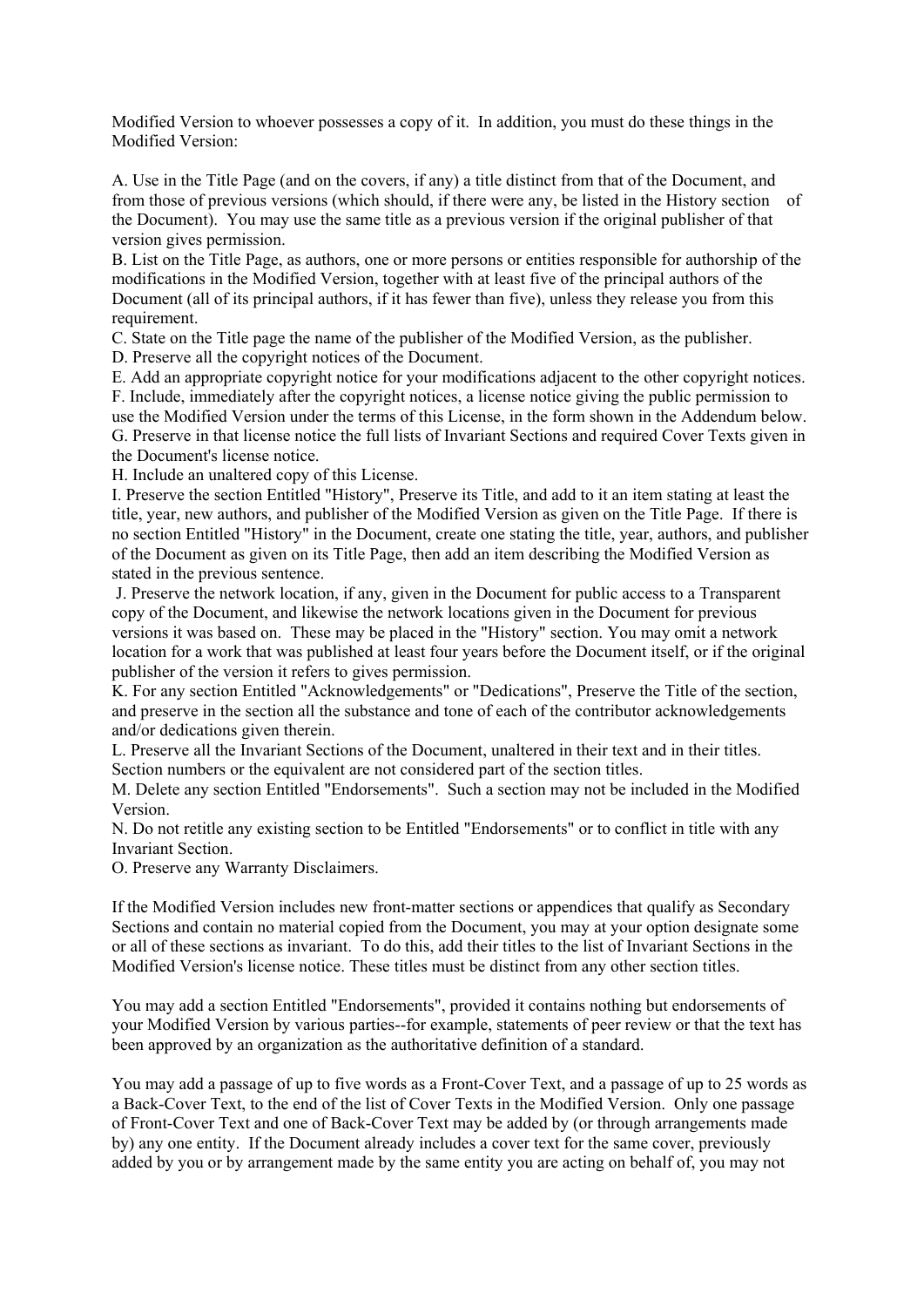Modified Version to whoever possesses a copy of it. In addition, you must do these things in the Modified Version:

A. Use in the Title Page (and on the covers, if any) a title distinct from that of the Document, and from those of previous versions (which should, if there were any, be listed in the History section of the Document). You may use the same title as a previous version if the original publisher of that version gives permission.

B. List on the Title Page, as authors, one or more persons or entities responsible for authorship of the modifications in the Modified Version, together with at least five of the principal authors of the Document (all of its principal authors, if it has fewer than five), unless they release you from this requirement.

C. State on the Title page the name of the publisher of the Modified Version, as the publisher.

D. Preserve all the copyright notices of the Document.

E. Add an appropriate copyright notice for your modifications adjacent to the other copyright notices. F. Include, immediately after the copyright notices, a license notice giving the public permission to use the Modified Version under the terms of this License, in the form shown in the Addendum below. G. Preserve in that license notice the full lists of Invariant Sections and required Cover Texts given in the Document's license notice.

H. Include an unaltered copy of this License.

I. Preserve the section Entitled "History", Preserve its Title, and add to it an item stating at least the title, year, new authors, and publisher of the Modified Version as given on the Title Page. If there is no section Entitled "History" in the Document, create one stating the title, year, authors, and publisher of the Document as given on its Title Page, then add an item describing the Modified Version as stated in the previous sentence.

 J. Preserve the network location, if any, given in the Document for public access to a Transparent copy of the Document, and likewise the network locations given in the Document for previous versions it was based on. These may be placed in the "History" section. You may omit a network location for a work that was published at least four years before the Document itself, or if the original publisher of the version it refers to gives permission.

K. For any section Entitled "Acknowledgements" or "Dedications", Preserve the Title of the section, and preserve in the section all the substance and tone of each of the contributor acknowledgements and/or dedications given therein.

L. Preserve all the Invariant Sections of the Document, unaltered in their text and in their titles. Section numbers or the equivalent are not considered part of the section titles.

M. Delete any section Entitled "Endorsements". Such a section may not be included in the Modified Version.

N. Do not retitle any existing section to be Entitled "Endorsements" or to conflict in title with any Invariant Section.

O. Preserve any Warranty Disclaimers.

If the Modified Version includes new front-matter sections or appendices that qualify as Secondary Sections and contain no material copied from the Document, you may at your option designate some or all of these sections as invariant. To do this, add their titles to the list of Invariant Sections in the Modified Version's license notice. These titles must be distinct from any other section titles.

You may add a section Entitled "Endorsements", provided it contains nothing but endorsements of your Modified Version by various parties--for example, statements of peer review or that the text has been approved by an organization as the authoritative definition of a standard.

You may add a passage of up to five words as a Front-Cover Text, and a passage of up to 25 words as a Back-Cover Text, to the end of the list of Cover Texts in the Modified Version. Only one passage of Front-Cover Text and one of Back-Cover Text may be added by (or through arrangements made by) any one entity. If the Document already includes a cover text for the same cover, previously added by you or by arrangement made by the same entity you are acting on behalf of, you may not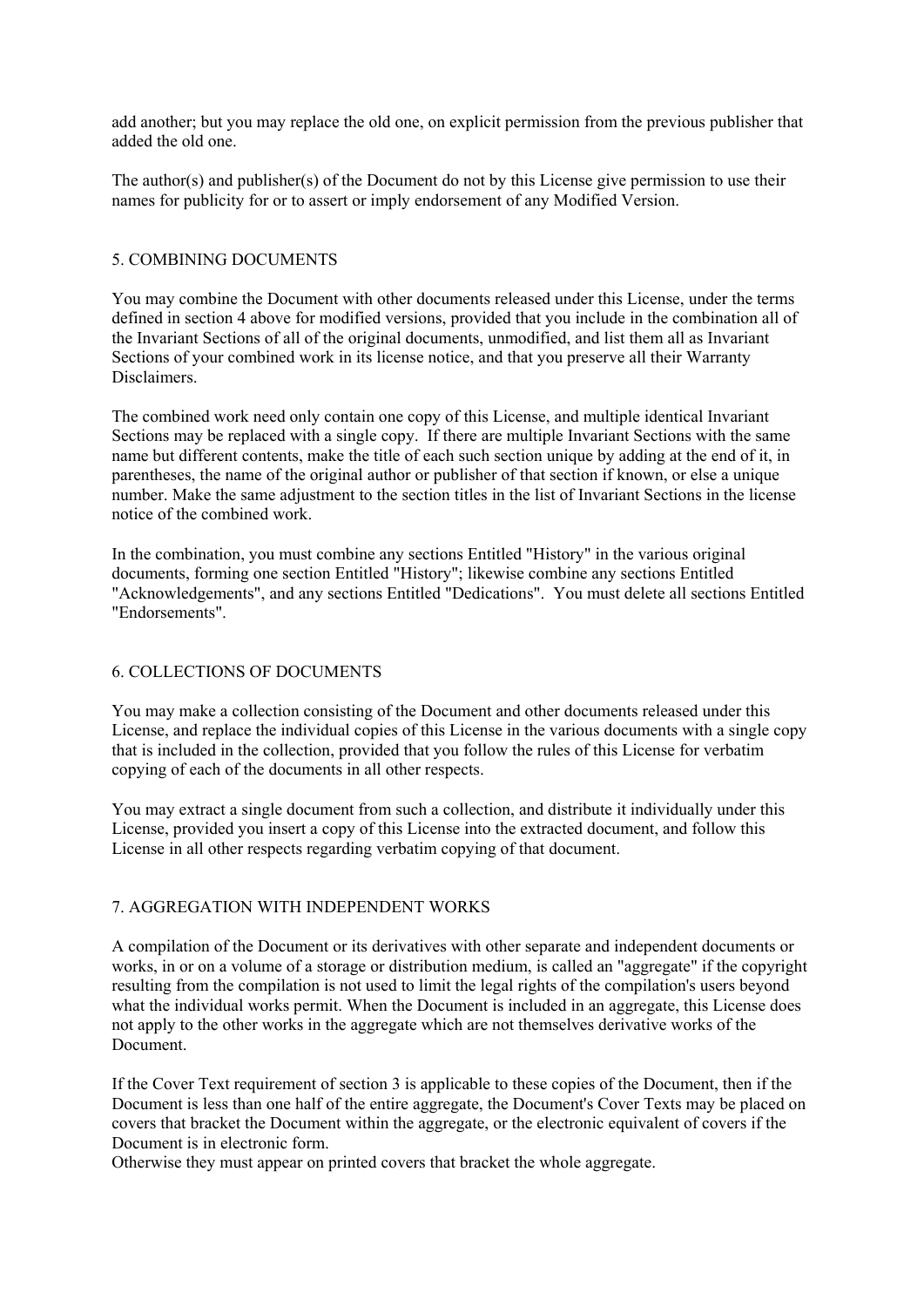add another; but you may replace the old one, on explicit permission from the previous publisher that added the old one.

The author(s) and publisher(s) of the Document do not by this License give permission to use their names for publicity for or to assert or imply endorsement of any Modified Version.

#### 5. COMBINING DOCUMENTS

You may combine the Document with other documents released under this License, under the terms defined in section 4 above for modified versions, provided that you include in the combination all of the Invariant Sections of all of the original documents, unmodified, and list them all as Invariant Sections of your combined work in its license notice, and that you preserve all their Warranty Disclaimers.

The combined work need only contain one copy of this License, and multiple identical Invariant Sections may be replaced with a single copy. If there are multiple Invariant Sections with the same name but different contents, make the title of each such section unique by adding at the end of it, in parentheses, the name of the original author or publisher of that section if known, or else a unique number. Make the same adjustment to the section titles in the list of Invariant Sections in the license notice of the combined work.

In the combination, you must combine any sections Entitled "History" in the various original documents, forming one section Entitled "History"; likewise combine any sections Entitled "Acknowledgements", and any sections Entitled "Dedications". You must delete all sections Entitled "Endorsements".

#### 6. COLLECTIONS OF DOCUMENTS

You may make a collection consisting of the Document and other documents released under this License, and replace the individual copies of this License in the various documents with a single copy that is included in the collection, provided that you follow the rules of this License for verbatim copying of each of the documents in all other respects.

You may extract a single document from such a collection, and distribute it individually under this License, provided you insert a copy of this License into the extracted document, and follow this License in all other respects regarding verbatim copying of that document.

#### 7. AGGREGATION WITH INDEPENDENT WORKS

A compilation of the Document or its derivatives with other separate and independent documents or works, in or on a volume of a storage or distribution medium, is called an "aggregate" if the copyright resulting from the compilation is not used to limit the legal rights of the compilation's users beyond what the individual works permit. When the Document is included in an aggregate, this License does not apply to the other works in the aggregate which are not themselves derivative works of the Document.

If the Cover Text requirement of section 3 is applicable to these copies of the Document, then if the Document is less than one half of the entire aggregate, the Document's Cover Texts may be placed on covers that bracket the Document within the aggregate, or the electronic equivalent of covers if the Document is in electronic form.

Otherwise they must appear on printed covers that bracket the whole aggregate.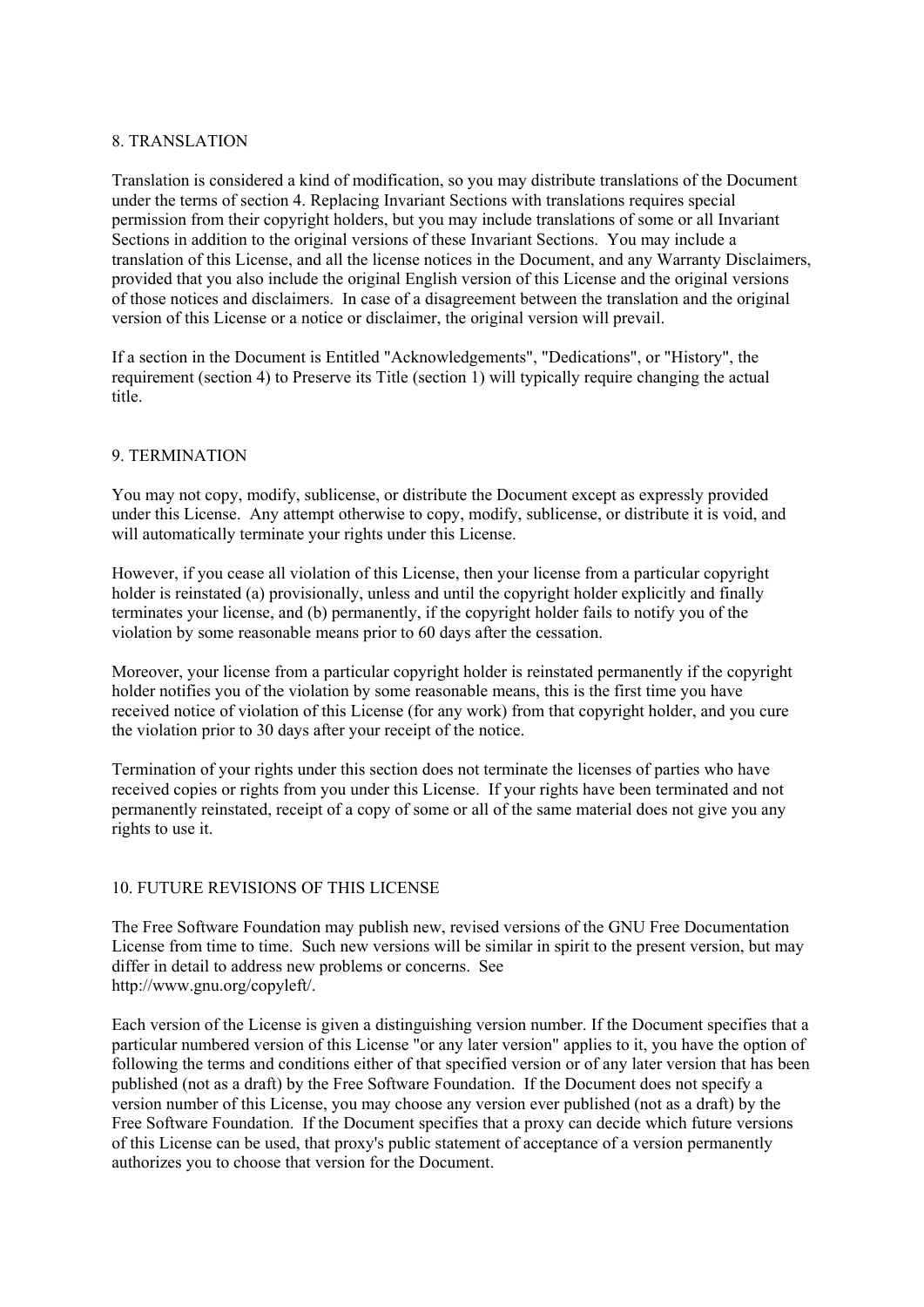#### 8. TRANSLATION

Translation is considered a kind of modification, so you may distribute translations of the Document under the terms of section 4. Replacing Invariant Sections with translations requires special permission from their copyright holders, but you may include translations of some or all Invariant Sections in addition to the original versions of these Invariant Sections. You may include a translation of this License, and all the license notices in the Document, and any Warranty Disclaimers, provided that you also include the original English version of this License and the original versions of those notices and disclaimers. In case of a disagreement between the translation and the original version of this License or a notice or disclaimer, the original version will prevail.

If a section in the Document is Entitled "Acknowledgements", "Dedications", or "History", the requirement (section 4) to Preserve its Title (section 1) will typically require changing the actual title.

#### 9. TERMINATION

You may not copy, modify, sublicense, or distribute the Document except as expressly provided under this License. Any attempt otherwise to copy, modify, sublicense, or distribute it is void, and will automatically terminate your rights under this License.

However, if you cease all violation of this License, then your license from a particular copyright holder is reinstated (a) provisionally, unless and until the copyright holder explicitly and finally terminates your license, and (b) permanently, if the copyright holder fails to notify you of the violation by some reasonable means prior to 60 days after the cessation.

Moreover, your license from a particular copyright holder is reinstated permanently if the copyright holder notifies you of the violation by some reasonable means, this is the first time you have received notice of violation of this License (for any work) from that copyright holder, and you cure the violation prior to 30 days after your receipt of the notice.

Termination of your rights under this section does not terminate the licenses of parties who have received copies or rights from you under this License. If your rights have been terminated and not permanently reinstated, receipt of a copy of some or all of the same material does not give you any rights to use it.

#### 10. FUTURE REVISIONS OF THIS LICENSE

The Free Software Foundation may publish new, revised versions of the GNU Free Documentation License from time to time. Such new versions will be similar in spirit to the present version, but may differ in detail to address new problems or concerns. See http://www.gnu.org/copyleft/.

Each version of the License is given a distinguishing version number. If the Document specifies that a particular numbered version of this License "or any later version" applies to it, you have the option of following the terms and conditions either of that specified version or of any later version that has been published (not as a draft) by the Free Software Foundation. If the Document does not specify a version number of this License, you may choose any version ever published (not as a draft) by the Free Software Foundation. If the Document specifies that a proxy can decide which future versions of this License can be used, that proxy's public statement of acceptance of a version permanently authorizes you to choose that version for the Document.